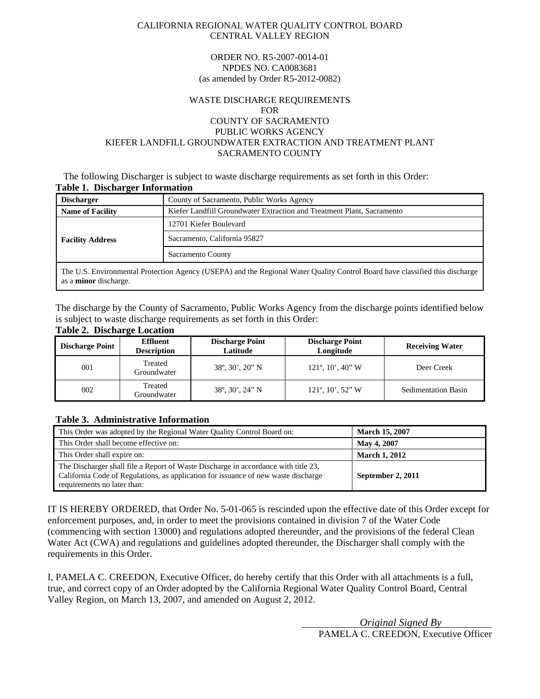#### CALIFORNIA REGIONAL WATER QUALITY CONTROL BOARD CENTRAL VALLEY REGION

#### ORDER NO. R5-2007-0014-01 NPDES NO. CA0083681 (as amended by Order R5-2012-0082)

#### WASTE DISCHARGE REQUIREMENTS FOR COUNTY OF SACRAMENTO PUBLIC WORKS AGENCY KIEFER LANDFILL GROUNDWATER EXTRACTION AND TREATMENT PLANT SACRAMENTO COUNTY

#### The following Discharger is subject to waste discharge requirements as set forth in this Order: **Table 1. Discharger Information**

| <b>Discharger</b>            | County of Sacramento, Public Works Agency                                                                                    |  |  |
|------------------------------|------------------------------------------------------------------------------------------------------------------------------|--|--|
| <b>Name of Facility</b>      | Kiefer Landfill Groundwater Extraction and Treatment Plant, Sacramento                                                       |  |  |
|                              | 12701 Kiefer Boulevard                                                                                                       |  |  |
| <b>Facility Address</b>      | Sacramento, California 95827                                                                                                 |  |  |
|                              | Sacramento County                                                                                                            |  |  |
| as a <b>minor</b> discharge. | The U.S. Environmental Protection Agency (USEPA) and the Regional Water Quality Control Board have classified this discharge |  |  |

The discharge by the County of Sacramento, Public Works Agency from the discharge points identified below is subject to waste discharge requirements as set forth in this Order:

### **Table 2. Discharge Location**

| <b>Discharge Point</b> | <b>Effluent</b><br><b>Description</b> | <b>Discharge Point</b><br>Latitude             | <b>Discharge Point</b><br>Longitude               | <b>Receiving Water</b>     |
|------------------------|---------------------------------------|------------------------------------------------|---------------------------------------------------|----------------------------|
| 001                    | Treated<br>Groundwater                | $38^{\circ}, 30^{\prime}, 20^{\prime\prime}$ N | $121^\circ$ , $10'$ , $40''$ W                    | Deer Creek                 |
| 002                    | Treated<br>Groundwater                | $38^{\circ}, 30^{\prime}, 24^{\prime\prime}$ N | $121^\circ$ , $10^\prime$ , $52^{\prime\prime}$ W | <b>Sedimentation Basin</b> |

#### **Table 3. Administrative Information**

| This Order was adopted by the Regional Water Quality Control Board on:                                                                                                                                  | <b>March 15, 2007</b> |
|---------------------------------------------------------------------------------------------------------------------------------------------------------------------------------------------------------|-----------------------|
| This Order shall become effective on:                                                                                                                                                                   | <b>May 4, 2007</b>    |
| This Order shall expire on:                                                                                                                                                                             | <b>March 1, 2012</b>  |
| The Discharger shall file a Report of Waste Discharge in accordance with title 23,<br>California Code of Regulations, as application for issuance of new waste discharge<br>requirements no later than: | September 2, 2011     |

IT IS HEREBY ORDERED, that Order No. 5-01-065 is rescinded upon the effective date of this Order except for enforcement purposes, and, in order to meet the provisions contained in division 7 of the Water Code (commencing with section 13000) and regulations adopted thereunder, and the provisions of the federal Clean Water Act (CWA) and regulations and guidelines adopted thereunder, the Discharger shall comply with the requirements in this Order.

I, PAMELA C. CREEDON, Executive Officer, do hereby certify that this Order with all attachments is a full, true, and correct copy of an Order adopted by the California Regional Water Quality Control Board, Central Valley Region, on March 13, 2007, and amended on August 2, 2012.

> *Original Signed By*  PAMELA C. CREEDON, Executive Officer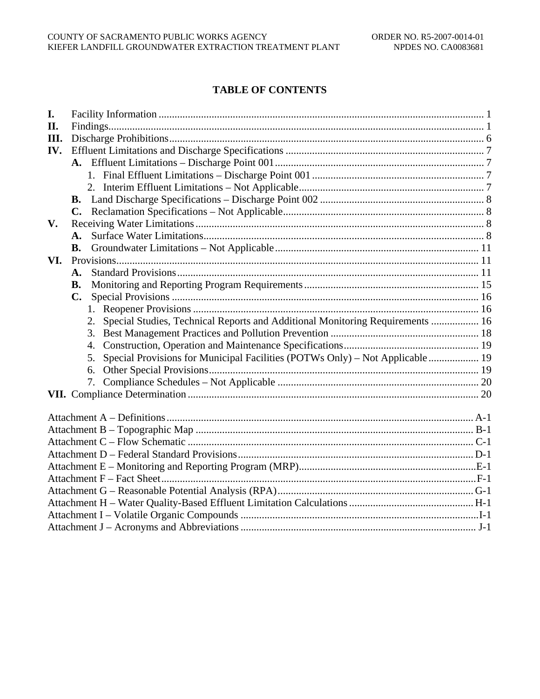# **TABLE OF CONTENTS**

| I.   |                                                                                     |  |
|------|-------------------------------------------------------------------------------------|--|
| II.  |                                                                                     |  |
| III. |                                                                                     |  |
| IV.  |                                                                                     |  |
|      |                                                                                     |  |
|      |                                                                                     |  |
|      |                                                                                     |  |
|      | <b>B.</b>                                                                           |  |
|      | $\mathbf{C}$ .                                                                      |  |
| V.   |                                                                                     |  |
|      |                                                                                     |  |
|      | В.                                                                                  |  |
| VI.  |                                                                                     |  |
|      | А.                                                                                  |  |
|      | <b>B.</b>                                                                           |  |
|      | C.                                                                                  |  |
|      | 1.                                                                                  |  |
|      | Special Studies, Technical Reports and Additional Monitoring Requirements  16<br>2. |  |
|      | 3.                                                                                  |  |
|      | 4.                                                                                  |  |
|      | Special Provisions for Municipal Facilities (POTWs Only) - Not Applicable  19<br>5. |  |
|      | 6.                                                                                  |  |
|      | 7.                                                                                  |  |
|      |                                                                                     |  |
|      |                                                                                     |  |
|      |                                                                                     |  |
|      |                                                                                     |  |
|      |                                                                                     |  |
|      |                                                                                     |  |
|      |                                                                                     |  |
|      |                                                                                     |  |
|      |                                                                                     |  |
|      |                                                                                     |  |
|      |                                                                                     |  |
|      |                                                                                     |  |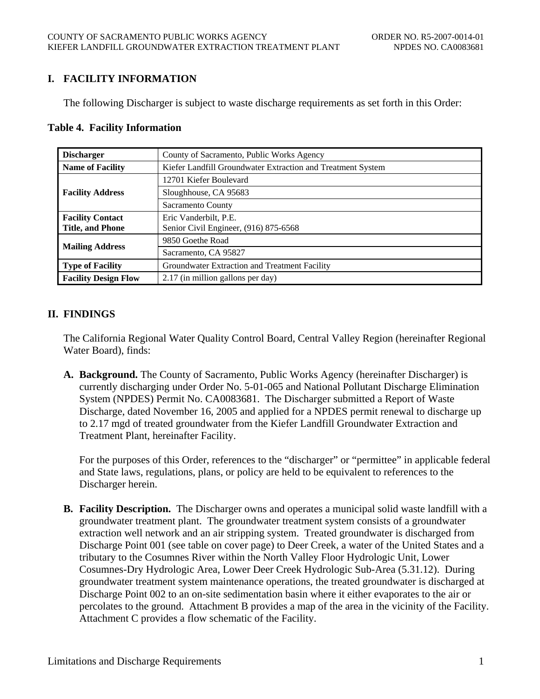# **I. FACILITY INFORMATION**

The following Discharger is subject to waste discharge requirements as set forth in this Order:

### **Table 4. Facility Information**

| <b>Discharger</b>           | County of Sacramento, Public Works Agency                   |  |  |
|-----------------------------|-------------------------------------------------------------|--|--|
| <b>Name of Facility</b>     | Kiefer Landfill Groundwater Extraction and Treatment System |  |  |
|                             | 12701 Kiefer Boulevard                                      |  |  |
| <b>Facility Address</b>     | Sloughhouse, CA 95683                                       |  |  |
|                             | Sacramento County                                           |  |  |
| <b>Facility Contact</b>     | Eric Vanderbilt, P.E.                                       |  |  |
| <b>Title, and Phone</b>     | Senior Civil Engineer, (916) 875-6568                       |  |  |
|                             | 9850 Goethe Road                                            |  |  |
| <b>Mailing Address</b>      | Sacramento, CA 95827                                        |  |  |
| <b>Type of Facility</b>     | Groundwater Extraction and Treatment Facility               |  |  |
| <b>Facility Design Flow</b> | 2.17 (in million gallons per day)                           |  |  |

## **II. FINDINGS**

The California Regional Water Quality Control Board, Central Valley Region (hereinafter Regional Water Board), finds:

**A. Background.** The County of Sacramento, Public Works Agency (hereinafter Discharger) is currently discharging under Order No. 5-01-065 and National Pollutant Discharge Elimination System (NPDES) Permit No. CA0083681. The Discharger submitted a Report of Waste Discharge, dated November 16, 2005 and applied for a NPDES permit renewal to discharge up to 2.17 mgd of treated groundwater from the Kiefer Landfill Groundwater Extraction and Treatment Plant, hereinafter Facility.

For the purposes of this Order, references to the "discharger" or "permittee" in applicable federal and State laws, regulations, plans, or policy are held to be equivalent to references to the Discharger herein.

**B. Facility Description.** The Discharger owns and operates a municipal solid waste landfill with a groundwater treatment plant. The groundwater treatment system consists of a groundwater extraction well network and an air stripping system. Treated groundwater is discharged from Discharge Point 001 (see table on cover page) to Deer Creek, a water of the United States and a tributary to the Cosumnes River within the North Valley Floor Hydrologic Unit, Lower Cosumnes-Dry Hydrologic Area, Lower Deer Creek Hydrologic Sub-Area (5.31.12). During groundwater treatment system maintenance operations, the treated groundwater is discharged at Discharge Point 002 to an on-site sedimentation basin where it either evaporates to the air or percolates to the ground. Attachment B provides a map of the area in the vicinity of the Facility. Attachment C provides a flow schematic of the Facility.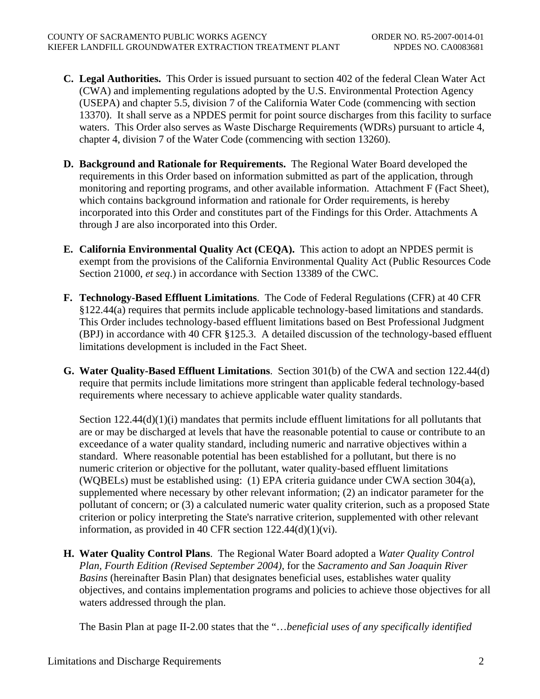- **C. Legal Authorities.** This Order is issued pursuant to section 402 of the federal Clean Water Act (CWA) and implementing regulations adopted by the U.S. Environmental Protection Agency (USEPA) and chapter 5.5, division 7 of the California Water Code (commencing with section 13370). It shall serve as a NPDES permit for point source discharges from this facility to surface waters. This Order also serves as Waste Discharge Requirements (WDRs) pursuant to article 4, chapter 4, division 7 of the Water Code (commencing with section 13260).
- **D. Background and Rationale for Requirements.** The Regional Water Board developed the requirements in this Order based on information submitted as part of the application, through monitoring and reporting programs, and other available information. Attachment F (Fact Sheet), which contains background information and rationale for Order requirements, is hereby incorporated into this Order and constitutes part of the Findings for this Order. Attachments A through J are also incorporated into this Order.
- **E. California Environmental Quality Act (CEQA).** This action to adopt an NPDES permit is exempt from the provisions of the California Environmental Quality Act (Public Resources Code Section 21000, *et seq*.) in accordance with Section 13389 of the CWC.
- **F. Technology-Based Effluent Limitations**. The Code of Federal Regulations (CFR) at 40 CFR §122.44(a) requires that permits include applicable technology-based limitations and standards. This Order includes technology-based effluent limitations based on Best Professional Judgment (BPJ) in accordance with 40 CFR §125.3. A detailed discussion of the technology-based effluent limitations development is included in the Fact Sheet.
- **G. Water Quality-Based Effluent Limitations**. Section 301(b) of the CWA and section 122.44(d) require that permits include limitations more stringent than applicable federal technology-based requirements where necessary to achieve applicable water quality standards.

Section 122.44(d)(1)(i) mandates that permits include effluent limitations for all pollutants that are or may be discharged at levels that have the reasonable potential to cause or contribute to an exceedance of a water quality standard, including numeric and narrative objectives within a standard. Where reasonable potential has been established for a pollutant, but there is no numeric criterion or objective for the pollutant, water quality-based effluent limitations (WQBELs) must be established using: (1) EPA criteria guidance under CWA section 304(a), supplemented where necessary by other relevant information; (2) an indicator parameter for the pollutant of concern; or (3) a calculated numeric water quality criterion, such as a proposed State criterion or policy interpreting the State's narrative criterion, supplemented with other relevant information, as provided in 40 CFR section  $122.44(d)(1)(vi)$ .

**H. Water Quality Control Plans**. The Regional Water Board adopted a *Water Quality Control Plan, Fourth Edition (Revised September 2004),* for the *Sacramento and San Joaquin River Basins* (hereinafter Basin Plan) that designates beneficial uses, establishes water quality objectives, and contains implementation programs and policies to achieve those objectives for all waters addressed through the plan.

The Basin Plan at page II-2.00 states that the "…*beneficial uses of any specifically identified*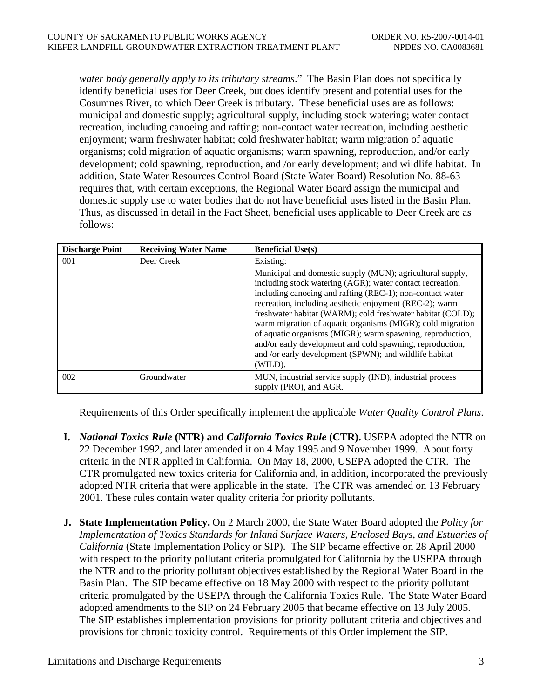*water body generally apply to its tributary streams*." The Basin Plan does not specifically identify beneficial uses for Deer Creek, but does identify present and potential uses for the Cosumnes River, to which Deer Creek is tributary. These beneficial uses are as follows: municipal and domestic supply; agricultural supply, including stock watering; water contact recreation, including canoeing and rafting; non-contact water recreation, including aesthetic enjoyment; warm freshwater habitat; cold freshwater habitat; warm migration of aquatic organisms; cold migration of aquatic organisms; warm spawning, reproduction, and/or early development; cold spawning, reproduction, and /or early development; and wildlife habitat. In addition, State Water Resources Control Board (State Water Board) Resolution No. 88-63 requires that, with certain exceptions, the Regional Water Board assign the municipal and domestic supply use to water bodies that do not have beneficial uses listed in the Basin Plan. Thus, as discussed in detail in the Fact Sheet, beneficial uses applicable to Deer Creek are as follows:

| <b>Discharge Point</b> | <b>Receiving Water Name</b> | <b>Beneficial Use(s)</b>                                                                                                                                                                                                                                                                                                                                                                                                                                                                                                                                                  |
|------------------------|-----------------------------|---------------------------------------------------------------------------------------------------------------------------------------------------------------------------------------------------------------------------------------------------------------------------------------------------------------------------------------------------------------------------------------------------------------------------------------------------------------------------------------------------------------------------------------------------------------------------|
| 001                    | Deer Creek                  | Existing:                                                                                                                                                                                                                                                                                                                                                                                                                                                                                                                                                                 |
|                        |                             | Municipal and domestic supply (MUN); agricultural supply,<br>including stock watering (AGR); water contact recreation,<br>including canoeing and rafting (REC-1); non-contact water<br>recreation, including aesthetic enjoyment (REC-2); warm<br>freshwater habitat (WARM); cold freshwater habitat (COLD);<br>warm migration of aquatic organisms (MIGR); cold migration<br>of aquatic organisms (MIGR); warm spawning, reproduction,<br>and/or early development and cold spawning, reproduction,<br>and /or early development (SPWN); and wildlife habitat<br>(WILD). |
| 002                    | Groundwater                 | MUN, industrial service supply (IND), industrial process<br>supply (PRO), and AGR.                                                                                                                                                                                                                                                                                                                                                                                                                                                                                        |

Requirements of this Order specifically implement the applicable *Water Quality Control Plans*.

- **I.** *National Toxics Rule* **(NTR) and** *California Toxics Rule* **(CTR).** USEPA adopted the NTR on 22 December 1992, and later amended it on 4 May 1995 and 9 November 1999. About forty criteria in the NTR applied in California. On May 18, 2000, USEPA adopted the CTR. The CTR promulgated new toxics criteria for California and, in addition, incorporated the previously adopted NTR criteria that were applicable in the state. The CTR was amended on 13 February 2001. These rules contain water quality criteria for priority pollutants.
- **J. State Implementation Policy.** On 2 March 2000, the State Water Board adopted the *Policy for Implementation of Toxics Standards for Inland Surface Waters, Enclosed Bays, and Estuaries of California* (State Implementation Policy or SIP). The SIP became effective on 28 April 2000 with respect to the priority pollutant criteria promulgated for California by the USEPA through the NTR and to the priority pollutant objectives established by the Regional Water Board in the Basin Plan. The SIP became effective on 18 May 2000 with respect to the priority pollutant criteria promulgated by the USEPA through the California Toxics Rule. The State Water Board adopted amendments to the SIP on 24 February 2005 that became effective on 13 July 2005. The SIP establishes implementation provisions for priority pollutant criteria and objectives and provisions for chronic toxicity control. Requirements of this Order implement the SIP.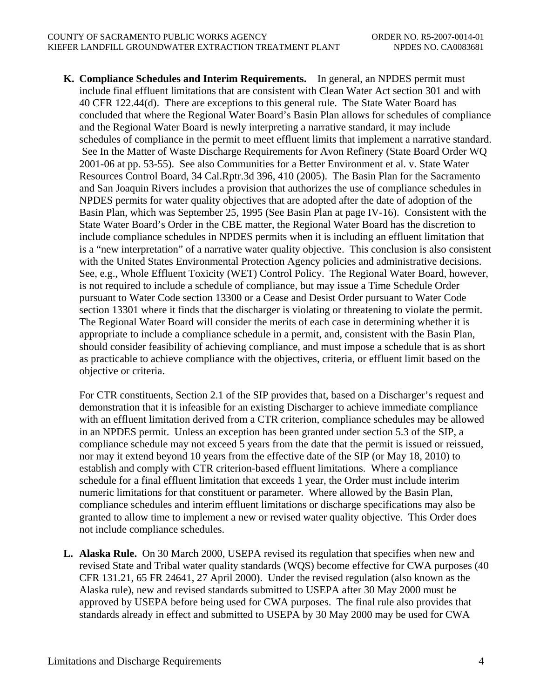**K. Compliance Schedules and Interim Requirements.** In general, an NPDES permit must include final effluent limitations that are consistent with Clean Water Act section 301 and with 40 CFR 122.44(d). There are exceptions to this general rule. The State Water Board has concluded that where the Regional Water Board's Basin Plan allows for schedules of compliance and the Regional Water Board is newly interpreting a narrative standard, it may include schedules of compliance in the permit to meet effluent limits that implement a narrative standard. See In the Matter of Waste Discharge Requirements for Avon Refinery (State Board Order WQ 2001-06 at pp. 53-55). See also Communities for a Better Environment et al. v. State Water Resources Control Board, 34 Cal.Rptr.3d 396, 410 (2005). The Basin Plan for the Sacramento and San Joaquin Rivers includes a provision that authorizes the use of compliance schedules in NPDES permits for water quality objectives that are adopted after the date of adoption of the Basin Plan, which was September 25, 1995 (See Basin Plan at page IV-16). Consistent with the State Water Board's Order in the CBE matter, the Regional Water Board has the discretion to include compliance schedules in NPDES permits when it is including an effluent limitation that is a "new interpretation" of a narrative water quality objective. This conclusion is also consistent with the United States Environmental Protection Agency policies and administrative decisions. See, e.g., Whole Effluent Toxicity (WET) Control Policy. The Regional Water Board, however, is not required to include a schedule of compliance, but may issue a Time Schedule Order pursuant to Water Code section 13300 or a Cease and Desist Order pursuant to Water Code section 13301 where it finds that the discharger is violating or threatening to violate the permit. The Regional Water Board will consider the merits of each case in determining whether it is appropriate to include a compliance schedule in a permit, and, consistent with the Basin Plan, should consider feasibility of achieving compliance, and must impose a schedule that is as short as practicable to achieve compliance with the objectives, criteria, or effluent limit based on the objective or criteria.

For CTR constituents, Section 2.1 of the SIP provides that, based on a Discharger's request and demonstration that it is infeasible for an existing Discharger to achieve immediate compliance with an effluent limitation derived from a CTR criterion, compliance schedules may be allowed in an NPDES permit. Unless an exception has been granted under section 5.3 of the SIP, a compliance schedule may not exceed 5 years from the date that the permit is issued or reissued, nor may it extend beyond 10 years from the effective date of the SIP (or May 18, 2010) to establish and comply with CTR criterion-based effluent limitations. Where a compliance schedule for a final effluent limitation that exceeds 1 year, the Order must include interim numeric limitations for that constituent or parameter. Where allowed by the Basin Plan, compliance schedules and interim effluent limitations or discharge specifications may also be granted to allow time to implement a new or revised water quality objective. This Order does not include compliance schedules.

**L. Alaska Rule.** On 30 March 2000, USEPA revised its regulation that specifies when new and revised State and Tribal water quality standards (WQS) become effective for CWA purposes (40 CFR 131.21, 65 FR 24641, 27 April 2000). Under the revised regulation (also known as the Alaska rule), new and revised standards submitted to USEPA after 30 May 2000 must be approved by USEPA before being used for CWA purposes. The final rule also provides that standards already in effect and submitted to USEPA by 30 May 2000 may be used for CWA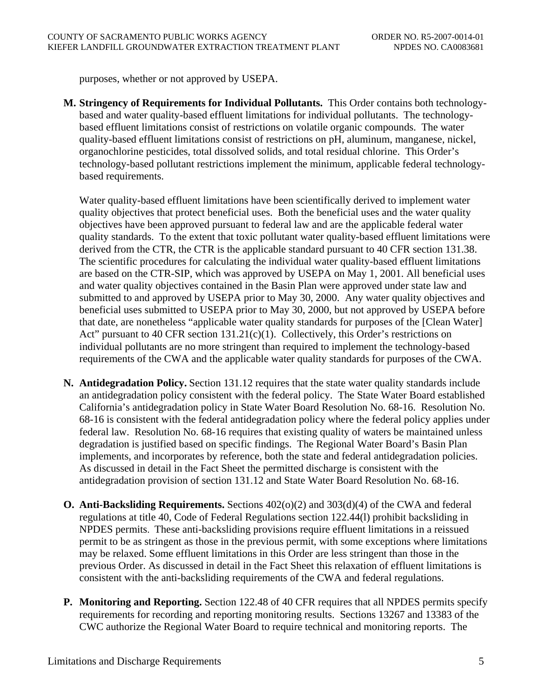purposes, whether or not approved by USEPA.

**M. Stringency of Requirements for Individual Pollutants.** This Order contains both technologybased and water quality-based effluent limitations for individual pollutants. The technologybased effluent limitations consist of restrictions on volatile organic compounds. The water quality-based effluent limitations consist of restrictions on pH, aluminum, manganese, nickel, organochlorine pesticides, total dissolved solids, and total residual chlorine. This Order's technology-based pollutant restrictions implement the minimum, applicable federal technologybased requirements.

Water quality-based effluent limitations have been scientifically derived to implement water quality objectives that protect beneficial uses. Both the beneficial uses and the water quality objectives have been approved pursuant to federal law and are the applicable federal water quality standards. To the extent that toxic pollutant water quality-based effluent limitations were derived from the CTR, the CTR is the applicable standard pursuant to 40 CFR section 131.38. The scientific procedures for calculating the individual water quality-based effluent limitations are based on the CTR-SIP, which was approved by USEPA on May 1, 2001. All beneficial uses and water quality objectives contained in the Basin Plan were approved under state law and submitted to and approved by USEPA prior to May 30, 2000. Any water quality objectives and beneficial uses submitted to USEPA prior to May 30, 2000, but not approved by USEPA before that date, are nonetheless "applicable water quality standards for purposes of the [Clean Water] Act" pursuant to 40 CFR section  $131.21(c)(1)$ . Collectively, this Order's restrictions on individual pollutants are no more stringent than required to implement the technology-based requirements of the CWA and the applicable water quality standards for purposes of the CWA.

- **N. Antidegradation Policy.** Section 131.12 requires that the state water quality standards include an antidegradation policy consistent with the federal policy. The State Water Board established California's antidegradation policy in State Water Board Resolution No. 68-16. Resolution No. 68-16 is consistent with the federal antidegradation policy where the federal policy applies under federal law. Resolution No. 68-16 requires that existing quality of waters be maintained unless degradation is justified based on specific findings. The Regional Water Board's Basin Plan implements, and incorporates by reference, both the state and federal antidegradation policies. As discussed in detail in the Fact Sheet the permitted discharge is consistent with the antidegradation provision of section 131.12 and State Water Board Resolution No. 68-16.
- **O. Anti-Backsliding Requirements.** Sections 402(o)(2) and 303(d)(4) of the CWA and federal regulations at title 40, Code of Federal Regulations section 122.44(l) prohibit backsliding in NPDES permits. These anti-backsliding provisions require effluent limitations in a reissued permit to be as stringent as those in the previous permit, with some exceptions where limitations may be relaxed. Some effluent limitations in this Order are less stringent than those in the previous Order. As discussed in detail in the Fact Sheet this relaxation of effluent limitations is consistent with the anti-backsliding requirements of the CWA and federal regulations.
- **P. Monitoring and Reporting.** Section 122.48 of 40 CFR requires that all NPDES permits specify requirements for recording and reporting monitoring results. Sections 13267 and 13383 of the CWC authorize the Regional Water Board to require technical and monitoring reports. The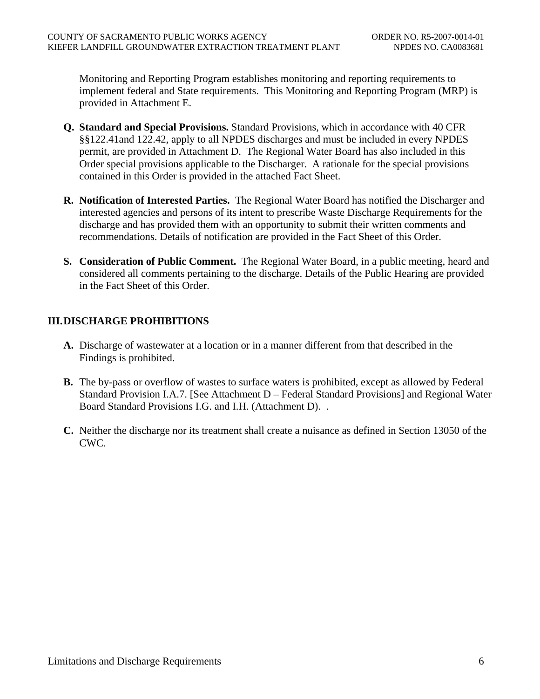Monitoring and Reporting Program establishes monitoring and reporting requirements to implement federal and State requirements. This Monitoring and Reporting Program (MRP) is provided in Attachment E.

- **Q. Standard and Special Provisions.** Standard Provisions, which in accordance with 40 CFR §§122.41and 122.42, apply to all NPDES discharges and must be included in every NPDES permit, are provided in Attachment D. The Regional Water Board has also included in this Order special provisions applicable to the Discharger. A rationale for the special provisions contained in this Order is provided in the attached Fact Sheet.
- **R. Notification of Interested Parties.** The Regional Water Board has notified the Discharger and interested agencies and persons of its intent to prescribe Waste Discharge Requirements for the discharge and has provided them with an opportunity to submit their written comments and recommendations. Details of notification are provided in the Fact Sheet of this Order.
- **S. Consideration of Public Comment.** The Regional Water Board, in a public meeting, heard and considered all comments pertaining to the discharge. Details of the Public Hearing are provided in the Fact Sheet of this Order.

## **III.DISCHARGE PROHIBITIONS**

- **A.** Discharge of wastewater at a location or in a manner different from that described in the Findings is prohibited.
- **B.** The by-pass or overflow of wastes to surface waters is prohibited, except as allowed by Federal Standard Provision I.A.7. [See Attachment D – Federal Standard Provisions] and Regional Water Board Standard Provisions I.G. and I.H. (Attachment D). .
- **C.** Neither the discharge nor its treatment shall create a nuisance as defined in Section 13050 of the CWC.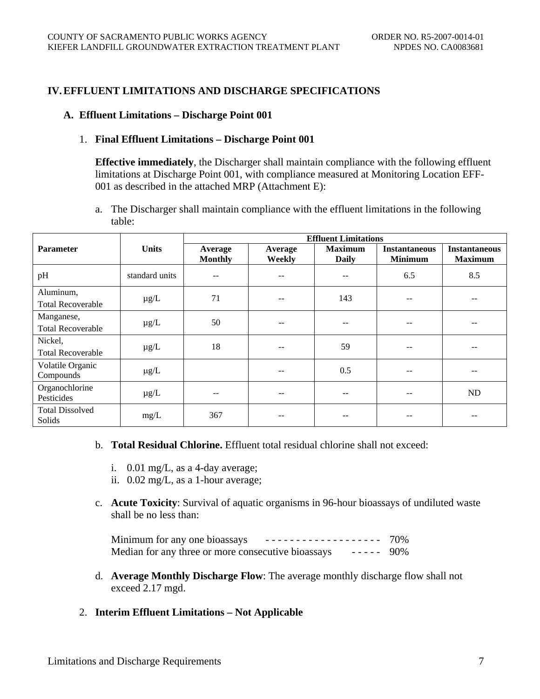### **IV.EFFLUENT LIMITATIONS AND DISCHARGE SPECIFICATIONS**

#### **A. Effluent Limitations – Discharge Point 001**

#### 1. **Final Effluent Limitations – Discharge Point 001**

**Effective immediately**, the Discharger shall maintain compliance with the following effluent limitations at Discharge Point 001, with compliance measured at Monitoring Location EFF-001 as described in the attached MRP (Attachment E):

a. The Discharger shall maintain compliance with the effluent limitations in the following table:

|                                        |                | <b>Effluent Limitations</b> |                   |                                |                                        |                                        |
|----------------------------------------|----------------|-----------------------------|-------------------|--------------------------------|----------------------------------------|----------------------------------------|
| <b>Parameter</b>                       | <b>Units</b>   | Average<br><b>Monthly</b>   | Average<br>Weekly | <b>Maximum</b><br><b>Daily</b> | <b>Instantaneous</b><br><b>Minimum</b> | <b>Instantaneous</b><br><b>Maximum</b> |
| pH                                     | standard units | --                          | --                | --                             | 6.5                                    | 8.5                                    |
| Aluminum,<br><b>Total Recoverable</b>  | $\mu$ g/L      | 71                          | $- -$             | 143                            |                                        |                                        |
| Manganese,<br><b>Total Recoverable</b> | $\mu$ g/L      | 50                          | --                | $- -$                          | --                                     |                                        |
| Nickel,<br><b>Total Recoverable</b>    | $\mu$ g/L      | 18                          | $- -$             | 59                             | --                                     | $-$                                    |
| Volatile Organic<br>Compounds          | $\mu$ g/L      |                             | $- -$             | 0.5                            | --                                     |                                        |
| Organochlorine<br>Pesticides           | $\mu$ g/L      | --                          | --                | $- -$                          | --                                     | ND                                     |
| <b>Total Dissolved</b><br>Solids       | mg/L           | 367                         |                   |                                |                                        |                                        |

- b. **Total Residual Chlorine.** Effluent total residual chlorine shall not exceed:
	- i. 0.01 mg/L, as a 4-day average;
	- ii. 0.02 mg/L, as a 1-hour average;
- c. **Acute Toxicity**: Survival of aquatic organisms in 96-hour bioassays of undiluted waste shall be no less than:

Minimum for any one bioassays  $-$  - - - - - - - - - - - - - - - - - 70% Median for any three or more consecutive bioassays ----- 90%

- d. **Average Monthly Discharge Flow**: The average monthly discharge flow shall not exceed 2.17 mgd.
- 2. **Interim Effluent Limitations Not Applicable**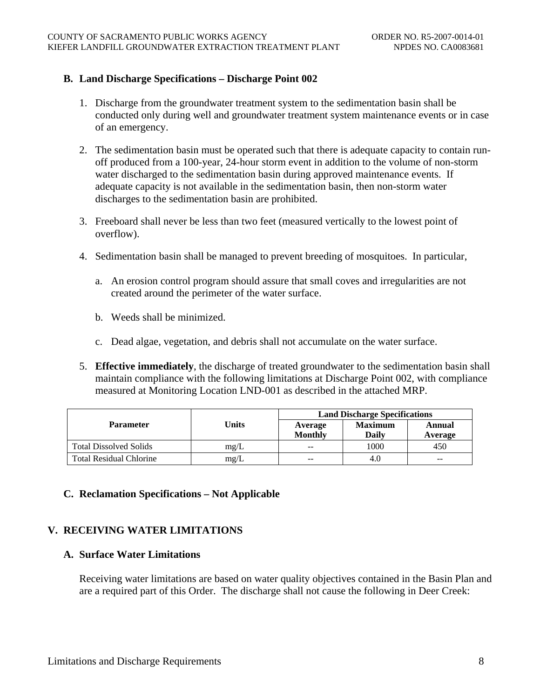### **B. Land Discharge Specifications – Discharge Point 002**

- 1. Discharge from the groundwater treatment system to the sedimentation basin shall be conducted only during well and groundwater treatment system maintenance events or in case of an emergency.
- 2. The sedimentation basin must be operated such that there is adequate capacity to contain runoff produced from a 100-year, 24-hour storm event in addition to the volume of non-storm water discharged to the sedimentation basin during approved maintenance events. If adequate capacity is not available in the sedimentation basin, then non-storm water discharges to the sedimentation basin are prohibited.
- 3. Freeboard shall never be less than two feet (measured vertically to the lowest point of overflow).
- 4. Sedimentation basin shall be managed to prevent breeding of mosquitoes. In particular,
	- a. An erosion control program should assure that small coves and irregularities are not created around the perimeter of the water surface.
	- b. Weeds shall be minimized.
	- c. Dead algae, vegetation, and debris shall not accumulate on the water surface.
- 5. **Effective immediately**, the discharge of treated groundwater to the sedimentation basin shall maintain compliance with the following limitations at Discharge Point 002, with compliance measured at Monitoring Location LND-001 as described in the attached MRP.

|                                |       | <b>Land Discharge Specifications</b> |                         |                   |  |
|--------------------------------|-------|--------------------------------------|-------------------------|-------------------|--|
| <b>Parameter</b>               | Units | Average<br><b>Monthly</b>            | <b>Maximum</b><br>Daily | Annual<br>Average |  |
| <b>Total Dissolved Solids</b>  | mg/L  | $- -$                                | 1000                    | 450               |  |
| <b>Total Residual Chlorine</b> | mg/L  | $- -$                                | 4.0                     | $- -$             |  |

## **C. Reclamation Specifications – Not Applicable**

## **V. RECEIVING WATER LIMITATIONS**

### **A. Surface Water Limitations**

Receiving water limitations are based on water quality objectives contained in the Basin Plan and are a required part of this Order. The discharge shall not cause the following in Deer Creek: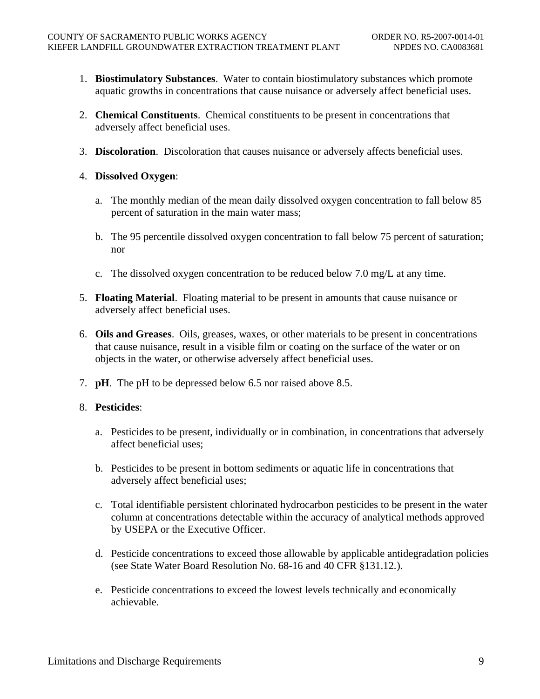- 1. **Biostimulatory Substances**. Water to contain biostimulatory substances which promote aquatic growths in concentrations that cause nuisance or adversely affect beneficial uses.
- 2. **Chemical Constituents**. Chemical constituents to be present in concentrations that adversely affect beneficial uses.
- 3. **Discoloration**. Discoloration that causes nuisance or adversely affects beneficial uses.
- 4. **Dissolved Oxygen**:
	- a. The monthly median of the mean daily dissolved oxygen concentration to fall below 85 percent of saturation in the main water mass;
	- b. The 95 percentile dissolved oxygen concentration to fall below 75 percent of saturation; nor
	- c. The dissolved oxygen concentration to be reduced below 7.0 mg/L at any time.
- 5. **Floating Material**. Floating material to be present in amounts that cause nuisance or adversely affect beneficial uses.
- 6. **Oils and Greases**. Oils, greases, waxes, or other materials to be present in concentrations that cause nuisance, result in a visible film or coating on the surface of the water or on objects in the water, or otherwise adversely affect beneficial uses.
- 7. **pH**. The pH to be depressed below 6.5 nor raised above 8.5.

## 8. **Pesticides**:

- a. Pesticides to be present, individually or in combination, in concentrations that adversely affect beneficial uses;
- b. Pesticides to be present in bottom sediments or aquatic life in concentrations that adversely affect beneficial uses;
- c. Total identifiable persistent chlorinated hydrocarbon pesticides to be present in the water column at concentrations detectable within the accuracy of analytical methods approved by USEPA or the Executive Officer.
- d. Pesticide concentrations to exceed those allowable by applicable antidegradation policies (see State Water Board Resolution No. 68-16 and 40 CFR §131.12. ).
- e. Pesticide concentrations to exceed the lowest levels technically and economically achievable.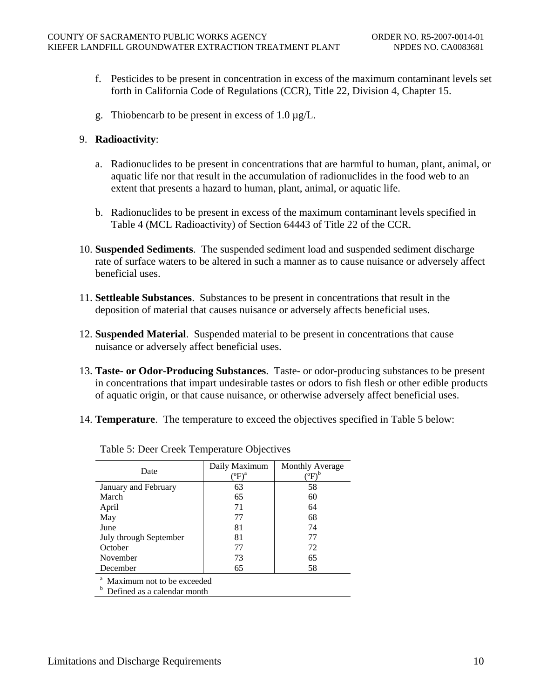- f. Pesticides to be present in concentration in excess of the maximum contaminant levels set forth in California Code of Regulations (CCR), Title 22, Division 4, Chapter 15.
- g. Thiobencarb to be present in excess of 1.0 µg/L.

### 9. **Radioactivity**:

- a. Radionuclides to be present in concentrations that are harmful to human, plant, animal, or aquatic life nor that result in the accumulation of radionuclides in the food web to an extent that presents a hazard to human, plant, animal, or aquatic life.
- b. Radionuclides to be present in excess of the maximum contaminant levels specified in Table 4 (MCL Radioactivity) of Section 64443 of Title 22 of the CCR.
- 10. **Suspended Sediments**. The suspended sediment load and suspended sediment discharge rate of surface waters to be altered in such a manner as to cause nuisance or adversely affect beneficial uses.
- 11. **Settleable Substances**. Substances to be present in concentrations that result in the deposition of material that causes nuisance or adversely affects beneficial uses.
- 12. **Suspended Material**. Suspended material to be present in concentrations that cause nuisance or adversely affect beneficial uses.
- 13. **Taste- or Odor-Producing Substances**. Taste- or odor-producing substances to be present in concentrations that impart undesirable tastes or odors to fish flesh or other edible products of aquatic origin, or that cause nuisance, or otherwise adversely affect beneficial uses.
- 14. **Temperature**. The temperature to exceed the objectives specified in Table 5 below:

| Date                                    | Daily Maximum<br>$\rm{^oF)^a}$ | Monthly Average<br>$\mathrm{^oF)^b}$ |  |  |  |
|-----------------------------------------|--------------------------------|--------------------------------------|--|--|--|
| January and February                    | 63                             | 58                                   |  |  |  |
| March                                   | 65                             | 60                                   |  |  |  |
| April                                   | 71                             | 64                                   |  |  |  |
| May                                     | 77                             | 68                                   |  |  |  |
| June                                    | 81                             | 74                                   |  |  |  |
| July through September                  | 81                             | 77                                   |  |  |  |
| October                                 | 77                             | 72                                   |  |  |  |
| November                                | 73                             | 65                                   |  |  |  |
| December                                | 65                             | 58                                   |  |  |  |
| <sup>a</sup> Maximum not to be exceeded |                                |                                      |  |  |  |

Table 5: Deer Creek Temperature Objectives

Maximum not to be exceeded

**b** Defined as a calendar month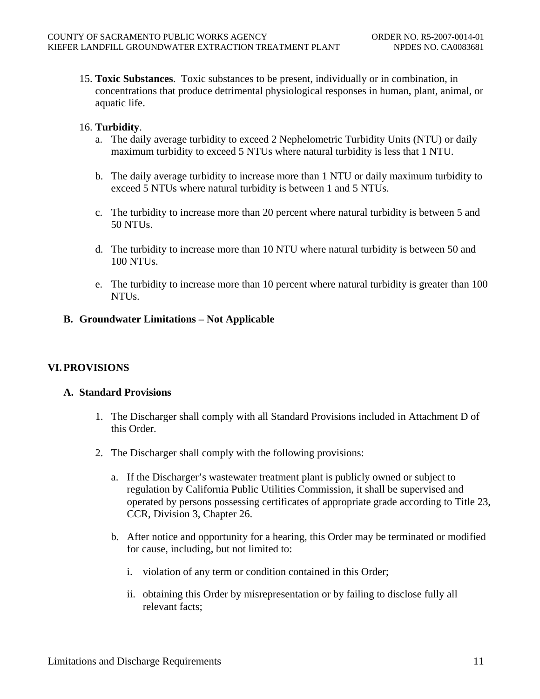15. **Toxic Substances**. Toxic substances to be present, individually or in combination, in concentrations that produce detrimental physiological responses in human, plant, animal, or aquatic life.

### 16. **Turbidity**.

- a. The daily average turbidity to exceed 2 Nephelometric Turbidity Units (NTU) or daily maximum turbidity to exceed 5 NTUs where natural turbidity is less that 1 NTU.
- b. The daily average turbidity to increase more than 1 NTU or daily maximum turbidity to exceed 5 NTUs where natural turbidity is between 1 and 5 NTUs.
- c. The turbidity to increase more than 20 percent where natural turbidity is between 5 and 50 NTUs.
- d. The turbidity to increase more than 10 NTU where natural turbidity is between 50 and 100 NTUs.
- e. The turbidity to increase more than 10 percent where natural turbidity is greater than 100 NTUs.

### **B. Groundwater Limitations – Not Applicable**

### **VI.PROVISIONS**

#### **A. Standard Provisions**

- 1. The Discharger shall comply with all Standard Provisions included in Attachment D of this Order.
- 2. The Discharger shall comply with the following provisions:
	- a. If the Discharger's wastewater treatment plant is publicly owned or subject to regulation by California Public Utilities Commission, it shall be supervised and operated by persons possessing certificates of appropriate grade according to Title 23, CCR, Division 3, Chapter 26.
	- b. After notice and opportunity for a hearing, this Order may be terminated or modified for cause, including, but not limited to:
		- i. violation of any term or condition contained in this Order;
		- ii. obtaining this Order by misrepresentation or by failing to disclose fully all relevant facts;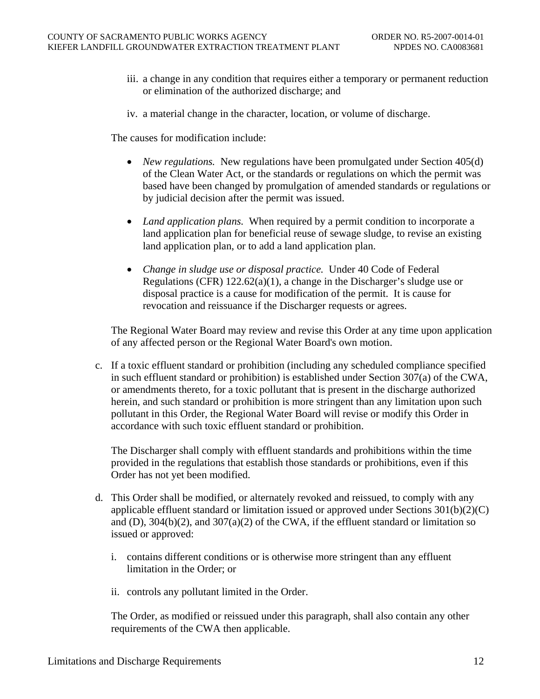- iii. a change in any condition that requires either a temporary or permanent reduction or elimination of the authorized discharge; and
- iv. a material change in the character, location, or volume of discharge.

The causes for modification include:

- *New regulations.* New regulations have been promulgated under Section 405(d) of the Clean Water Act, or the standards or regulations on which the permit was based have been changed by promulgation of amended standards or regulations or by judicial decision after the permit was issued.
- *Land application plans.* When required by a permit condition to incorporate a land application plan for beneficial reuse of sewage sludge, to revise an existing land application plan, or to add a land application plan.
- *Change in sludge use or disposal practice.* Under 40 Code of Federal Regulations (CFR) 122.62(a)(1), a change in the Discharger's sludge use or disposal practice is a cause for modification of the permit. It is cause for revocation and reissuance if the Discharger requests or agrees.

The Regional Water Board may review and revise this Order at any time upon application of any affected person or the Regional Water Board's own motion.

c. If a toxic effluent standard or prohibition (including any scheduled compliance specified in such effluent standard or prohibition) is established under Section 307(a) of the CWA, or amendments thereto, for a toxic pollutant that is present in the discharge authorized herein, and such standard or prohibition is more stringent than any limitation upon such pollutant in this Order, the Regional Water Board will revise or modify this Order in accordance with such toxic effluent standard or prohibition.

The Discharger shall comply with effluent standards and prohibitions within the time provided in the regulations that establish those standards or prohibitions, even if this Order has not yet been modified.

- d. This Order shall be modified, or alternately revoked and reissued, to comply with any applicable effluent standard or limitation issued or approved under Sections 301(b)(2)(C) and (D),  $304(b)(2)$ , and  $307(a)(2)$  of the CWA, if the effluent standard or limitation so issued or approved:
	- i. contains different conditions or is otherwise more stringent than any effluent limitation in the Order; or
	- ii. controls any pollutant limited in the Order.

The Order, as modified or reissued under this paragraph, shall also contain any other requirements of the CWA then applicable.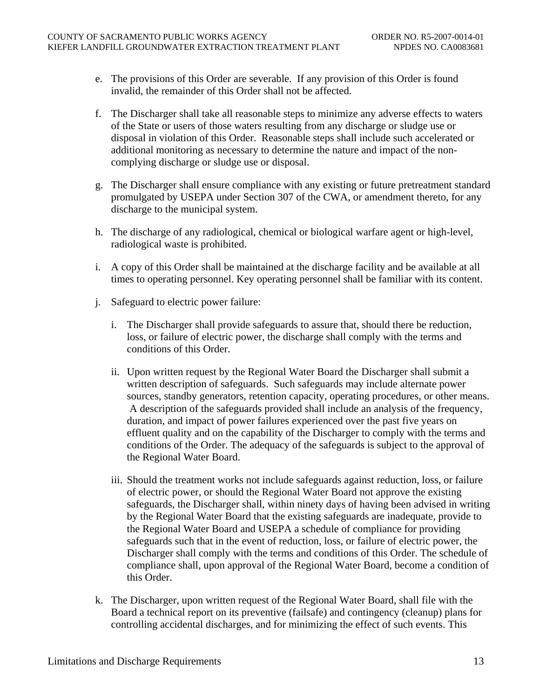- e. The provisions of this Order are severable. If any provision of this Order is found invalid, the remainder of this Order shall not be affected.
- f. The Discharger shall take all reasonable steps to minimize any adverse effects to waters of the State or users of those waters resulting from any discharge or sludge use or disposal in violation of this Order. Reasonable steps shall include such accelerated or additional monitoring as necessary to determine the nature and impact of the noncomplying discharge or sludge use or disposal.
- g. The Discharger shall ensure compliance with any existing or future pretreatment standard promulgated by USEPA under Section 307 of the CWA, or amendment thereto, for any discharge to the municipal system.
- h. The discharge of any radiological, chemical or biological warfare agent or high-level, radiological waste is prohibited.
- i. A copy of this Order shall be maintained at the discharge facility and be available at all times to operating personnel. Key operating personnel shall be familiar with its content.
- j. Safeguard to electric power failure:
	- i. The Discharger shall provide safeguards to assure that, should there be reduction, loss, or failure of electric power, the discharge shall comply with the terms and conditions of this Order.
	- ii. Upon written request by the Regional Water Board the Discharger shall submit a written description of safeguards. Such safeguards may include alternate power sources, standby generators, retention capacity, operating procedures, or other means. A description of the safeguards provided shall include an analysis of the frequency, duration, and impact of power failures experienced over the past five years on effluent quality and on the capability of the Discharger to comply with the terms and conditions of the Order. The adequacy of the safeguards is subject to the approval of the Regional Water Board.
	- iii. Should the treatment works not include safeguards against reduction, loss, or failure of electric power, or should the Regional Water Board not approve the existing safeguards, the Discharger shall, within ninety days of having been advised in writing by the Regional Water Board that the existing safeguards are inadequate, provide to the Regional Water Board and USEPA a schedule of compliance for providing safeguards such that in the event of reduction, loss, or failure of electric power, the Discharger shall comply with the terms and conditions of this Order. The schedule of compliance shall, upon approval of the Regional Water Board, become a condition of this Order.
- k. The Discharger, upon written request of the Regional Water Board, shall file with the Board a technical report on its preventive (failsafe) and contingency (cleanup) plans for controlling accidental discharges, and for minimizing the effect of such events. This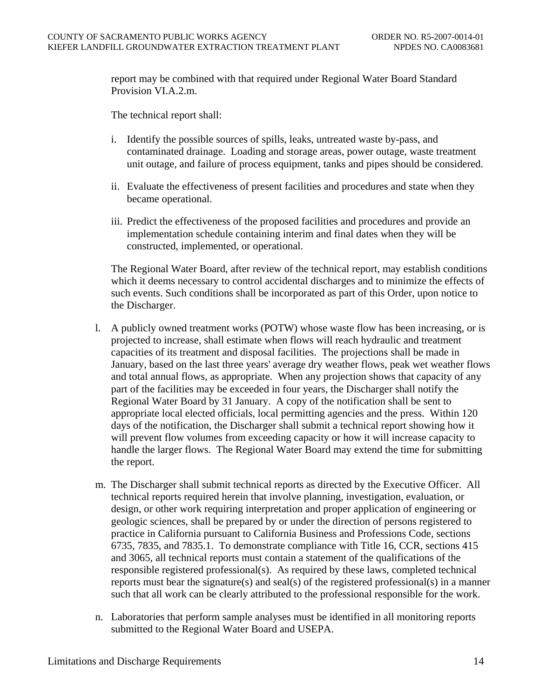report may be combined with that required under Regional Water Board Standard Provision VI.A.2.m.

The technical report shall:

- i. Identify the possible sources of spills, leaks, untreated waste by-pass, and contaminated drainage. Loading and storage areas, power outage, waste treatment unit outage, and failure of process equipment, tanks and pipes should be considered.
- ii. Evaluate the effectiveness of present facilities and procedures and state when they became operational.
- iii. Predict the effectiveness of the proposed facilities and procedures and provide an implementation schedule containing interim and final dates when they will be constructed, implemented, or operational.

The Regional Water Board, after review of the technical report, may establish conditions which it deems necessary to control accidental discharges and to minimize the effects of such events. Such conditions shall be incorporated as part of this Order, upon notice to the Discharger.

- l. A publicly owned treatment works (POTW) whose waste flow has been increasing, or is projected to increase, shall estimate when flows will reach hydraulic and treatment capacities of its treatment and disposal facilities. The projections shall be made in January, based on the last three years' average dry weather flows, peak wet weather flows and total annual flows, as appropriate. When any projection shows that capacity of any part of the facilities may be exceeded in four years, the Discharger shall notify the Regional Water Board by 31 January. A copy of the notification shall be sent to appropriate local elected officials, local permitting agencies and the press. Within 120 days of the notification, the Discharger shall submit a technical report showing how it will prevent flow volumes from exceeding capacity or how it will increase capacity to handle the larger flows. The Regional Water Board may extend the time for submitting the report.
- m. The Discharger shall submit technical reports as directed by the Executive Officer. All technical reports required herein that involve planning, investigation, evaluation, or design, or other work requiring interpretation and proper application of engineering or geologic sciences, shall be prepared by or under the direction of persons registered to practice in California pursuant to California Business and Professions Code, sections 6735, 7835, and 7835.1. To demonstrate compliance with Title 16, CCR, sections 415 and 3065, all technical reports must contain a statement of the qualifications of the responsible registered professional(s). As required by these laws, completed technical reports must bear the signature(s) and seal(s) of the registered professional(s) in a manner such that all work can be clearly attributed to the professional responsible for the work.
- n. Laboratories that perform sample analyses must be identified in all monitoring reports submitted to the Regional Water Board and USEPA.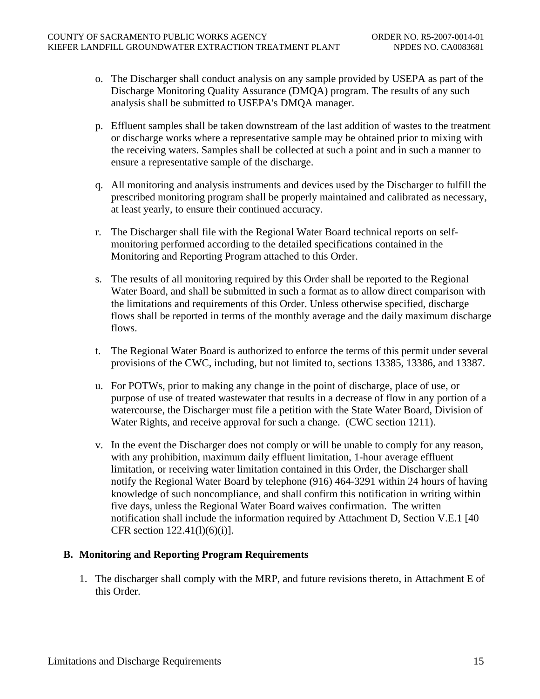- o. The Discharger shall conduct analysis on any sample provided by USEPA as part of the Discharge Monitoring Quality Assurance (DMQA) program. The results of any such analysis shall be submitted to USEPA's DMQA manager.
- p. Effluent samples shall be taken downstream of the last addition of wastes to the treatment or discharge works where a representative sample may be obtained prior to mixing with the receiving waters. Samples shall be collected at such a point and in such a manner to ensure a representative sample of the discharge.
- q. All monitoring and analysis instruments and devices used by the Discharger to fulfill the prescribed monitoring program shall be properly maintained and calibrated as necessary, at least yearly, to ensure their continued accuracy.
- r. The Discharger shall file with the Regional Water Board technical reports on selfmonitoring performed according to the detailed specifications contained in the Monitoring and Reporting Program attached to this Order.
- s. The results of all monitoring required by this Order shall be reported to the Regional Water Board, and shall be submitted in such a format as to allow direct comparison with the limitations and requirements of this Order. Unless otherwise specified, discharge flows shall be reported in terms of the monthly average and the daily maximum discharge flows.
- t. The Regional Water Board is authorized to enforce the terms of this permit under several provisions of the CWC, including, but not limited to, sections 13385, 13386, and 13387.
- u. For POTWs, prior to making any change in the point of discharge, place of use, or purpose of use of treated wastewater that results in a decrease of flow in any portion of a watercourse, the Discharger must file a petition with the State Water Board, Division of Water Rights, and receive approval for such a change. (CWC section 1211).
- v. In the event the Discharger does not comply or will be unable to comply for any reason, with any prohibition, maximum daily effluent limitation, 1-hour average effluent limitation, or receiving water limitation contained in this Order, the Discharger shall notify the Regional Water Board by telephone (916) 464-3291 within 24 hours of having knowledge of such noncompliance, and shall confirm this notification in writing within five days, unless the Regional Water Board waives confirmation. The written notification shall include the information required by Attachment D, Section V.E.1 [40 CFR section 122.41(l)(6)(i)].

### **B. Monitoring and Reporting Program Requirements**

1. The discharger shall comply with the MRP, and future revisions thereto, in Attachment E of this Order.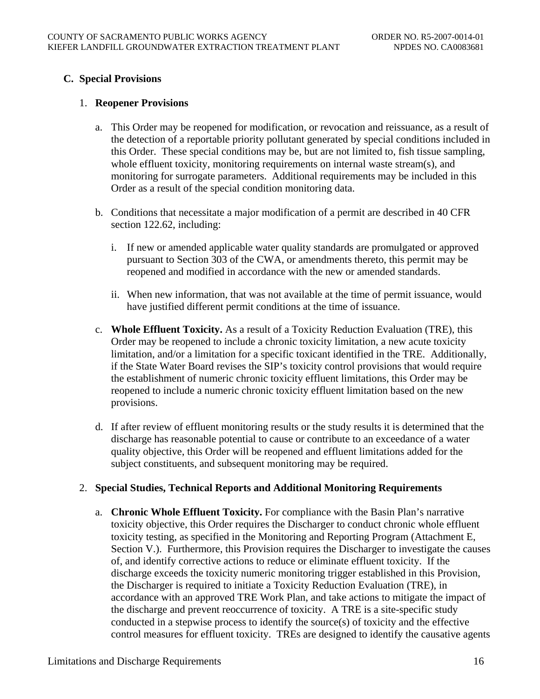## **C. Special Provisions**

### 1. **Reopener Provisions**

- a. This Order may be reopened for modification, or revocation and reissuance, as a result of the detection of a reportable priority pollutant generated by special conditions included in this Order. These special conditions may be, but are not limited to, fish tissue sampling, whole effluent toxicity, monitoring requirements on internal waste stream(s), and monitoring for surrogate parameters. Additional requirements may be included in this Order as a result of the special condition monitoring data.
- b. Conditions that necessitate a major modification of a permit are described in 40 CFR section 122.62, including:
	- i. If new or amended applicable water quality standards are promulgated or approved pursuant to Section 303 of the CWA, or amendments thereto, this permit may be reopened and modified in accordance with the new or amended standards.
	- ii. When new information, that was not available at the time of permit issuance, would have justified different permit conditions at the time of issuance.
- c. **Whole Effluent Toxicity.** As a result of a Toxicity Reduction Evaluation (TRE), this Order may be reopened to include a chronic toxicity limitation, a new acute toxicity limitation, and/or a limitation for a specific toxicant identified in the TRE. Additionally, if the State Water Board revises the SIP's toxicity control provisions that would require the establishment of numeric chronic toxicity effluent limitations, this Order may be reopened to include a numeric chronic toxicity effluent limitation based on the new provisions.
- d. If after review of effluent monitoring results or the study results it is determined that the discharge has reasonable potential to cause or contribute to an exceedance of a water quality objective, this Order will be reopened and effluent limitations added for the subject constituents, and subsequent monitoring may be required.

### 2. **Special Studies, Technical Reports and Additional Monitoring Requirements**

a. **Chronic Whole Effluent Toxicity.** For compliance with the Basin Plan's narrative toxicity objective, this Order requires the Discharger to conduct chronic whole effluent toxicity testing, as specified in the Monitoring and Reporting Program (Attachment E, Section V.). Furthermore, this Provision requires the Discharger to investigate the causes of, and identify corrective actions to reduce or eliminate effluent toxicity. If the discharge exceeds the toxicity numeric monitoring trigger established in this Provision, the Discharger is required to initiate a Toxicity Reduction Evaluation (TRE), in accordance with an approved TRE Work Plan, and take actions to mitigate the impact of the discharge and prevent reoccurrence of toxicity. A TRE is a site-specific study conducted in a stepwise process to identify the source(s) of toxicity and the effective control measures for effluent toxicity. TREs are designed to identify the causative agents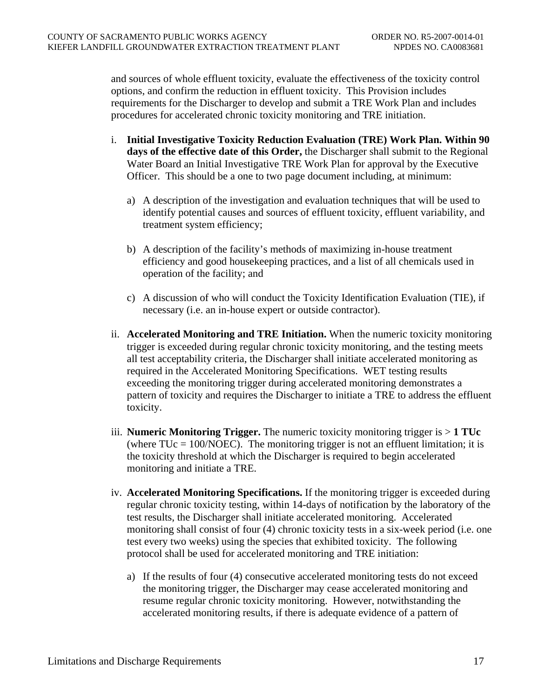and sources of whole effluent toxicity, evaluate the effectiveness of the toxicity control options, and confirm the reduction in effluent toxicity. This Provision includes requirements for the Discharger to develop and submit a TRE Work Plan and includes procedures for accelerated chronic toxicity monitoring and TRE initiation.

- i. **Initial Investigative Toxicity Reduction Evaluation (TRE) Work Plan. Within 90 days of the effective date of this Order,** the Discharger shall submit to the Regional Water Board an Initial Investigative TRE Work Plan for approval by the Executive Officer. This should be a one to two page document including, at minimum:
	- a) A description of the investigation and evaluation techniques that will be used to identify potential causes and sources of effluent toxicity, effluent variability, and treatment system efficiency;
	- b) A description of the facility's methods of maximizing in-house treatment efficiency and good housekeeping practices, and a list of all chemicals used in operation of the facility; and
	- c) A discussion of who will conduct the Toxicity Identification Evaluation (TIE), if necessary (i.e. an in-house expert or outside contractor).
- ii. **Accelerated Monitoring and TRE Initiation.** When the numeric toxicity monitoring trigger is exceeded during regular chronic toxicity monitoring, and the testing meets all test acceptability criteria, the Discharger shall initiate accelerated monitoring as required in the Accelerated Monitoring Specifications. WET testing results exceeding the monitoring trigger during accelerated monitoring demonstrates a pattern of toxicity and requires the Discharger to initiate a TRE to address the effluent toxicity.
- iii. **Numeric Monitoring Trigger.** The numeric toxicity monitoring trigger is > **1 TUc**  (where  $TUC = 100/NOEC$ ). The monitoring trigger is not an effluent limitation; it is the toxicity threshold at which the Discharger is required to begin accelerated monitoring and initiate a TRE.
- iv. **Accelerated Monitoring Specifications.** If the monitoring trigger is exceeded during regular chronic toxicity testing, within 14-days of notification by the laboratory of the test results, the Discharger shall initiate accelerated monitoring. Accelerated monitoring shall consist of four (4) chronic toxicity tests in a six-week period (i.e. one test every two weeks) using the species that exhibited toxicity. The following protocol shall be used for accelerated monitoring and TRE initiation:
	- a) If the results of four (4) consecutive accelerated monitoring tests do not exceed the monitoring trigger, the Discharger may cease accelerated monitoring and resume regular chronic toxicity monitoring. However, notwithstanding the accelerated monitoring results, if there is adequate evidence of a pattern of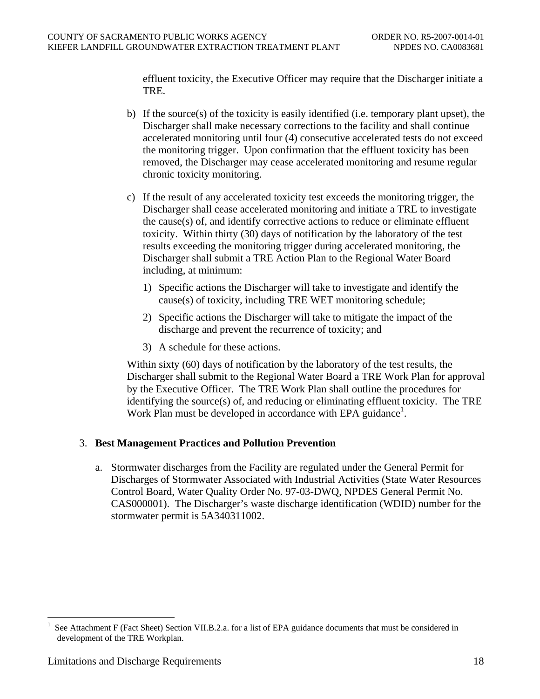effluent toxicity, the Executive Officer may require that the Discharger initiate a TRE.

- b) If the source(s) of the toxicity is easily identified (i.e. temporary plant upset), the Discharger shall make necessary corrections to the facility and shall continue accelerated monitoring until four (4) consecutive accelerated tests do not exceed the monitoring trigger. Upon confirmation that the effluent toxicity has been removed, the Discharger may cease accelerated monitoring and resume regular chronic toxicity monitoring.
- c) If the result of any accelerated toxicity test exceeds the monitoring trigger, the Discharger shall cease accelerated monitoring and initiate a TRE to investigate the cause(s) of, and identify corrective actions to reduce or eliminate effluent toxicity. Within thirty (30) days of notification by the laboratory of the test results exceeding the monitoring trigger during accelerated monitoring, the Discharger shall submit a TRE Action Plan to the Regional Water Board including, at minimum:
	- 1) Specific actions the Discharger will take to investigate and identify the cause(s) of toxicity, including TRE WET monitoring schedule;
	- 2) Specific actions the Discharger will take to mitigate the impact of the discharge and prevent the recurrence of toxicity; and
	- 3) A schedule for these actions.

Within sixty (60) days of notification by the laboratory of the test results, the Discharger shall submit to the Regional Water Board a TRE Work Plan for approval by the Executive Officer. The TRE Work Plan shall outline the procedures for identifying the source(s) of, and reducing or eliminating effluent toxicity. The TRE Work Plan must be developed in accordance with EPA guidance<sup>1</sup>.

### 3. **Best Management Practices and Pollution Prevention**

a. Stormwater discharges from the Facility are regulated under the General Permit for Discharges of Stormwater Associated with Industrial Activities (State Water Resources Control Board, Water Quality Order No. 97-03-DWQ, NPDES General Permit No. CAS000001). The Discharger's waste discharge identification (WDID) number for the stormwater permit is 5A340311002.

 $\overline{a}$ 

See Attachment F (Fact Sheet) Section VII.B.2.a. for a list of EPA guidance documents that must be considered in development of the TRE Workplan.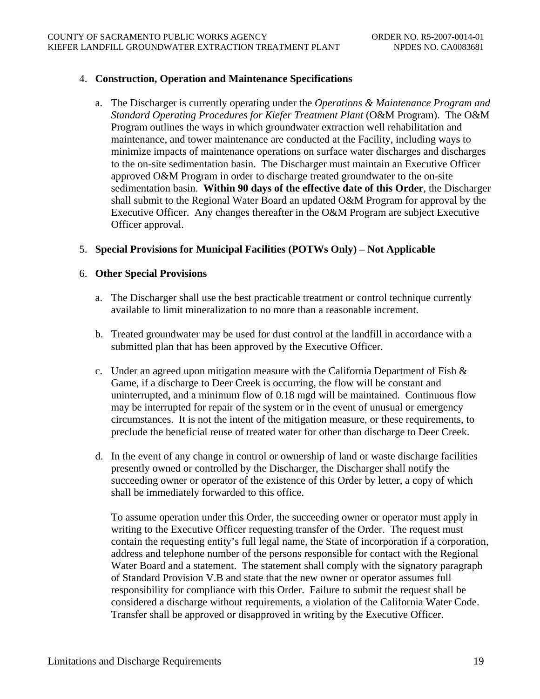### 4. **Construction, Operation and Maintenance Specifications**

a. The Discharger is currently operating under the *Operations & Maintenance Program and Standard Operating Procedures for Kiefer Treatment Plant* (O&M Program). The O&M Program outlines the ways in which groundwater extraction well rehabilitation and maintenance, and tower maintenance are conducted at the Facility, including ways to minimize impacts of maintenance operations on surface water discharges and discharges to the on-site sedimentation basin. The Discharger must maintain an Executive Officer approved O&M Program in order to discharge treated groundwater to the on-site sedimentation basin. **Within 90 days of the effective date of this Order**, the Discharger shall submit to the Regional Water Board an updated O&M Program for approval by the Executive Officer. Any changes thereafter in the O&M Program are subject Executive Officer approval.

## 5. **Special Provisions for Municipal Facilities (POTWs Only) – Not Applicable**

### 6. **Other Special Provisions**

- a. The Discharger shall use the best practicable treatment or control technique currently available to limit mineralization to no more than a reasonable increment.
- b. Treated groundwater may be used for dust control at the landfill in accordance with a submitted plan that has been approved by the Executive Officer.
- c. Under an agreed upon mitigation measure with the California Department of Fish & Game, if a discharge to Deer Creek is occurring, the flow will be constant and uninterrupted, and a minimum flow of 0.18 mgd will be maintained. Continuous flow may be interrupted for repair of the system or in the event of unusual or emergency circumstances. It is not the intent of the mitigation measure, or these requirements, to preclude the beneficial reuse of treated water for other than discharge to Deer Creek.
- d. In the event of any change in control or ownership of land or waste discharge facilities presently owned or controlled by the Discharger, the Discharger shall notify the succeeding owner or operator of the existence of this Order by letter, a copy of which shall be immediately forwarded to this office.

To assume operation under this Order, the succeeding owner or operator must apply in writing to the Executive Officer requesting transfer of the Order. The request must contain the requesting entity's full legal name, the State of incorporation if a corporation, address and telephone number of the persons responsible for contact with the Regional Water Board and a statement. The statement shall comply with the signatory paragraph of Standard Provision V.B and state that the new owner or operator assumes full responsibility for compliance with this Order. Failure to submit the request shall be considered a discharge without requirements, a violation of the California Water Code. Transfer shall be approved or disapproved in writing by the Executive Officer.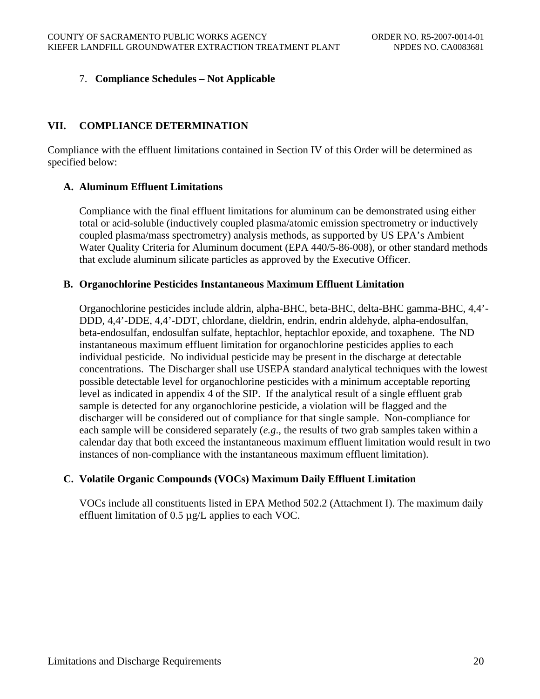## 7. **Compliance Schedules – Not Applicable**

## **VII. COMPLIANCE DETERMINATION**

Compliance with the effluent limitations contained in Section IV of this Order will be determined as specified below:

### **A. Aluminum Effluent Limitations**

Compliance with the final effluent limitations for aluminum can be demonstrated using either total or acid-soluble (inductively coupled plasma/atomic emission spectrometry or inductively coupled plasma/mass spectrometry) analysis methods, as supported by US EPA's Ambient Water Quality Criteria for Aluminum document (EPA 440/5-86-008), or other standard methods that exclude aluminum silicate particles as approved by the Executive Officer.

### **B. Organochlorine Pesticides Instantaneous Maximum Effluent Limitation**

Organochlorine pesticides include aldrin, alpha-BHC, beta-BHC, delta-BHC gamma-BHC, 4,4'- DDD, 4,4'-DDE, 4,4'-DDT, chlordane, dieldrin, endrin, endrin aldehyde, alpha-endosulfan, beta-endosulfan, endosulfan sulfate, heptachlor, heptachlor epoxide, and toxaphene. The ND instantaneous maximum effluent limitation for organochlorine pesticides applies to each individual pesticide. No individual pesticide may be present in the discharge at detectable concentrations. The Discharger shall use USEPA standard analytical techniques with the lowest possible detectable level for organochlorine pesticides with a minimum acceptable reporting level as indicated in appendix 4 of the SIP. If the analytical result of a single effluent grab sample is detected for any organochlorine pesticide, a violation will be flagged and the discharger will be considered out of compliance for that single sample. Non-compliance for each sample will be considered separately (*e.g*., the results of two grab samples taken within a calendar day that both exceed the instantaneous maximum effluent limitation would result in two instances of non-compliance with the instantaneous maximum effluent limitation).

## **C. Volatile Organic Compounds (VOCs) Maximum Daily Effluent Limitation**

VOCs include all constituents listed in EPA Method 502.2 (Attachment I). The maximum daily effluent limitation of 0.5 µg/L applies to each VOC.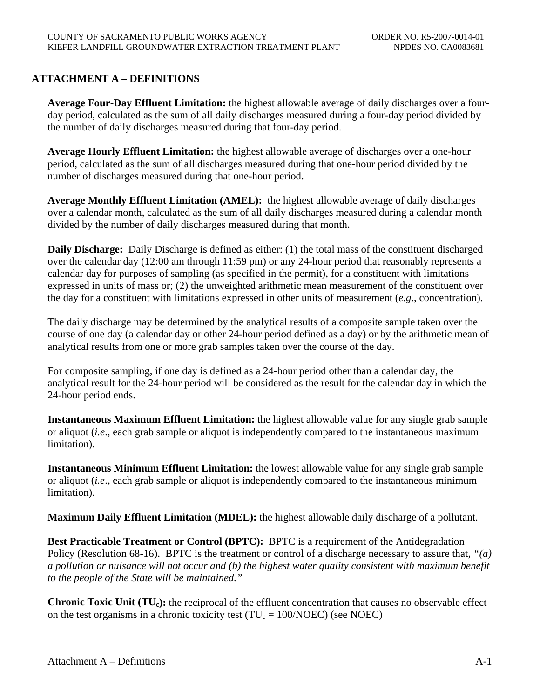# **ATTACHMENT A – DEFINITIONS**

**Average Four-Day Effluent Limitation:** the highest allowable average of daily discharges over a fourday period, calculated as the sum of all daily discharges measured during a four-day period divided by the number of daily discharges measured during that four-day period.

**Average Hourly Effluent Limitation:** the highest allowable average of discharges over a one-hour period, calculated as the sum of all discharges measured during that one-hour period divided by the number of discharges measured during that one-hour period.

**Average Monthly Effluent Limitation (AMEL):** the highest allowable average of daily discharges over a calendar month, calculated as the sum of all daily discharges measured during a calendar month divided by the number of daily discharges measured during that month.

**Daily Discharge:** Daily Discharge is defined as either: (1) the total mass of the constituent discharged over the calendar day (12:00 am through 11:59 pm) or any 24-hour period that reasonably represents a calendar day for purposes of sampling (as specified in the permit), for a constituent with limitations expressed in units of mass or; (2) the unweighted arithmetic mean measurement of the constituent over the day for a constituent with limitations expressed in other units of measurement (*e.g*., concentration).

The daily discharge may be determined by the analytical results of a composite sample taken over the course of one day (a calendar day or other 24-hour period defined as a day) or by the arithmetic mean of analytical results from one or more grab samples taken over the course of the day.

For composite sampling, if one day is defined as a 24-hour period other than a calendar day, the analytical result for the 24-hour period will be considered as the result for the calendar day in which the 24-hour period ends.

**Instantaneous Maximum Effluent Limitation:** the highest allowable value for any single grab sample or aliquot (*i.e*., each grab sample or aliquot is independently compared to the instantaneous maximum limitation).

**Instantaneous Minimum Effluent Limitation:** the lowest allowable value for any single grab sample or aliquot (*i.e*., each grab sample or aliquot is independently compared to the instantaneous minimum limitation).

**Maximum Daily Effluent Limitation (MDEL):** the highest allowable daily discharge of a pollutant.

**Best Practicable Treatment or Control (BPTC):** BPTC is a requirement of the Antidegradation Policy (Resolution 68-16). BPTC is the treatment or control of a discharge necessary to assure that, *"(a) a pollution or nuisance will not occur and (b) the highest water quality consistent with maximum benefit to the people of the State will be maintained."*

**Chronic Toxic Unit (TU<sub>c</sub>):** the reciprocal of the effluent concentration that causes no observable effect on the test organisms in a chronic toxicity test ( $TU_c = 100/NOEC$ ) (see NOEC)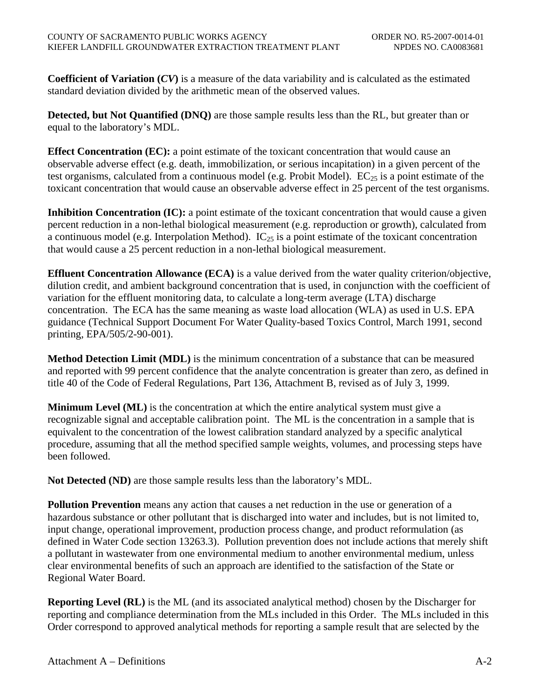**Coefficient of Variation (***CV***)** is a measure of the data variability and is calculated as the estimated standard deviation divided by the arithmetic mean of the observed values.

**Detected, but Not Quantified (DNQ)** are those sample results less than the RL, but greater than or equal to the laboratory's MDL.

**Effect Concentration (EC):** a point estimate of the toxicant concentration that would cause an observable adverse effect (e.g. death, immobilization, or serious incapitation) in a given percent of the test organisms, calculated from a continuous model (e.g. Probit Model).  $EC_{25}$  is a point estimate of the toxicant concentration that would cause an observable adverse effect in 25 percent of the test organisms.

**Inhibition Concentration (IC):** a point estimate of the toxicant concentration that would cause a given percent reduction in a non-lethal biological measurement (e.g. reproduction or growth), calculated from a continuous model (e.g. Interpolation Method).  $IC_{25}$  is a point estimate of the toxicant concentration that would cause a 25 percent reduction in a non-lethal biological measurement.

**Effluent Concentration Allowance (ECA)** is a value derived from the water quality criterion/objective, dilution credit, and ambient background concentration that is used, in conjunction with the coefficient of variation for the effluent monitoring data, to calculate a long-term average (LTA) discharge concentration. The ECA has the same meaning as waste load allocation (WLA) as used in U.S. EPA guidance (Technical Support Document For Water Quality-based Toxics Control, March 1991, second printing, EPA/505/2-90-001).

**Method Detection Limit (MDL)** is the minimum concentration of a substance that can be measured and reported with 99 percent confidence that the analyte concentration is greater than zero, as defined in title 40 of the Code of Federal Regulations, Part 136, Attachment B, revised as of July 3, 1999.

**Minimum Level (ML)** is the concentration at which the entire analytical system must give a recognizable signal and acceptable calibration point. The ML is the concentration in a sample that is equivalent to the concentration of the lowest calibration standard analyzed by a specific analytical procedure, assuming that all the method specified sample weights, volumes, and processing steps have been followed.

**Not Detected (ND)** are those sample results less than the laboratory's MDL.

**Pollution Prevention** means any action that causes a net reduction in the use or generation of a hazardous substance or other pollutant that is discharged into water and includes, but is not limited to, input change, operational improvement, production process change, and product reformulation (as defined in Water Code section 13263.3). Pollution prevention does not include actions that merely shift a pollutant in wastewater from one environmental medium to another environmental medium, unless clear environmental benefits of such an approach are identified to the satisfaction of the State or Regional Water Board.

**Reporting Level (RL)** is the ML (and its associated analytical method) chosen by the Discharger for reporting and compliance determination from the MLs included in this Order. The MLs included in this Order correspond to approved analytical methods for reporting a sample result that are selected by the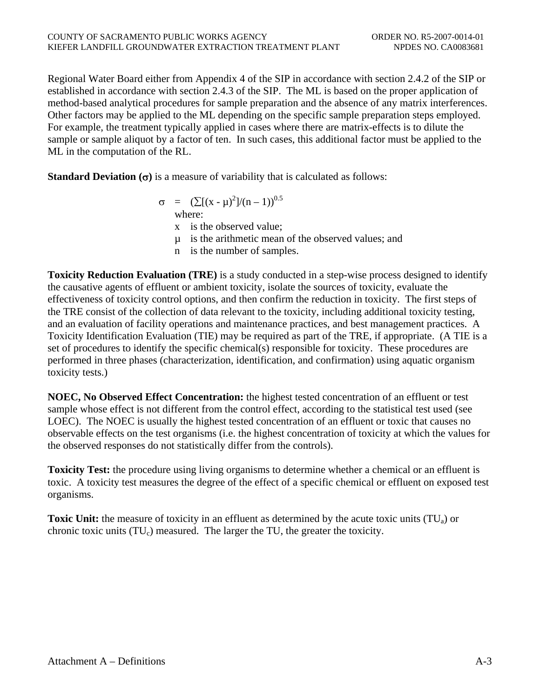Regional Water Board either from Appendix 4 of the SIP in accordance with section 2.4.2 of the SIP or established in accordance with section 2.4.3 of the SIP. The ML is based on the proper application of method-based analytical procedures for sample preparation and the absence of any matrix interferences. Other factors may be applied to the ML depending on the specific sample preparation steps employed. For example, the treatment typically applied in cases where there are matrix-effects is to dilute the sample or sample aliquot by a factor of ten. In such cases, this additional factor must be applied to the ML in the computation of the RL.

**Standard Deviation**  $(\sigma)$  is a measure of variability that is calculated as follows:

$$
\sigma = (\sum [(x - \mu)^2]/(n - 1))^{0.5}
$$
  
where:

x is the observed value;

µ is the arithmetic mean of the observed values; and

n is the number of samples.

**Toxicity Reduction Evaluation (TRE)** is a study conducted in a step-wise process designed to identify the causative agents of effluent or ambient toxicity, isolate the sources of toxicity, evaluate the effectiveness of toxicity control options, and then confirm the reduction in toxicity. The first steps of the TRE consist of the collection of data relevant to the toxicity, including additional toxicity testing, and an evaluation of facility operations and maintenance practices, and best management practices. A Toxicity Identification Evaluation (TIE) may be required as part of the TRE, if appropriate. (A TIE is a set of procedures to identify the specific chemical(s) responsible for toxicity. These procedures are performed in three phases (characterization, identification, and confirmation) using aquatic organism toxicity tests.)

**NOEC, No Observed Effect Concentration:** the highest tested concentration of an effluent or test sample whose effect is not different from the control effect, according to the statistical test used (see LOEC). The NOEC is usually the highest tested concentration of an effluent or toxic that causes no observable effects on the test organisms (i.e. the highest concentration of toxicity at which the values for the observed responses do not statistically differ from the controls).

**Toxicity Test:** the procedure using living organisms to determine whether a chemical or an effluent is toxic. A toxicity test measures the degree of the effect of a specific chemical or effluent on exposed test organisms.

**Toxic Unit:** the measure of toxicity in an effluent as determined by the acute toxic units (TU<sub>a</sub>) or chronic toxic units  $(TU_c)$  measured. The larger the TU, the greater the toxicity.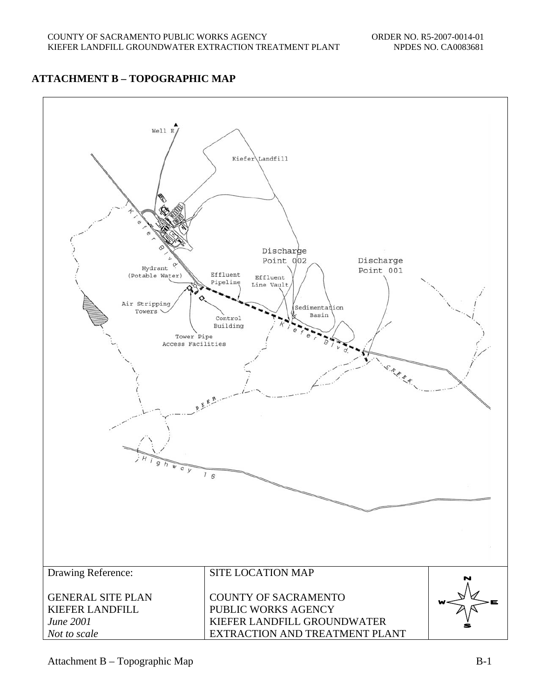# **ATTACHMENT B – TOPOGRAPHIC MAP**

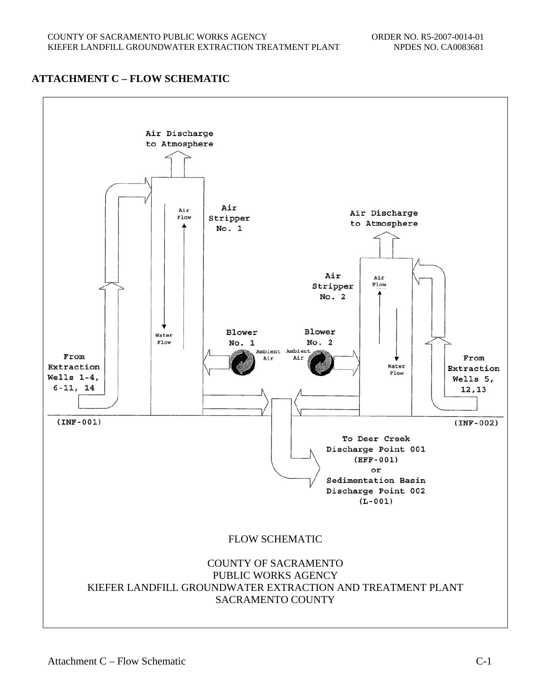# **ATTACHMENT C – FLOW SCHEMATIC**

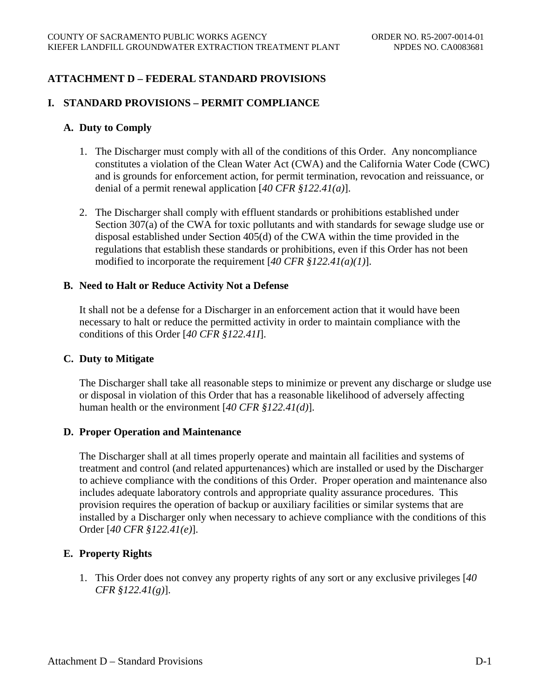# **ATTACHMENT D – FEDERAL STANDARD PROVISIONS**

### **I. STANDARD PROVISIONS – PERMIT COMPLIANCE**

### **A. Duty to Comply**

- 1. The Discharger must comply with all of the conditions of this Order. Any noncompliance constitutes a violation of the Clean Water Act (CWA) and the California Water Code (CWC) and is grounds for enforcement action, for permit termination, revocation and reissuance, or denial of a permit renewal application [*40 CFR §122.41(a)*].
- 2. The Discharger shall comply with effluent standards or prohibitions established under Section 307(a) of the CWA for toxic pollutants and with standards for sewage sludge use or disposal established under Section 405(d) of the CWA within the time provided in the regulations that establish these standards or prohibitions, even if this Order has not been modified to incorporate the requirement [*40 CFR §122.41(a)(1)*].

### **B. Need to Halt or Reduce Activity Not a Defense**

It shall not be a defense for a Discharger in an enforcement action that it would have been necessary to halt or reduce the permitted activity in order to maintain compliance with the conditions of this Order [*40 CFR §122.41I*].

#### **C. Duty to Mitigate**

The Discharger shall take all reasonable steps to minimize or prevent any discharge or sludge use or disposal in violation of this Order that has a reasonable likelihood of adversely affecting human health or the environment [*40 CFR §122.41(d)*].

### **D. Proper Operation and Maintenance**

The Discharger shall at all times properly operate and maintain all facilities and systems of treatment and control (and related appurtenances) which are installed or used by the Discharger to achieve compliance with the conditions of this Order. Proper operation and maintenance also includes adequate laboratory controls and appropriate quality assurance procedures. This provision requires the operation of backup or auxiliary facilities or similar systems that are installed by a Discharger only when necessary to achieve compliance with the conditions of this Order [*40 CFR §122.41(e)*].

### **E. Property Rights**

1. This Order does not convey any property rights of any sort or any exclusive privileges [*40 CFR §122.41(g)*].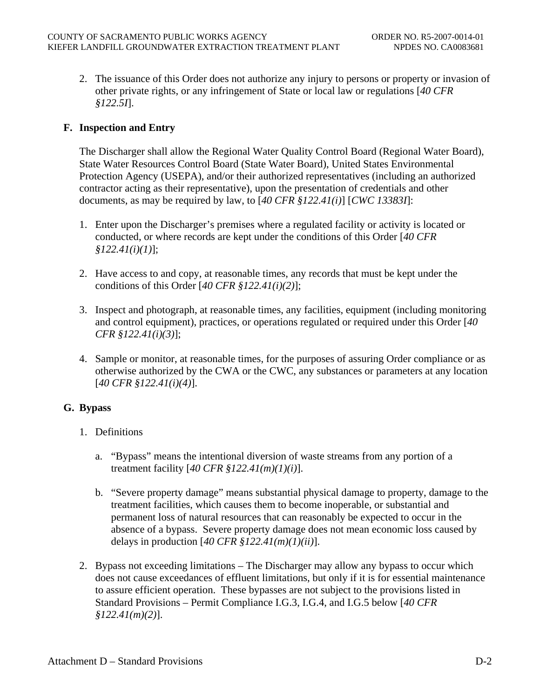2. The issuance of this Order does not authorize any injury to persons or property or invasion of other private rights, or any infringement of State or local law or regulations [*40 CFR §122.5I*].

## **F. Inspection and Entry**

The Discharger shall allow the Regional Water Quality Control Board (Regional Water Board), State Water Resources Control Board (State Water Board), United States Environmental Protection Agency (USEPA), and/or their authorized representatives (including an authorized contractor acting as their representative), upon the presentation of credentials and other documents, as may be required by law, to [*40 CFR §122.41(i)*] [*CWC 13383I*]:

- 1. Enter upon the Discharger's premises where a regulated facility or activity is located or conducted, or where records are kept under the conditions of this Order [*40 CFR §122.41(i)(1)*];
- 2. Have access to and copy, at reasonable times, any records that must be kept under the conditions of this Order [*40 CFR §122.41(i)(2)*];
- 3. Inspect and photograph, at reasonable times, any facilities, equipment (including monitoring and control equipment), practices, or operations regulated or required under this Order [*40 CFR §122.41(i)(3)*];
- 4. Sample or monitor, at reasonable times, for the purposes of assuring Order compliance or as otherwise authorized by the CWA or the CWC, any substances or parameters at any location [*40 CFR §122.41(i)(4)*].

### **G. Bypass**

- 1. Definitions
	- a. "Bypass" means the intentional diversion of waste streams from any portion of a treatment facility [*40 CFR §122.41(m)(1)(i)*].
	- b. "Severe property damage" means substantial physical damage to property, damage to the treatment facilities, which causes them to become inoperable, or substantial and permanent loss of natural resources that can reasonably be expected to occur in the absence of a bypass. Severe property damage does not mean economic loss caused by delays in production [*40 CFR §122.41(m)(1)(ii)*].
- 2. Bypass not exceeding limitations The Discharger may allow any bypass to occur which does not cause exceedances of effluent limitations, but only if it is for essential maintenance to assure efficient operation. These bypasses are not subject to the provisions listed in Standard Provisions – Permit Compliance I.G.3, I.G.4, and I.G.5 below [*40 CFR §122.41(m)(2)*].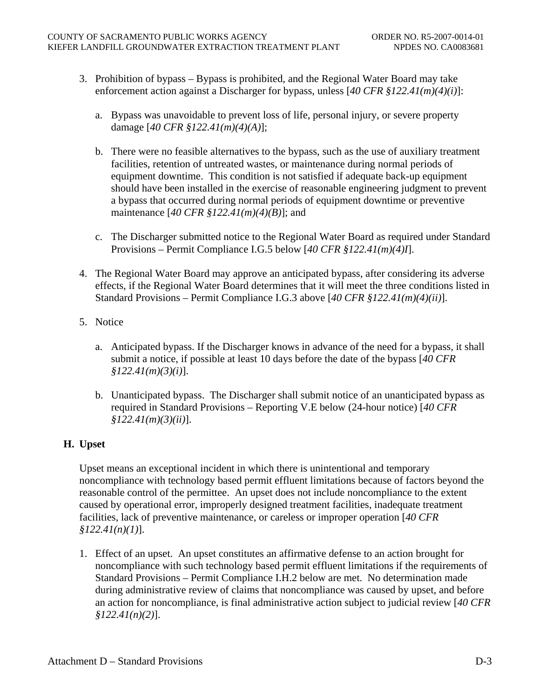- 3. Prohibition of bypass Bypass is prohibited, and the Regional Water Board may take enforcement action against a Discharger for bypass, unless [*40 CFR §122.41(m)(4)(i)*]:
	- a. Bypass was unavoidable to prevent loss of life, personal injury, or severe property damage [*40 CFR §122.41(m)(4)(A)*];
	- b. There were no feasible alternatives to the bypass, such as the use of auxiliary treatment facilities, retention of untreated wastes, or maintenance during normal periods of equipment downtime. This condition is not satisfied if adequate back-up equipment should have been installed in the exercise of reasonable engineering judgment to prevent a bypass that occurred during normal periods of equipment downtime or preventive maintenance [*40 CFR §122.41(m)(4)(B)*]; and
	- c. The Discharger submitted notice to the Regional Water Board as required under Standard Provisions – Permit Compliance I.G.5 below [*40 CFR §122.41(m)(4)I*].
- 4. The Regional Water Board may approve an anticipated bypass, after considering its adverse effects, if the Regional Water Board determines that it will meet the three conditions listed in Standard Provisions – Permit Compliance I.G.3 above [*40 CFR §122.41(m)(4)(ii)*].
- 5. Notice
	- a. Anticipated bypass. If the Discharger knows in advance of the need for a bypass, it shall submit a notice, if possible at least 10 days before the date of the bypass [*40 CFR §122.41(m)(3)(i)*].
	- b. Unanticipated bypass. The Discharger shall submit notice of an unanticipated bypass as required in Standard Provisions – Reporting V.E below (24-hour notice) [*40 CFR §122.41(m)(3)(ii)*].

# **H. Upset**

Upset means an exceptional incident in which there is unintentional and temporary noncompliance with technology based permit effluent limitations because of factors beyond the reasonable control of the permittee. An upset does not include noncompliance to the extent caused by operational error, improperly designed treatment facilities, inadequate treatment facilities, lack of preventive maintenance, or careless or improper operation [*40 CFR §122.41(n)(1)*].

1. Effect of an upset. An upset constitutes an affirmative defense to an action brought for noncompliance with such technology based permit effluent limitations if the requirements of Standard Provisions – Permit Compliance I.H.2 below are met. No determination made during administrative review of claims that noncompliance was caused by upset, and before an action for noncompliance, is final administrative action subject to judicial review [*40 CFR §122.41(n)(2)*].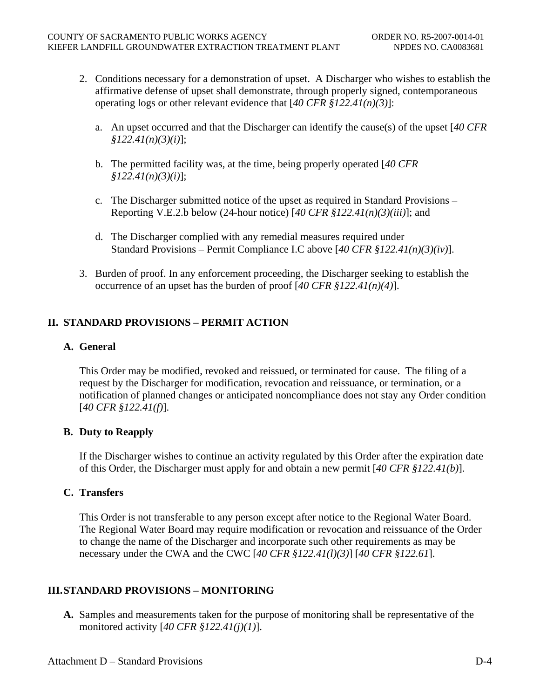- 2. Conditions necessary for a demonstration of upset. A Discharger who wishes to establish the affirmative defense of upset shall demonstrate, through properly signed, contemporaneous operating logs or other relevant evidence that [*40 CFR §122.41(n)(3)*]:
	- a. An upset occurred and that the Discharger can identify the cause(s) of the upset [*40 CFR §122.41(n)(3)(i)*];
	- b. The permitted facility was, at the time, being properly operated [*40 CFR §122.41(n)(3)(i)*];
	- c. The Discharger submitted notice of the upset as required in Standard Provisions Reporting V.E.2.b below (24-hour notice) [*40 CFR §122.41(n)(3)(iii)*]; and
	- d. The Discharger complied with any remedial measures required under Standard Provisions – Permit Compliance I.C above [*40 CFR §122.41(n)(3)(iv)*].
- 3. Burden of proof. In any enforcement proceeding, the Discharger seeking to establish the occurrence of an upset has the burden of proof [*40 CFR §122.41(n)(4)*].

# **II. STANDARD PROVISIONS – PERMIT ACTION**

## **A. General**

This Order may be modified, revoked and reissued, or terminated for cause. The filing of a request by the Discharger for modification, revocation and reissuance, or termination, or a notification of planned changes or anticipated noncompliance does not stay any Order condition [*40 CFR §122.41(f)*].

## **B. Duty to Reapply**

If the Discharger wishes to continue an activity regulated by this Order after the expiration date of this Order, the Discharger must apply for and obtain a new permit [*40 CFR §122.41(b)*].

## **C. Transfers**

This Order is not transferable to any person except after notice to the Regional Water Board. The Regional Water Board may require modification or revocation and reissuance of the Order to change the name of the Discharger and incorporate such other requirements as may be necessary under the CWA and the CWC [*40 CFR §122.41(l)(3)*] [*40 CFR §122.61*].

## **III.STANDARD PROVISIONS – MONITORING**

**A.** Samples and measurements taken for the purpose of monitoring shall be representative of the monitored activity [*40 CFR §122.41(j)(1)*].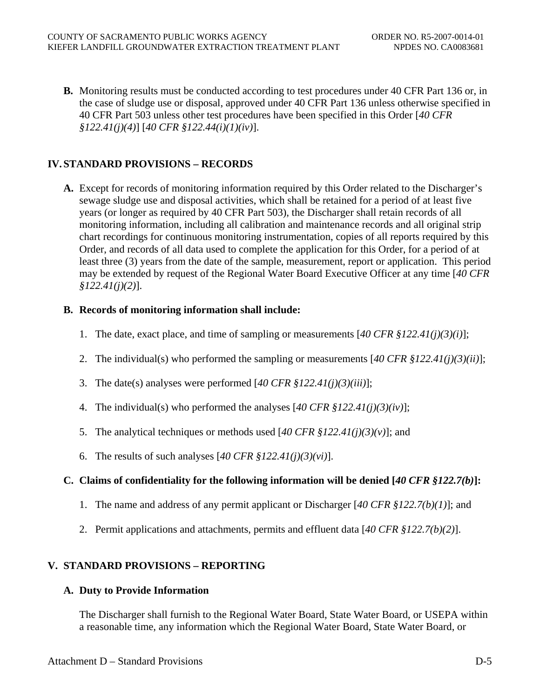**B.** Monitoring results must be conducted according to test procedures under 40 CFR Part 136 or, in the case of sludge use or disposal, approved under 40 CFR Part 136 unless otherwise specified in 40 CFR Part 503 unless other test procedures have been specified in this Order [*40 CFR §122.41(j)(4)*] [*40 CFR §122.44(i)(1)(iv)*].

## **IV. STANDARD PROVISIONS – RECORDS**

**A.** Except for records of monitoring information required by this Order related to the Discharger's sewage sludge use and disposal activities, which shall be retained for a period of at least five years (or longer as required by 40 CFR Part 503), the Discharger shall retain records of all monitoring information, including all calibration and maintenance records and all original strip chart recordings for continuous monitoring instrumentation, copies of all reports required by this Order, and records of all data used to complete the application for this Order, for a period of at least three (3) years from the date of the sample, measurement, report or application. This period may be extended by request of the Regional Water Board Executive Officer at any time [*40 CFR §122.41(j)(2)*].

## **B. Records of monitoring information shall include:**

- 1. The date, exact place, and time of sampling or measurements [*40 CFR §122.41(j)(3)(i)*];
- 2. The individual(s) who performed the sampling or measurements [*40 CFR §122.41(j)(3)(ii)*];
- 3. The date(s) analyses were performed [*40 CFR §122.41(j)(3)(iii)*];
- 4. The individual(s) who performed the analyses [*40 CFR §122.41(j)(3)(iv)*];
- 5. The analytical techniques or methods used [*40 CFR §122.41(j)(3)(v)*]; and
- 6. The results of such analyses [*40 CFR §122.41(j)(3)(vi)*].

## **C. Claims of confidentiality for the following information will be denied [***40 CFR §122.7(b)***]:**

- 1. The name and address of any permit applicant or Discharger [*40 CFR §122.7(b)(1)*]; and
- 2. Permit applications and attachments, permits and effluent data [*40 CFR §122.7(b)(2)*].

## **V. STANDARD PROVISIONS – REPORTING**

### **A. Duty to Provide Information**

The Discharger shall furnish to the Regional Water Board, State Water Board, or USEPA within a reasonable time, any information which the Regional Water Board, State Water Board, or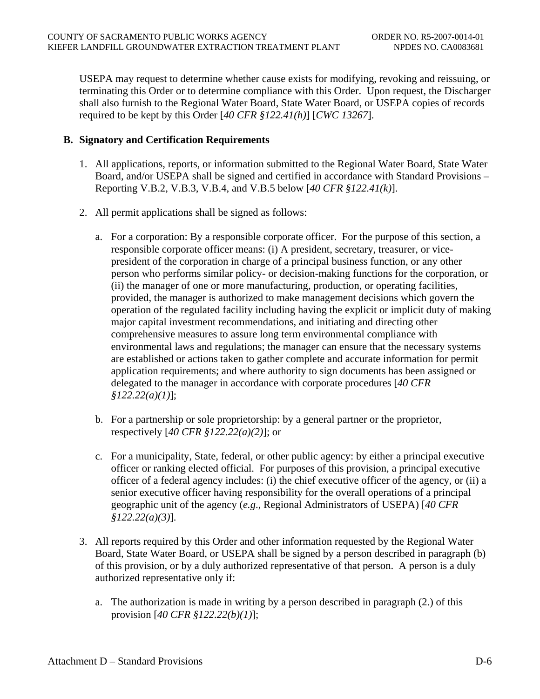USEPA may request to determine whether cause exists for modifying, revoking and reissuing, or terminating this Order or to determine compliance with this Order. Upon request, the Discharger shall also furnish to the Regional Water Board, State Water Board, or USEPA copies of records required to be kept by this Order [*40 CFR §122.41(h)*] [*CWC 13267*].

### **B. Signatory and Certification Requirements**

- 1. All applications, reports, or information submitted to the Regional Water Board, State Water Board, and/or USEPA shall be signed and certified in accordance with Standard Provisions – Reporting V.B.2, V.B.3, V.B.4, and V.B.5 below [*40 CFR §122.41(k)*].
- 2. All permit applications shall be signed as follows:
	- a. For a corporation: By a responsible corporate officer. For the purpose of this section, a responsible corporate officer means: (i) A president, secretary, treasurer, or vicepresident of the corporation in charge of a principal business function, or any other person who performs similar policy- or decision-making functions for the corporation, or (ii) the manager of one or more manufacturing, production, or operating facilities, provided, the manager is authorized to make management decisions which govern the operation of the regulated facility including having the explicit or implicit duty of making major capital investment recommendations, and initiating and directing other comprehensive measures to assure long term environmental compliance with environmental laws and regulations; the manager can ensure that the necessary systems are established or actions taken to gather complete and accurate information for permit application requirements; and where authority to sign documents has been assigned or delegated to the manager in accordance with corporate procedures [*40 CFR §122.22(a)(1)*];
	- b. For a partnership or sole proprietorship: by a general partner or the proprietor, respectively [*40 CFR §122.22(a)(2)*]; or
	- c. For a municipality, State, federal, or other public agency: by either a principal executive officer or ranking elected official. For purposes of this provision, a principal executive officer of a federal agency includes: (i) the chief executive officer of the agency, or (ii) a senior executive officer having responsibility for the overall operations of a principal geographic unit of the agency (*e.g*., Regional Administrators of USEPA) [*40 CFR §122.22(a)(3)*].
- 3. All reports required by this Order and other information requested by the Regional Water Board, State Water Board, or USEPA shall be signed by a person described in paragraph (b) of this provision, or by a duly authorized representative of that person. A person is a duly authorized representative only if:
	- a. The authorization is made in writing by a person described in paragraph (2.) of this provision [*40 CFR §122.22(b)(1)*];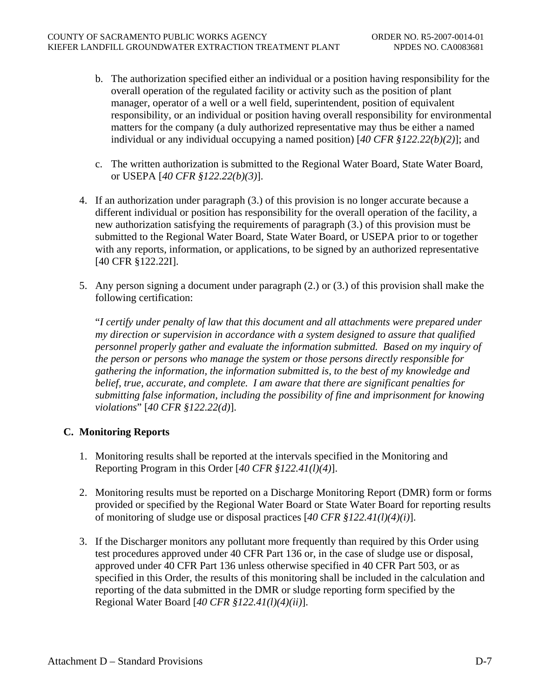- b. The authorization specified either an individual or a position having responsibility for the overall operation of the regulated facility or activity such as the position of plant manager, operator of a well or a well field, superintendent, position of equivalent responsibility, or an individual or position having overall responsibility for environmental matters for the company (a duly authorized representative may thus be either a named individual or any individual occupying a named position) [*40 CFR §122.22(b)(2)*]; and
- c. The written authorization is submitted to the Regional Water Board, State Water Board, or USEPA [*40 CFR §122.22(b)(3)*].
- 4. If an authorization under paragraph (3.) of this provision is no longer accurate because a different individual or position has responsibility for the overall operation of the facility, a new authorization satisfying the requirements of paragraph (3.) of this provision must be submitted to the Regional Water Board, State Water Board, or USEPA prior to or together with any reports, information, or applications, to be signed by an authorized representative [40 CFR §122.22I].
- 5. Any person signing a document under paragraph (2.) or (3.) of this provision shall make the following certification:

"*I certify under penalty of law that this document and all attachments were prepared under my direction or supervision in accordance with a system designed to assure that qualified personnel properly gather and evaluate the information submitted. Based on my inquiry of the person or persons who manage the system or those persons directly responsible for gathering the information, the information submitted is, to the best of my knowledge and belief, true, accurate, and complete. I am aware that there are significant penalties for submitting false information, including the possibility of fine and imprisonment for knowing violations*" [*40 CFR §122.22(d)*].

## **C. Monitoring Reports**

- 1. Monitoring results shall be reported at the intervals specified in the Monitoring and Reporting Program in this Order [*40 CFR §122.41(l)(4)*].
- 2. Monitoring results must be reported on a Discharge Monitoring Report (DMR) form or forms provided or specified by the Regional Water Board or State Water Board for reporting results of monitoring of sludge use or disposal practices [*40 CFR §122.41(l)(4)(i)*].
- 3. If the Discharger monitors any pollutant more frequently than required by this Order using test procedures approved under 40 CFR Part 136 or, in the case of sludge use or disposal, approved under 40 CFR Part 136 unless otherwise specified in 40 CFR Part 503, or as specified in this Order, the results of this monitoring shall be included in the calculation and reporting of the data submitted in the DMR or sludge reporting form specified by the Regional Water Board [*40 CFR §122.41(l)(4)(ii)*].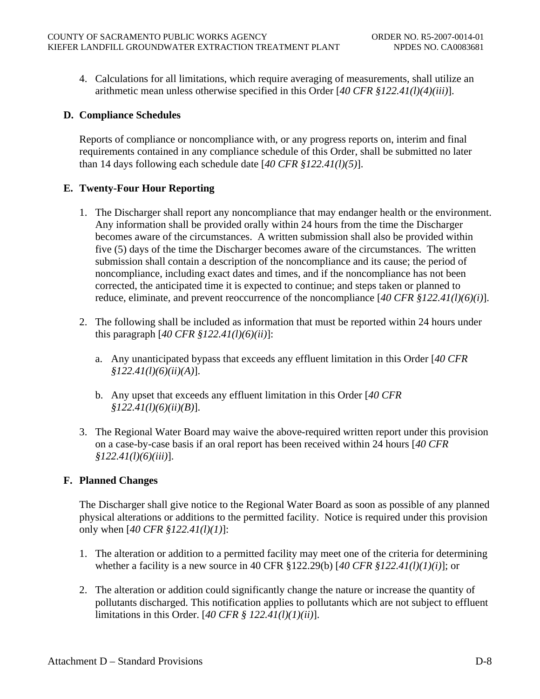4. Calculations for all limitations, which require averaging of measurements, shall utilize an arithmetic mean unless otherwise specified in this Order [*40 CFR §122.41(l)(4)(iii)*].

## **D. Compliance Schedules**

Reports of compliance or noncompliance with, or any progress reports on, interim and final requirements contained in any compliance schedule of this Order, shall be submitted no later than 14 days following each schedule date [*40 CFR §122.41(l)(5)*].

## **E. Twenty-Four Hour Reporting**

- 1. The Discharger shall report any noncompliance that may endanger health or the environment. Any information shall be provided orally within 24 hours from the time the Discharger becomes aware of the circumstances. A written submission shall also be provided within five (5) days of the time the Discharger becomes aware of the circumstances. The written submission shall contain a description of the noncompliance and its cause; the period of noncompliance, including exact dates and times, and if the noncompliance has not been corrected, the anticipated time it is expected to continue; and steps taken or planned to reduce, eliminate, and prevent reoccurrence of the noncompliance [*40 CFR §122.41(l)(6)(i)*].
- 2. The following shall be included as information that must be reported within 24 hours under this paragraph [*40 CFR §122.41(l)(6)(ii)*]:
	- a. Any unanticipated bypass that exceeds any effluent limitation in this Order [*40 CFR §122.41(l)(6)(ii)(A)*].
	- b. Any upset that exceeds any effluent limitation in this Order [*40 CFR §122.41(l)(6)(ii)(B)*].
- 3. The Regional Water Board may waive the above-required written report under this provision on a case-by-case basis if an oral report has been received within 24 hours [*40 CFR §122.41(l)(6)(iii)*].

## **F. Planned Changes**

The Discharger shall give notice to the Regional Water Board as soon as possible of any planned physical alterations or additions to the permitted facility. Notice is required under this provision only when [*40 CFR §122.41(l)(1)*]:

- 1. The alteration or addition to a permitted facility may meet one of the criteria for determining whether a facility is a new source in 40 CFR §122.29(b) [*40 CFR §122.41(l)(1)(i)*]; or
- 2. The alteration or addition could significantly change the nature or increase the quantity of pollutants discharged. This notification applies to pollutants which are not subject to effluent limitations in this Order. [*40 CFR § 122.41(l)(1)(ii)*].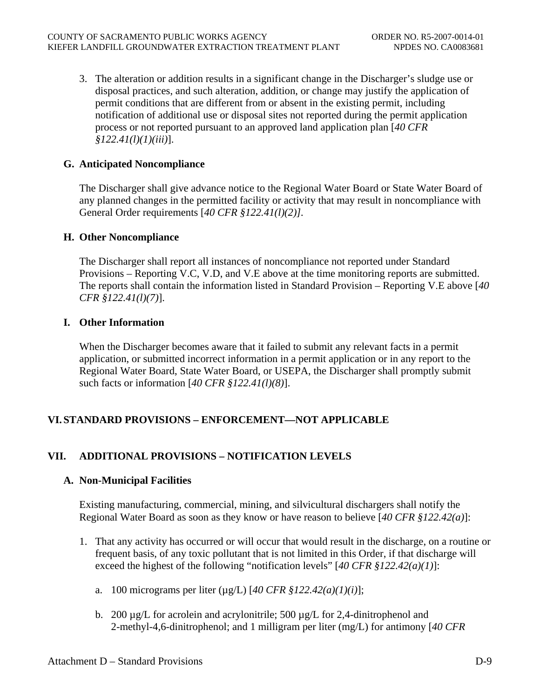3. The alteration or addition results in a significant change in the Discharger's sludge use or disposal practices, and such alteration, addition, or change may justify the application of permit conditions that are different from or absent in the existing permit, including notification of additional use or disposal sites not reported during the permit application process or not reported pursuant to an approved land application plan [*40 CFR §122.41(l)(1)(iii)*].

## **G. Anticipated Noncompliance**

The Discharger shall give advance notice to the Regional Water Board or State Water Board of any planned changes in the permitted facility or activity that may result in noncompliance with General Order requirements [*40 CFR §122.41(l)(2)].*

## **H. Other Noncompliance**

The Discharger shall report all instances of noncompliance not reported under Standard Provisions – Reporting V.C, V.D, and V.E above at the time monitoring reports are submitted. The reports shall contain the information listed in Standard Provision – Reporting V.E above [*40 CFR §122.41(l)(7)*].

## **I. Other Information**

When the Discharger becomes aware that it failed to submit any relevant facts in a permit application, or submitted incorrect information in a permit application or in any report to the Regional Water Board, State Water Board, or USEPA, the Discharger shall promptly submit such facts or information [*40 CFR §122.41(l)(8)*].

# **VI. STANDARD PROVISIONS – ENFORCEMENT—NOT APPLICABLE**

## **VII. ADDITIONAL PROVISIONS – NOTIFICATION LEVELS**

### **A. Non-Municipal Facilities**

Existing manufacturing, commercial, mining, and silvicultural dischargers shall notify the Regional Water Board as soon as they know or have reason to believe [*40 CFR §122.42(a)*]:

- 1. That any activity has occurred or will occur that would result in the discharge, on a routine or frequent basis, of any toxic pollutant that is not limited in this Order, if that discharge will exceed the highest of the following "notification levels" [*40 CFR §122.42(a)(1)*]:
	- a. 100 micrograms per liter (µg/L) [*40 CFR §122.42(a)(1)(i)*];
	- b. 200  $\mu$ g/L for acrolein and acrylonitrile; 500  $\mu$ g/L for 2,4-dinitrophenol and 2-methyl-4,6-dinitrophenol; and 1 milligram per liter (mg/L) for antimony [*40 CFR*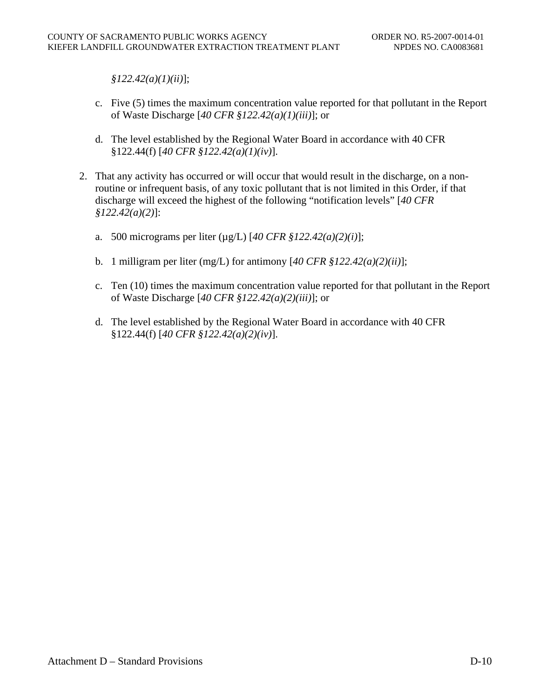*§122.42(a)(1)(ii)*];

- c. Five (5) times the maximum concentration value reported for that pollutant in the Report of Waste Discharge [*40 CFR §122.42(a)(1)(iii)*]; or
- d. The level established by the Regional Water Board in accordance with 40 CFR §122.44(f) [*40 CFR §122.42(a)(1)(iv)*].
- 2. That any activity has occurred or will occur that would result in the discharge, on a nonroutine or infrequent basis, of any toxic pollutant that is not limited in this Order, if that discharge will exceed the highest of the following "notification levels" [*40 CFR §122.42(a)(2)*]:
	- a. 500 micrograms per liter (µg/L) [*40 CFR §122.42(a)(2)(i)*];
	- b. 1 milligram per liter (mg/L) for antimony [*40 CFR §122.42(a)(2)(ii)*];
	- c. Ten (10) times the maximum concentration value reported for that pollutant in the Report of Waste Discharge [*40 CFR §122.42(a)(2)(iii)*]; or
	- d. The level established by the Regional Water Board in accordance with 40 CFR §122.44(f) [*40 CFR §122.42(a)(2)(iv)*].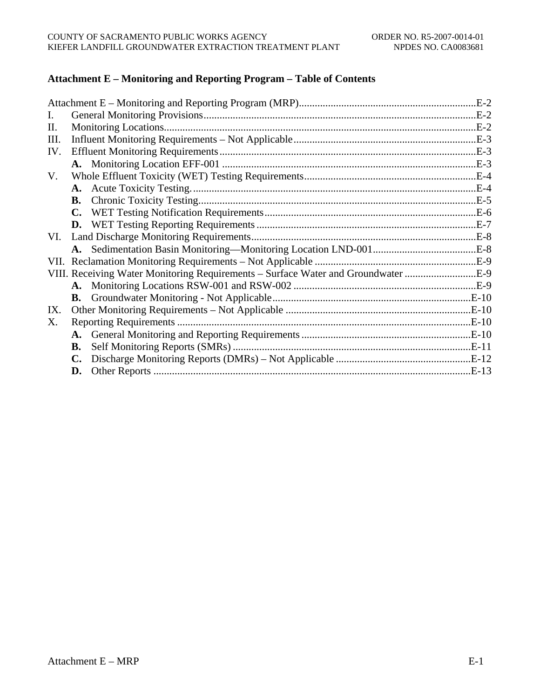# **Attachment E – Monitoring and Reporting Program – Table of Contents**

|                                                                                   | $.E-2$ |
|-----------------------------------------------------------------------------------|--------|
| L.                                                                                |        |
| П.                                                                                |        |
| Ш.                                                                                |        |
| IV.                                                                               |        |
|                                                                                   |        |
| V.                                                                                |        |
|                                                                                   |        |
|                                                                                   |        |
|                                                                                   |        |
|                                                                                   |        |
| VI.                                                                               |        |
|                                                                                   |        |
|                                                                                   |        |
| VIII. Receiving Water Monitoring Requirements - Surface Water and Groundwater E-9 |        |
|                                                                                   |        |
|                                                                                   |        |
| IX.                                                                               |        |
| Х.                                                                                |        |
|                                                                                   |        |
| В.                                                                                |        |
|                                                                                   |        |
| D.                                                                                |        |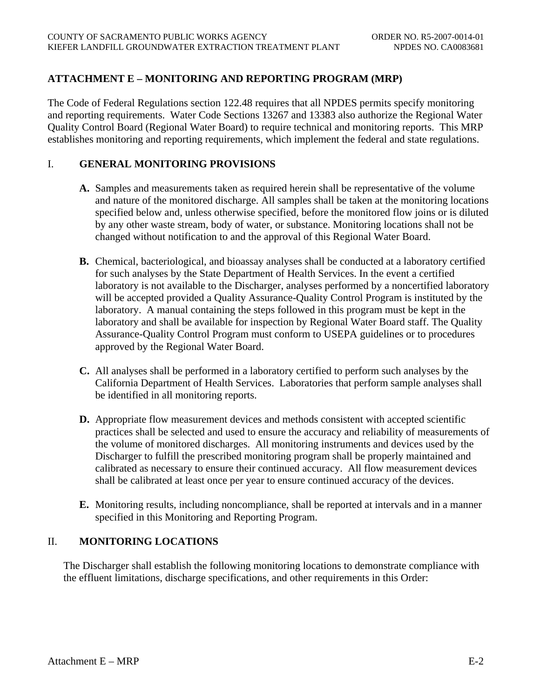# **ATTACHMENT E – MONITORING AND REPORTING PROGRAM (MRP)**

The Code of Federal Regulations section 122.48 requires that all NPDES permits specify monitoring and reporting requirements. Water Code Sections 13267 and 13383 also authorize the Regional Water Quality Control Board (Regional Water Board) to require technical and monitoring reports. This MRP establishes monitoring and reporting requirements, which implement the federal and state regulations.

#### I. **GENERAL MONITORING PROVISIONS**

- **A.** Samples and measurements taken as required herein shall be representative of the volume and nature of the monitored discharge. All samples shall be taken at the monitoring locations specified below and, unless otherwise specified, before the monitored flow joins or is diluted by any other waste stream, body of water, or substance. Monitoring locations shall not be changed without notification to and the approval of this Regional Water Board.
- **B.** Chemical, bacteriological, and bioassay analyses shall be conducted at a laboratory certified for such analyses by the State Department of Health Services. In the event a certified laboratory is not available to the Discharger, analyses performed by a noncertified laboratory will be accepted provided a Quality Assurance-Quality Control Program is instituted by the laboratory. A manual containing the steps followed in this program must be kept in the laboratory and shall be available for inspection by Regional Water Board staff. The Quality Assurance-Quality Control Program must conform to USEPA guidelines or to procedures approved by the Regional Water Board.
- **C.** All analyses shall be performed in a laboratory certified to perform such analyses by the California Department of Health Services. Laboratories that perform sample analyses shall be identified in all monitoring reports.
- **D.** Appropriate flow measurement devices and methods consistent with accepted scientific practices shall be selected and used to ensure the accuracy and reliability of measurements of the volume of monitored discharges. All monitoring instruments and devices used by the Discharger to fulfill the prescribed monitoring program shall be properly maintained and calibrated as necessary to ensure their continued accuracy. All flow measurement devices shall be calibrated at least once per year to ensure continued accuracy of the devices.
- **E.** Monitoring results, including noncompliance, shall be reported at intervals and in a manner specified in this Monitoring and Reporting Program.

# II. **MONITORING LOCATIONS**

The Discharger shall establish the following monitoring locations to demonstrate compliance with the effluent limitations, discharge specifications, and other requirements in this Order: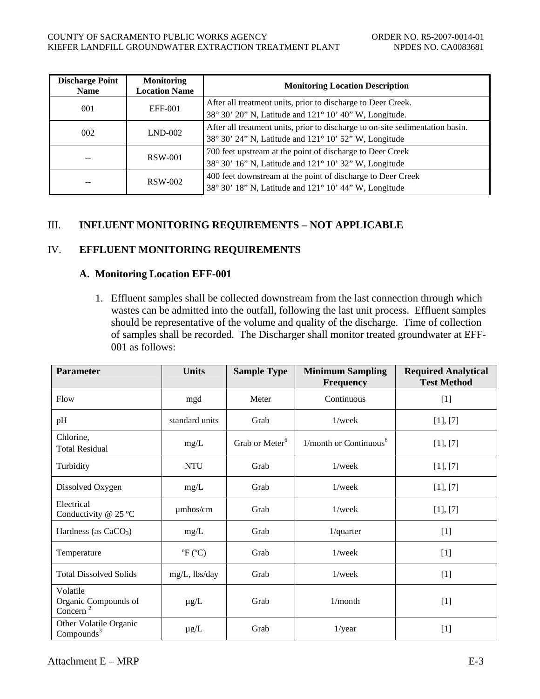| <b>Discharge Point</b><br><b>Name</b> | <b>Monitoring</b><br><b>Location Name</b> | <b>Monitoring Location Description</b>                                                                                                 |
|---------------------------------------|-------------------------------------------|----------------------------------------------------------------------------------------------------------------------------------------|
| 001                                   | EFF-001                                   | After all treatment units, prior to discharge to Deer Creek.<br>38° 30' 20" N, Latitude and 121° 10' 40" W, Longitude.                 |
| 002                                   | $LND-002$                                 | After all treatment units, prior to discharge to on-site sedimentation basin.<br>38° 30' 24" N, Latitude and 121° 10' 52" W, Longitude |
| --                                    | RSW-001                                   | 700 feet upstream at the point of discharge to Deer Creek<br>38° 30' 16" N, Latitude and 121° 10' 32" W, Longitude                     |
| --                                    | <b>RSW-002</b>                            | 400 feet downstream at the point of discharge to Deer Creek<br>38° 30' 18" N, Latitude and 121° 10' 44" W, Longitude                   |

# III. **INFLUENT MONITORING REQUIREMENTS – NOT APPLICABLE**

# IV. **EFFLUENT MONITORING REQUIREMENTS**

## **A. Monitoring Location EFF-001**

1. Effluent samples shall be collected downstream from the last connection through which wastes can be admitted into the outfall, following the last unit process. Effluent samples should be representative of the volume and quality of the discharge. Time of collection of samples shall be recorded. The Discharger shall monitor treated groundwater at EFF-001 as follows:

| <b>Parameter</b>                                         | <b>Units</b>                        | <b>Sample Type</b>         | <b>Minimum Sampling</b><br><b>Frequency</b> | <b>Required Analytical</b><br><b>Test Method</b> |
|----------------------------------------------------------|-------------------------------------|----------------------------|---------------------------------------------|--------------------------------------------------|
| Flow                                                     | mgd                                 | Meter                      | Continuous                                  | $[1]$                                            |
| pH                                                       | standard units                      | Grab                       | $1$ /week                                   | [1], [7]                                         |
| Chlorine,<br><b>Total Residual</b>                       | mg/L                                | Grab or Meter <sup>6</sup> | 1/month or Continuous <sup>6</sup>          | [1], [7]                                         |
| Turbidity                                                | <b>NTU</b>                          | Grab                       | $1$ /week                                   | [1], [7]                                         |
| Dissolved Oxygen                                         | mg/L                                | Grab                       | $1$ /week                                   | [1], [7]                                         |
| Electrical<br>Conductivity @ 25 °C                       | umhos/cm                            | Grab                       | $1$ /week                                   | [1], [7]                                         |
| Hardness (as $CaCO3$ )                                   | mg/L                                | Grab                       | $1$ /quarter                                | $[1]$                                            |
| Temperature                                              | ${}^{\circ}\!F$ ( ${}^{\circ}\!C$ ) | Grab                       | 1/week                                      | $[1]$                                            |
| <b>Total Dissolved Solids</b>                            | mg/L, lbs/day                       | Grab                       | $1$ /week                                   | $[1]$                                            |
| Volatile<br>Organic Compounds of<br>Concern <sup>2</sup> | $\mu$ g/L                           | Grab                       | 1/month                                     | $[1]$                                            |
| Other Volatile Organic<br>Compounds <sup>3</sup>         | $\mu g/L$                           | Grab                       | $1$ /year                                   | $[1]$                                            |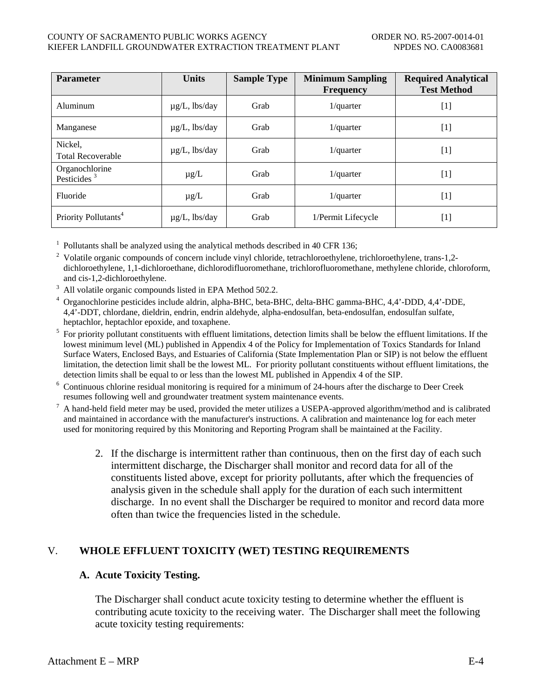#### COUNTY OF SACRAMENTO PUBLIC WORKS AGENCY THE COUNTY OF SACRAMENTO PUBLIC WORKS AGENCY KIEFER LANDFILL GROUNDWATER EXTRACTION TREATMENT PLANT NPDES NO. CA0083681

| <b>Parameter</b>                          | <b>Units</b>       | <b>Sample Type</b> | <b>Minimum Sampling</b><br><b>Frequency</b> | <b>Required Analytical</b><br><b>Test Method</b> |
|-------------------------------------------|--------------------|--------------------|---------------------------------------------|--------------------------------------------------|
| Aluminum                                  | $\mu$ g/L, lbs/day | Grab               | $1$ /quarter                                | $[1]$                                            |
| Manganese                                 | $\mu$ g/L, lbs/day | Grab               | $1$ /quarter                                | $[1]$                                            |
| Nickel,<br><b>Total Recoverable</b>       | $\mu$ g/L, lbs/day | Grab               | $1$ /quarter                                | $[1]$                                            |
| Organochlorine<br>Pesticides <sup>3</sup> | $\mu$ g/L          | Grab               | $1$ /quarter                                | $[1]$                                            |
| Fluoride                                  | $\mu$ g/L          | Grab               | $1$ /quarter                                | $[1]$                                            |
| Priority Pollutants <sup>4</sup>          | $\mu$ g/L, lbs/day | Grab               | 1/Permit Lifecycle                          | $[1]$                                            |

<sup>1</sup> Pollutants shall be analyzed using the analytical methods described in 40 CFR 136;

<sup>2</sup> Volatile organic compounds of concern include vinyl chloride, tetrachloroethylene, trichloroethylene, trans-1,2dichloroethylene, 1,1-dichloroethane, dichlorodifluoromethane, trichlorofluoromethane, methylene chloride, chloroform, and cis-1,2-dichloroethylene.

<sup>3</sup> All volatile organic compounds listed in EPA Method 502.2.

<sup>4</sup> Organochlorine pesticides include aldrin, alpha-BHC, beta-BHC, delta-BHC gamma-BHC, 4,4'-DDD, 4,4'-DDE, 4,4'-DDT, chlordane, dieldrin, endrin, endrin aldehyde, alpha-endosulfan, beta-endosulfan, endosulfan sulfate, heptachlor, heptachlor epoxide, and toxaphene.

<sup>5</sup> For priority pollutant constituents with effluent limitations, detection limits shall be below the effluent limitations. If the lowest minimum level (ML) published in Appendix 4 of the Policy for Implementation of Toxics Standards for Inland Surface Waters, Enclosed Bays, and Estuaries of California (State Implementation Plan or SIP) is not below the effluent limitation, the detection limit shall be the lowest ML. For priority pollutant constituents without effluent limitations, the detection limits shall be equal to or less than the lowest ML published in Appendix 4 of the SIP.

 $6$  Continuous chlorine residual monitoring is required for a minimum of 24-hours after the discharge to Deer Creek resumes following well and groundwater treatment system maintenance events.

A hand-held field meter may be used, provided the meter utilizes a USEPA-approved algorithm/method and is calibrated and maintained in accordance with the manufacturer's instructions. A calibration and maintenance log for each meter used for monitoring required by this Monitoring and Reporting Program shall be maintained at the Facility.

2. If the discharge is intermittent rather than continuous, then on the first day of each such intermittent discharge, the Discharger shall monitor and record data for all of the constituents listed above, except for priority pollutants, after which the frequencies of analysis given in the schedule shall apply for the duration of each such intermittent discharge. In no event shall the Discharger be required to monitor and record data more often than twice the frequencies listed in the schedule.

## V. **WHOLE EFFLUENT TOXICITY (WET) TESTING REQUIREMENTS**

## **A. Acute Toxicity Testing.**

The Discharger shall conduct acute toxicity testing to determine whether the effluent is contributing acute toxicity to the receiving water. The Discharger shall meet the following acute toxicity testing requirements: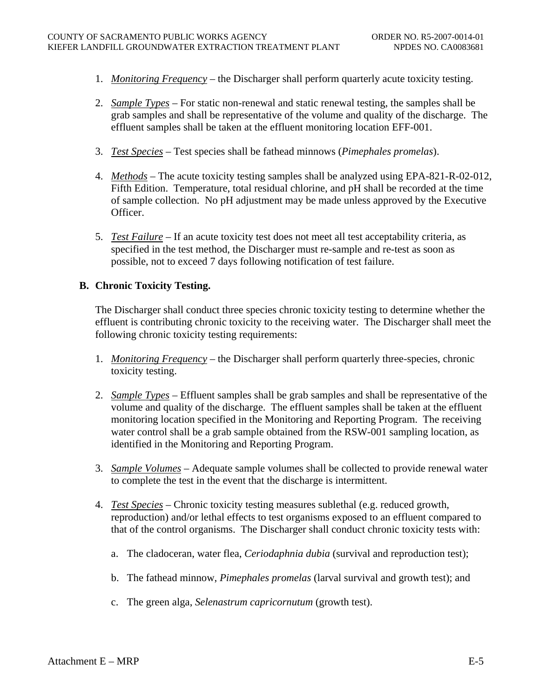- 1. *Monitoring Frequency* the Discharger shall perform quarterly acute toxicity testing.
- 2. *Sample Types* For static non-renewal and static renewal testing, the samples shall be grab samples and shall be representative of the volume and quality of the discharge. The effluent samples shall be taken at the effluent monitoring location EFF-001.
- 3. *Test Species* Test species shall be fathead minnows (*Pimephales promelas*).
- 4. *Methods* The acute toxicity testing samples shall be analyzed using EPA-821-R-02-012, Fifth Edition. Temperature, total residual chlorine, and pH shall be recorded at the time of sample collection. No pH adjustment may be made unless approved by the Executive Officer.
- 5. *Test Failure* If an acute toxicity test does not meet all test acceptability criteria, as specified in the test method, the Discharger must re-sample and re-test as soon as possible, not to exceed 7 days following notification of test failure.

# **B. Chronic Toxicity Testing.**

The Discharger shall conduct three species chronic toxicity testing to determine whether the effluent is contributing chronic toxicity to the receiving water. The Discharger shall meet the following chronic toxicity testing requirements:

- 1. *Monitoring Frequency* the Discharger shall perform quarterly three-species, chronic toxicity testing.
- 2. *Sample Types* Effluent samples shall be grab samples and shall be representative of the volume and quality of the discharge. The effluent samples shall be taken at the effluent monitoring location specified in the Monitoring and Reporting Program. The receiving water control shall be a grab sample obtained from the RSW-001 sampling location, as identified in the Monitoring and Reporting Program.
- 3. *Sample Volumes* Adequate sample volumes shall be collected to provide renewal water to complete the test in the event that the discharge is intermittent.
- 4. *Test Species* Chronic toxicity testing measures sublethal (e.g. reduced growth, reproduction) and/or lethal effects to test organisms exposed to an effluent compared to that of the control organisms. The Discharger shall conduct chronic toxicity tests with:
	- a. The cladoceran, water flea, *Ceriodaphnia dubia* (survival and reproduction test);
	- b. The fathead minnow, *Pimephales promelas* (larval survival and growth test); and
	- c. The green alga, *Selenastrum capricornutum* (growth test).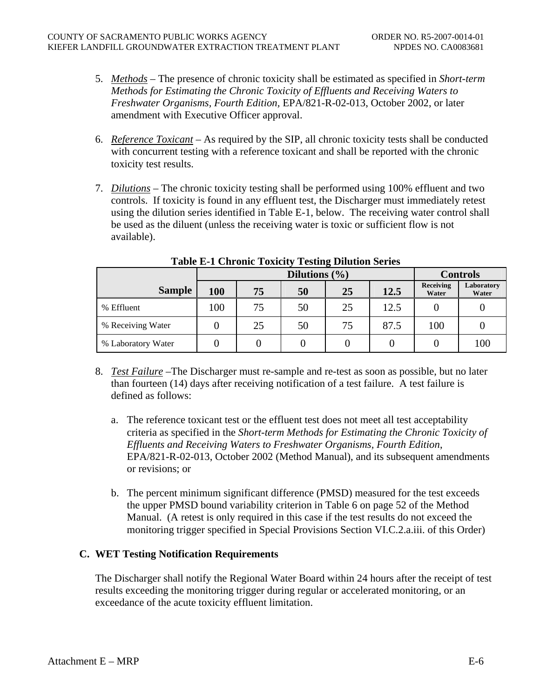- 5. *Methods* The presence of chronic toxicity shall be estimated as specified in *Short-term Methods for Estimating the Chronic Toxicity of Effluents and Receiving Waters to Freshwater Organisms, Fourth Edition,* EPA/821-R-02-013, October 2002, or later amendment with Executive Officer approval.
- 6. *Reference Toxicant* As required by the SIP, all chronic toxicity tests shall be conducted with concurrent testing with a reference toxicant and shall be reported with the chronic toxicity test results.
- 7. *Dilutions* The chronic toxicity testing shall be performed using 100% effluent and two controls. If toxicity is found in any effluent test, the Discharger must immediately retest using the dilution series identified in Table E-1, below. The receiving water control shall be used as the diluent (unless the receiving water is toxic or sufficient flow is not available).

|                    |     |    | <b>Controls</b> |    |      |                    |                     |
|--------------------|-----|----|-----------------|----|------|--------------------|---------------------|
| <b>Sample</b>      | 100 | 75 | 50              | 25 | 12.5 | Receiving<br>Water | Laboratory<br>Water |
| % Effluent         | 100 | 75 | 50              | 25 | 12.5 |                    |                     |
| % Receiving Water  |     | 25 | 50              | 75 | 87.5 | 100                |                     |
| % Laboratory Water |     |    |                 |    |      |                    | 100                 |

**Table E-1 Chronic Toxicity Testing Dilution Series** 

- 8. *Test Failure* –The Discharger must re-sample and re-test as soon as possible, but no later than fourteen (14) days after receiving notification of a test failure. A test failure is defined as follows:
	- a. The reference toxicant test or the effluent test does not meet all test acceptability criteria as specified in the *Short-term Methods for Estimating the Chronic Toxicity of Effluents and Receiving Waters to Freshwater Organisms, Fourth Edition*, EPA/821-R-02-013, October 2002 (Method Manual), and its subsequent amendments or revisions; or
	- b. The percent minimum significant difference (PMSD) measured for the test exceeds the upper PMSD bound variability criterion in Table 6 on page 52 of the Method Manual. (A retest is only required in this case if the test results do not exceed the monitoring trigger specified in Special Provisions Section VI.C.2.a.iii. of this Order)

# **C. WET Testing Notification Requirements**

The Discharger shall notify the Regional Water Board within 24 hours after the receipt of test results exceeding the monitoring trigger during regular or accelerated monitoring, or an exceedance of the acute toxicity effluent limitation.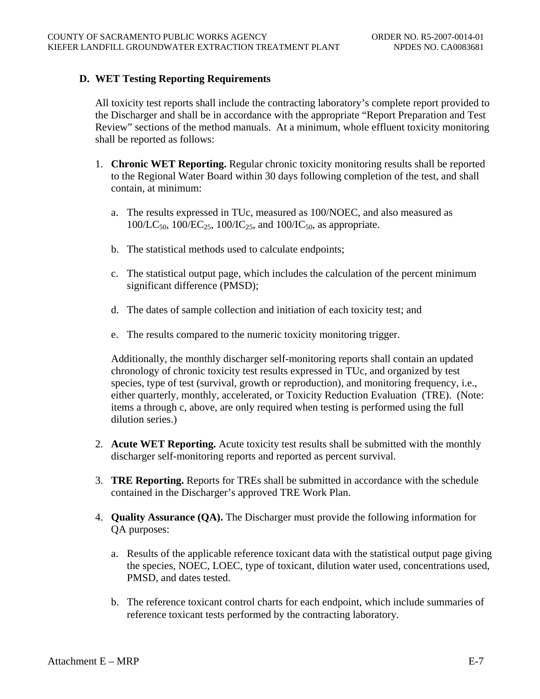## **D. WET Testing Reporting Requirements**

All toxicity test reports shall include the contracting laboratory's complete report provided to the Discharger and shall be in accordance with the appropriate "Report Preparation and Test Review" sections of the method manuals. At a minimum, whole effluent toxicity monitoring shall be reported as follows:

- 1. **Chronic WET Reporting.** Regular chronic toxicity monitoring results shall be reported to the Regional Water Board within 30 days following completion of the test, and shall contain, at minimum:
	- a. The results expressed in TUc, measured as 100/NOEC, and also measured as  $100/LC_{50}$ ,  $100/EC_{25}$ ,  $100/IC_{25}$ , and  $100/IC_{50}$ , as appropriate.
	- b. The statistical methods used to calculate endpoints;
	- c. The statistical output page, which includes the calculation of the percent minimum significant difference (PMSD);
	- d. The dates of sample collection and initiation of each toxicity test; and
	- e. The results compared to the numeric toxicity monitoring trigger.

Additionally, the monthly discharger self-monitoring reports shall contain an updated chronology of chronic toxicity test results expressed in TUc, and organized by test species, type of test (survival, growth or reproduction), and monitoring frequency, i.e., either quarterly, monthly, accelerated, or Toxicity Reduction Evaluation (TRE). (Note: items a through c, above, are only required when testing is performed using the full dilution series.)

- 2. **Acute WET Reporting.** Acute toxicity test results shall be submitted with the monthly discharger self-monitoring reports and reported as percent survival.
- 3. **TRE Reporting.** Reports for TREs shall be submitted in accordance with the schedule contained in the Discharger's approved TRE Work Plan.
- 4. **Quality Assurance (QA).** The Discharger must provide the following information for QA purposes:
	- a. Results of the applicable reference toxicant data with the statistical output page giving the species, NOEC, LOEC, type of toxicant, dilution water used, concentrations used, PMSD, and dates tested.
	- b. The reference toxicant control charts for each endpoint, which include summaries of reference toxicant tests performed by the contracting laboratory.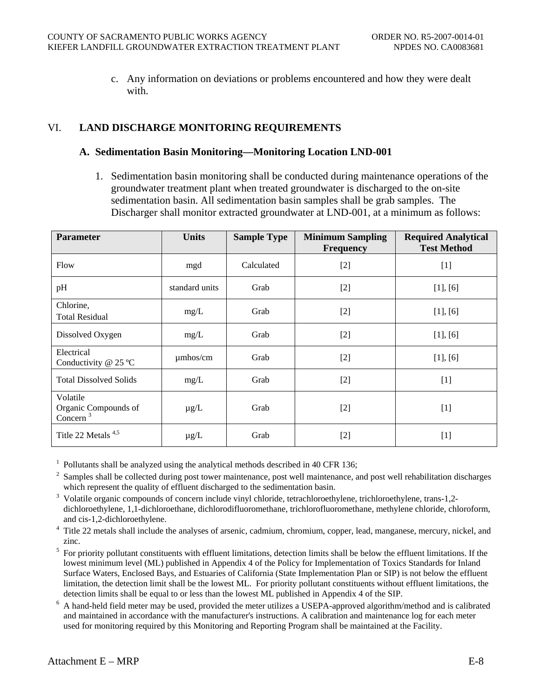c. Any information on deviations or problems encountered and how they were dealt with.

# VI. **LAND DISCHARGE MONITORING REQUIREMENTS**

#### **A. Sedimentation Basin Monitoring—Monitoring Location LND-001**

1. Sedimentation basin monitoring shall be conducted during maintenance operations of the groundwater treatment plant when treated groundwater is discharged to the on-site sedimentation basin. All sedimentation basin samples shall be grab samples. The Discharger shall monitor extracted groundwater at LND-001, at a minimum as follows:

| <b>Parameter</b>                                | <b>Units</b>   | <b>Sample Type</b> | <b>Minimum Sampling</b><br><b>Frequency</b> | <b>Required Analytical</b><br><b>Test Method</b> |
|-------------------------------------------------|----------------|--------------------|---------------------------------------------|--------------------------------------------------|
| Flow                                            | mgd            | Calculated         | $[2]$                                       | $[1]$                                            |
| pH                                              | standard units | Grab               | $[2]$                                       | [1], [6]                                         |
| Chlorine,<br><b>Total Residual</b>              | mg/L           | Grab               | $[2]$                                       | [1], [6]                                         |
| Dissolved Oxygen                                | mg/L           | Grab               | $[2]$                                       | [1], [6]                                         |
| Electrical<br>Conductivity @ 25 °C              | $\mu$ mhos/cm  | Grab               | $[2]$                                       | [1], [6]                                         |
| <b>Total Dissolved Solids</b>                   | mg/L           | Grab               | $[2]$                                       | $[1]$                                            |
| Volatile<br>Organic Compounds of<br>Concern $3$ | $\mu$ g/L      | Grab               | $[2]$                                       | $[1]$                                            |
| Title 22 Metals $4.5$                           | $\mu$ g/L      | Grab               | $[2]$                                       | $[1]$                                            |

 $1$  Pollutants shall be analyzed using the analytical methods described in 40 CFR 136;

<sup>2</sup> Samples shall be collected during post tower maintenance, post well maintenance, and post well rehabilitation discharges which represent the quality of effluent discharged to the sedimentation basin.

<sup>3</sup> Volatile organic compounds of concern include vinyl chloride, tetrachloroethylene, trichloroethylene, trans-1,2dichloroethylene, 1,1-dichloroethane, dichlorodifluoromethane, trichlorofluoromethane, methylene chloride, chloroform, and cis-1,2-dichloroethylene.

Title 22 metals shall include the analyses of arsenic, cadmium, chromium, copper, lead, manganese, mercury, nickel, and zinc.

 $<sup>5</sup>$  For priority pollutant constituents with effluent limitations, detection limits shall be below the effluent limitations. If the</sup> lowest minimum level (ML) published in Appendix 4 of the Policy for Implementation of Toxics Standards for Inland Surface Waters, Enclosed Bays, and Estuaries of California (State Implementation Plan or SIP) is not below the effluent limitation, the detection limit shall be the lowest ML. For priority pollutant constituents without effluent limitations, the detection limits shall be equal to or less than the lowest ML published in Appendix 4 of the SIP.

<sup>6</sup> A hand-held field meter may be used, provided the meter utilizes a USEPA-approved algorithm/method and is calibrated and maintained in accordance with the manufacturer's instructions. A calibration and maintenance log for each meter used for monitoring required by this Monitoring and Reporting Program shall be maintained at the Facility.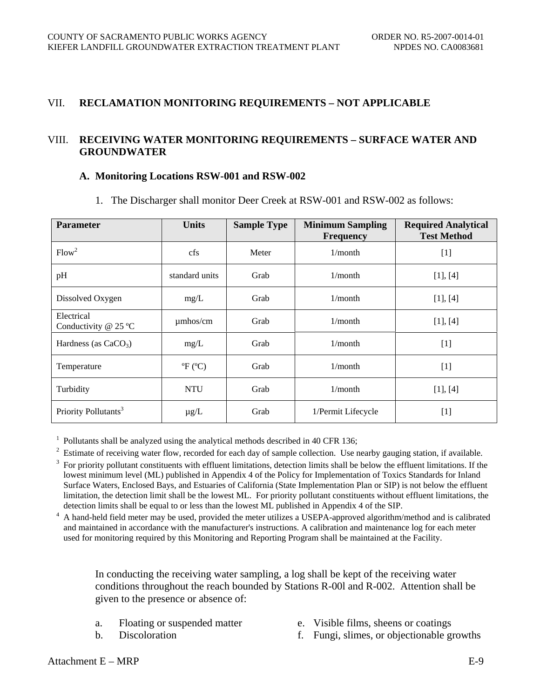## VII. **RECLAMATION MONITORING REQUIREMENTS – NOT APPLICABLE**

# VIII. **RECEIVING WATER MONITORING REQUIREMENTS – SURFACE WATER AND GROUNDWATER**

#### **A. Monitoring Locations RSW-001 and RSW-002**

| <b>Parameter</b>                     | <b>Units</b>                        | <b>Sample Type</b> | <b>Minimum Sampling</b><br><b>Frequency</b> | <b>Required Analytical</b><br><b>Test Method</b> |
|--------------------------------------|-------------------------------------|--------------------|---------------------------------------------|--------------------------------------------------|
| Flow <sup>2</sup>                    | cfs                                 | Meter              | $1/m$ onth                                  | $[1]$                                            |
| pH                                   | standard units                      | Grab               | $1/m$ onth                                  | [1], [4]                                         |
| Dissolved Oxygen<br>mg/L             |                                     | Grab               | $1/m$ onth                                  | [1], [4]                                         |
| Electrical<br>Conductivity $@$ 25 °C | umhos/cm                            | Grab               | $1/m$ onth                                  | [1], [4]                                         |
| Hardness (as $CaCO3$ )               | mg/L                                | Grab               | $1/m$ onth                                  | $[1]$                                            |
| Temperature                          | ${}^{\circ}\!F$ ( ${}^{\circ}\!C$ ) | Grab               | $1/m$ onth                                  | $[1]$                                            |
| <b>NTU</b><br>Turbidity              |                                     | Grab               | $1/m$ onth                                  | [1], [4]                                         |
| Priority Pollutants <sup>3</sup>     | $\mu$ g/L                           | Grab               | 1/Permit Lifecycle                          | $[1]$                                            |

1. The Discharger shall monitor Deer Creek at RSW-001 and RSW-002 as follows:

<sup>1</sup> Pollutants shall be analyzed using the analytical methods described in 40 CFR 136;

 $\frac{2}{3}$  Estimate of receiving water flow, recorded for each day of sample collection. Use nearby gauging station, if available.<br> $\frac{3}{3}$  For priority pollutant constituents with effluent limitations, detection limits s lowest minimum level (ML) published in Appendix 4 of the Policy for Implementation of Toxics Standards for Inland Surface Waters, Enclosed Bays, and Estuaries of California (State Implementation Plan or SIP) is not below the effluent limitation, the detection limit shall be the lowest ML. For priority pollutant constituents without effluent limitations, the detection limits shall be equal to or less than the lowest ML published in Appendix 4 of the SIP.

<sup>4</sup> A hand-held field meter may be used, provided the meter utilizes a USEPA-approved algorithm/method and is calibrated and maintained in accordance with the manufacturer's instructions. A calibration and maintenance log for each meter used for monitoring required by this Monitoring and Reporting Program shall be maintained at the Facility.

In conducting the receiving water sampling, a log shall be kept of the receiving water conditions throughout the reach bounded by Stations R-00l and R-002. Attention shall be given to the presence or absence of:

- 
- 
- a. Floating or suspended matter e. Visible films, sheens or coatings
- b. Discoloration f. Fungi, slimes, or objectionable growths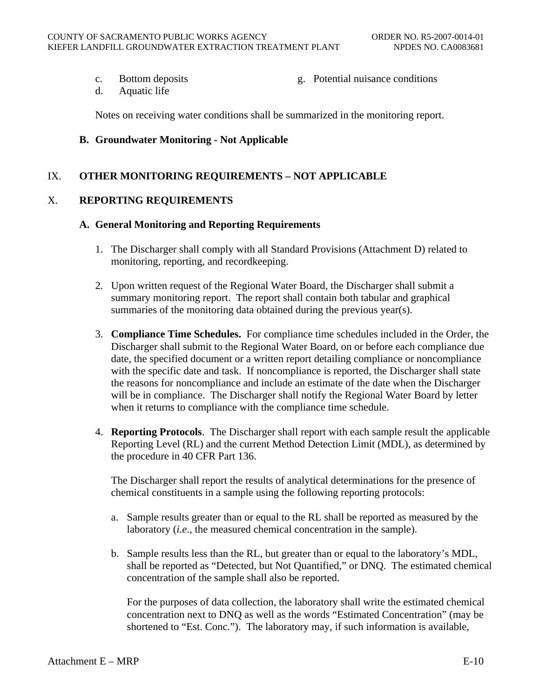- 
- c. Bottom deposits g. Potential nuisance conditions
- d. Aquatic life

Notes on receiving water conditions shall be summarized in the monitoring report.

#### **B. Groundwater Monitoring - Not Applicable**

## IX. **OTHER MONITORING REQUIREMENTS – NOT APPLICABLE**

# X. **REPORTING REQUIREMENTS**

#### **A. General Monitoring and Reporting Requirements**

- 1. The Discharger shall comply with all Standard Provisions (Attachment D) related to monitoring, reporting, and recordkeeping.
- 2. Upon written request of the Regional Water Board, the Discharger shall submit a summary monitoring report. The report shall contain both tabular and graphical summaries of the monitoring data obtained during the previous year(s).
- 3. **Compliance Time Schedules.** For compliance time schedules included in the Order, the Discharger shall submit to the Regional Water Board, on or before each compliance due date, the specified document or a written report detailing compliance or noncompliance with the specific date and task. If noncompliance is reported, the Discharger shall state the reasons for noncompliance and include an estimate of the date when the Discharger will be in compliance. The Discharger shall notify the Regional Water Board by letter when it returns to compliance with the compliance time schedule.
- 4. **Reporting Protocols**. The Discharger shall report with each sample result the applicable Reporting Level (RL) and the current Method Detection Limit (MDL), as determined by the procedure in 40 CFR Part 136.

The Discharger shall report the results of analytical determinations for the presence of chemical constituents in a sample using the following reporting protocols:

- a. Sample results greater than or equal to the RL shall be reported as measured by the laboratory (*i.e*., the measured chemical concentration in the sample).
- b. Sample results less than the RL, but greater than or equal to the laboratory's MDL, shall be reported as "Detected, but Not Quantified," or DNQ. The estimated chemical concentration of the sample shall also be reported.

For the purposes of data collection, the laboratory shall write the estimated chemical concentration next to DNQ as well as the words "Estimated Concentration" (may be shortened to "Est. Conc."). The laboratory may, if such information is available,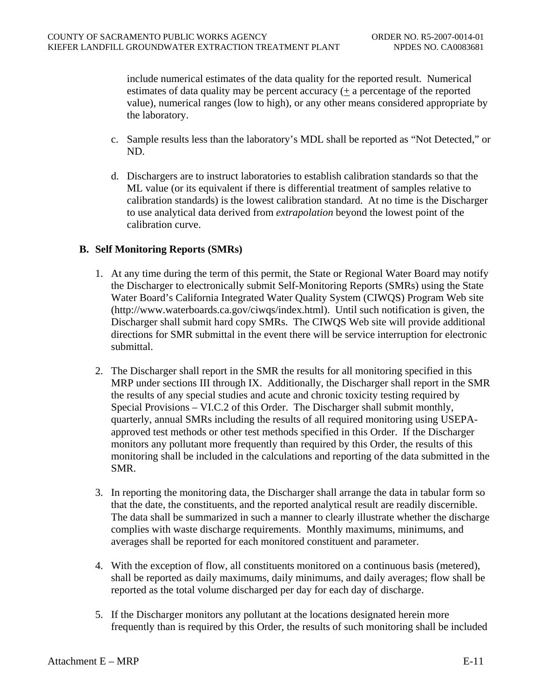include numerical estimates of the data quality for the reported result. Numerical estimates of data quality may be percent accuracy (+ a percentage of the reported value), numerical ranges (low to high), or any other means considered appropriate by the laboratory.

- c. Sample results less than the laboratory's MDL shall be reported as "Not Detected," or ND.
- d. Dischargers are to instruct laboratories to establish calibration standards so that the ML value (or its equivalent if there is differential treatment of samples relative to calibration standards) is the lowest calibration standard. At no time is the Discharger to use analytical data derived from *extrapolation* beyond the lowest point of the calibration curve.

# **B. Self Monitoring Reports (SMRs)**

- 1. At any time during the term of this permit, the State or Regional Water Board may notify the Discharger to electronically submit Self-Monitoring Reports (SMRs) using the State Water Board's California Integrated Water Quality System (CIWQS) Program Web site (http://www.waterboards.ca.gov/ciwqs/index.html). Until such notification is given, the Discharger shall submit hard copy SMRs. The CIWQS Web site will provide additional directions for SMR submittal in the event there will be service interruption for electronic submittal.
- 2. The Discharger shall report in the SMR the results for all monitoring specified in this MRP under sections III through IX. Additionally, the Discharger shall report in the SMR the results of any special studies and acute and chronic toxicity testing required by Special Provisions – VI.C.2 of this Order. The Discharger shall submit monthly, quarterly, annual SMRs including the results of all required monitoring using USEPAapproved test methods or other test methods specified in this Order. If the Discharger monitors any pollutant more frequently than required by this Order, the results of this monitoring shall be included in the calculations and reporting of the data submitted in the SMR.
- 3. In reporting the monitoring data, the Discharger shall arrange the data in tabular form so that the date, the constituents, and the reported analytical result are readily discernible. The data shall be summarized in such a manner to clearly illustrate whether the discharge complies with waste discharge requirements. Monthly maximums, minimums, and averages shall be reported for each monitored constituent and parameter.
- 4. With the exception of flow, all constituents monitored on a continuous basis (metered), shall be reported as daily maximums, daily minimums, and daily averages; flow shall be reported as the total volume discharged per day for each day of discharge.
- 5. If the Discharger monitors any pollutant at the locations designated herein more frequently than is required by this Order, the results of such monitoring shall be included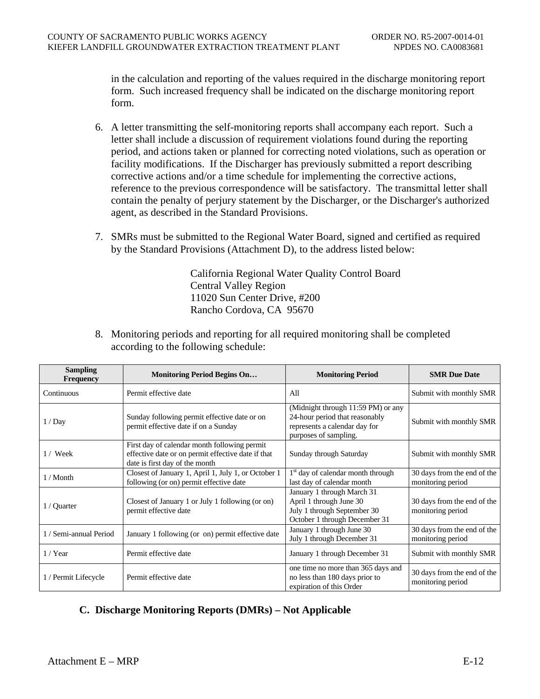in the calculation and reporting of the values required in the discharge monitoring report form. Such increased frequency shall be indicated on the discharge monitoring report form.

- 6. A letter transmitting the self-monitoring reports shall accompany each report. Such a letter shall include a discussion of requirement violations found during the reporting period, and actions taken or planned for correcting noted violations, such as operation or facility modifications. If the Discharger has previously submitted a report describing corrective actions and/or a time schedule for implementing the corrective actions, reference to the previous correspondence will be satisfactory. The transmittal letter shall contain the penalty of perjury statement by the Discharger, or the Discharger's authorized agent, as described in the Standard Provisions.
- 7. SMRs must be submitted to the Regional Water Board, signed and certified as required by the Standard Provisions (Attachment D), to the address listed below:

California Regional Water Quality Control Board Central Valley Region 11020 Sun Center Drive, #200 Rancho Cordova, CA 95670

| <b>Sampling</b><br><b>Frequency</b> | <b>Monitoring Period Begins On</b>                                                                                                   | <b>Monitoring Period</b>                                                                                                       | <b>SMR Due Date</b>                              |
|-------------------------------------|--------------------------------------------------------------------------------------------------------------------------------------|--------------------------------------------------------------------------------------------------------------------------------|--------------------------------------------------|
| Continuous                          | Permit effective date                                                                                                                | All                                                                                                                            | Submit with monthly SMR                          |
| 1/Day                               | Sunday following permit effective date or on<br>permit effective date if on a Sunday                                                 | (Midnight through 11:59 PM) or any<br>24-hour period that reasonably<br>represents a calendar day for<br>purposes of sampling. | Submit with monthly SMR                          |
| $1 /$ Week                          | First day of calendar month following permit<br>effective date or on permit effective date if that<br>date is first day of the month | Sunday through Saturday                                                                                                        | Submit with monthly SMR                          |
| $1/M$ onth                          | Closest of January 1, April 1, July 1, or October 1<br>following (or on) permit effective date                                       | 1 <sup>st</sup> day of calendar month through<br>last day of calendar month                                                    | 30 days from the end of the<br>monitoring period |
| 1 / Quarter                         | Closest of January 1 or July 1 following (or on)<br>permit effective date                                                            | January 1 through March 31<br>April 1 through June 30<br>July 1 through September 30<br>October 1 through December 31          | 30 days from the end of the<br>monitoring period |
| 1 / Semi-annual Period              | January 1 following (or on) permit effective date                                                                                    | January 1 through June 30<br>July 1 through December 31                                                                        | 30 days from the end of the<br>monitoring period |
| $1 /$ Year                          | Permit effective date                                                                                                                | January 1 through December 31                                                                                                  | Submit with monthly SMR                          |
| 1 / Permit Lifecycle                | Permit effective date                                                                                                                | one time no more than 365 days and<br>no less than 180 days prior to<br>expiration of this Order                               | 30 days from the end of the<br>monitoring period |

8. Monitoring periods and reporting for all required monitoring shall be completed according to the following schedule:

# **C. Discharge Monitoring Reports (DMRs) – Not Applicable**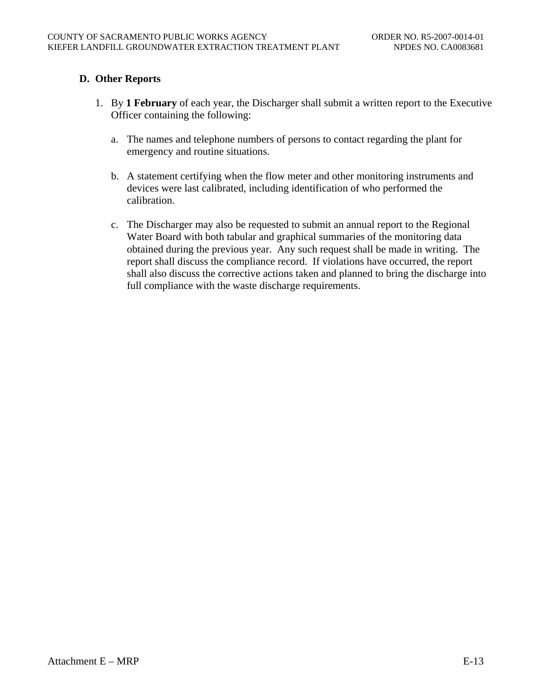# **D. Other Reports**

- 1. By **1 February** of each year, the Discharger shall submit a written report to the Executive Officer containing the following:
	- a. The names and telephone numbers of persons to contact regarding the plant for emergency and routine situations.
	- b. A statement certifying when the flow meter and other monitoring instruments and devices were last calibrated, including identification of who performed the calibration.
	- c. The Discharger may also be requested to submit an annual report to the Regional Water Board with both tabular and graphical summaries of the monitoring data obtained during the previous year. Any such request shall be made in writing. The report shall discuss the compliance record. If violations have occurred, the report shall also discuss the corrective actions taken and planned to bring the discharge into full compliance with the waste discharge requirements.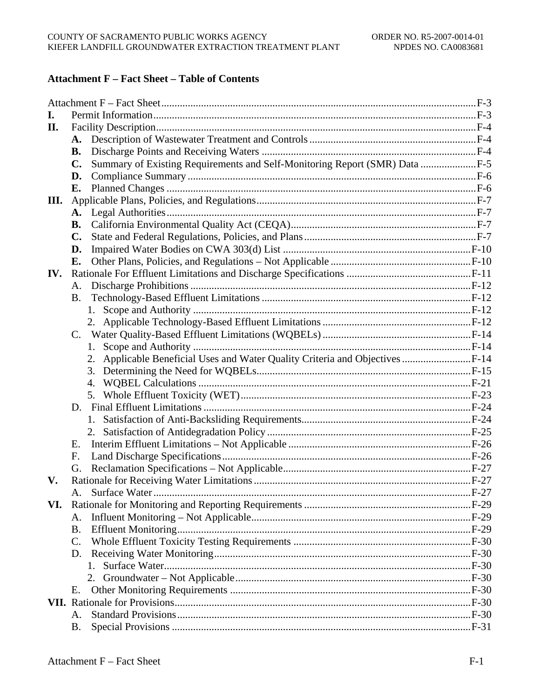# **Attachment F** – Fact Sheet – Table of Contents

| I.  |                |                                                                               |  |
|-----|----------------|-------------------------------------------------------------------------------|--|
| II. |                |                                                                               |  |
|     | A.             |                                                                               |  |
|     | В.             |                                                                               |  |
|     | C.             | Summary of Existing Requirements and Self-Monitoring Report (SMR) Data F-5    |  |
|     | D.             |                                                                               |  |
|     | Е.             |                                                                               |  |
| Ш.  |                |                                                                               |  |
|     | A.             |                                                                               |  |
|     | В.             |                                                                               |  |
|     | $\mathbf{C}$ . |                                                                               |  |
|     | D.             |                                                                               |  |
|     | Е.             |                                                                               |  |
| IV. |                |                                                                               |  |
|     | А.             |                                                                               |  |
|     | <b>B.</b>      |                                                                               |  |
|     |                |                                                                               |  |
|     |                |                                                                               |  |
|     | $\mathbf{C}$ . |                                                                               |  |
|     |                | 1.                                                                            |  |
|     |                | 2. Applicable Beneficial Uses and Water Quality Criteria and Objectives  F-14 |  |
|     |                |                                                                               |  |
|     |                | 4.                                                                            |  |
|     |                |                                                                               |  |
|     | D.             |                                                                               |  |
|     |                |                                                                               |  |
|     |                |                                                                               |  |
|     | Е.             |                                                                               |  |
|     | F.             |                                                                               |  |
|     | G.             |                                                                               |  |
| V.  |                |                                                                               |  |
|     |                |                                                                               |  |
| VI. |                |                                                                               |  |
|     | A.             |                                                                               |  |
|     | B.             |                                                                               |  |
|     | C.             |                                                                               |  |
|     | D.             |                                                                               |  |
|     |                | 1.                                                                            |  |
|     |                |                                                                               |  |
|     | Е.             |                                                                               |  |
|     |                |                                                                               |  |
|     | Α.             |                                                                               |  |
|     | <b>B.</b>      |                                                                               |  |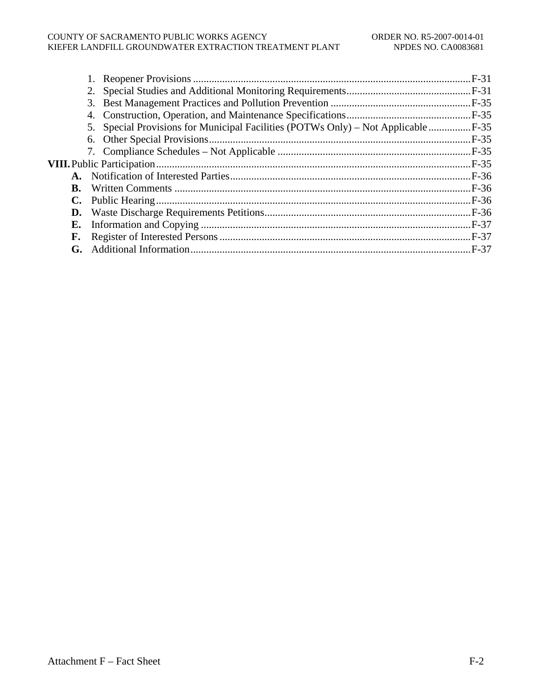#### COUNTY OF SACRAMENTO PUBLIC WORKS AGENCY ORDER NO. R5-2007-0014-01<br>KIEFER LANDFILL GROUNDWATER EXTRACTION TREATMENT PLANT NPDES NO. CA0083681 KIEFER LANDFILL GROUNDWATER EXTRACTION TREATMENT PLANT

| $\ldots$ F-36                                                                                  |
|------------------------------------------------------------------------------------------------|
|                                                                                                |
|                                                                                                |
|                                                                                                |
|                                                                                                |
|                                                                                                |
| 5. Special Provisions for Municipal Facilities (POTWs Only) – Not Applicable  F-35<br>D.<br>F. |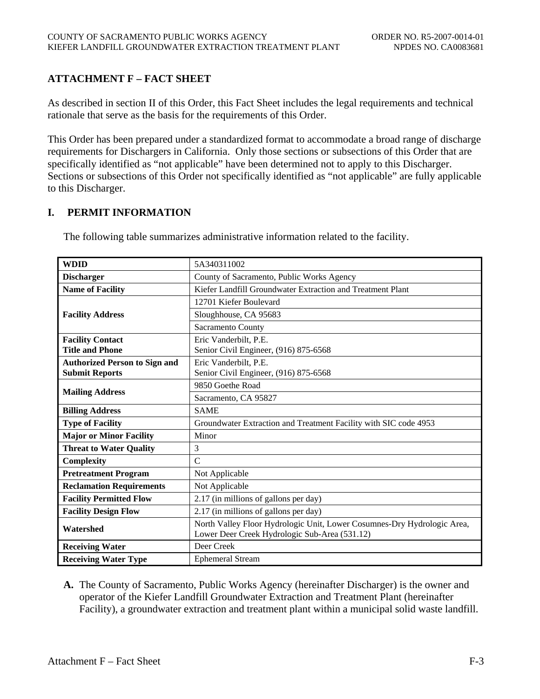# **ATTACHMENT F – FACT SHEET**

As described in section II of this Order, this Fact Sheet includes the legal requirements and technical rationale that serve as the basis for the requirements of this Order.

This Order has been prepared under a standardized format to accommodate a broad range of discharge requirements for Dischargers in California. Only those sections or subsections of this Order that are specifically identified as "not applicable" have been determined not to apply to this Discharger. Sections or subsections of this Order not specifically identified as "not applicable" are fully applicable to this Discharger.

# **I. PERMIT INFORMATION**

| <b>WDID</b>                          | 5A340311002                                                             |  |  |  |
|--------------------------------------|-------------------------------------------------------------------------|--|--|--|
| <b>Discharger</b>                    | County of Sacramento, Public Works Agency                               |  |  |  |
| <b>Name of Facility</b>              | Kiefer Landfill Groundwater Extraction and Treatment Plant              |  |  |  |
|                                      | 12701 Kiefer Boulevard                                                  |  |  |  |
| <b>Facility Address</b>              | Sloughhouse, CA 95683                                                   |  |  |  |
|                                      | Sacramento County                                                       |  |  |  |
| <b>Facility Contact</b>              | Eric Vanderbilt, P.E.                                                   |  |  |  |
| <b>Title and Phone</b>               | Senior Civil Engineer, (916) 875-6568                                   |  |  |  |
| <b>Authorized Person to Sign and</b> | Eric Vanderbilt, P.E.                                                   |  |  |  |
| <b>Submit Reports</b>                | Senior Civil Engineer, (916) 875-6568                                   |  |  |  |
|                                      | 9850 Goethe Road                                                        |  |  |  |
| <b>Mailing Address</b>               | Sacramento, CA 95827                                                    |  |  |  |
| <b>Billing Address</b>               | <b>SAME</b>                                                             |  |  |  |
| <b>Type of Facility</b>              | Groundwater Extraction and Treatment Facility with SIC code 4953        |  |  |  |
| <b>Major or Minor Facility</b>       | Minor                                                                   |  |  |  |
| <b>Threat to Water Quality</b>       | 3                                                                       |  |  |  |
| Complexity                           | $\mathcal{C}$                                                           |  |  |  |
| <b>Pretreatment Program</b>          | Not Applicable                                                          |  |  |  |
| <b>Reclamation Requirements</b>      | Not Applicable                                                          |  |  |  |
| <b>Facility Permitted Flow</b>       | 2.17 (in millions of gallons per day)                                   |  |  |  |
| <b>Facility Design Flow</b>          | 2.17 (in millions of gallons per day)                                   |  |  |  |
| Watershed                            | North Valley Floor Hydrologic Unit, Lower Cosumnes-Dry Hydrologic Area, |  |  |  |
|                                      | Lower Deer Creek Hydrologic Sub-Area (531.12)                           |  |  |  |
| <b>Receiving Water</b>               | Deer Creek                                                              |  |  |  |
| <b>Receiving Water Type</b>          | <b>Ephemeral Stream</b>                                                 |  |  |  |

The following table summarizes administrative information related to the facility.

**A.** The County of Sacramento, Public Works Agency (hereinafter Discharger) is the owner and operator of the Kiefer Landfill Groundwater Extraction and Treatment Plant (hereinafter Facility), a groundwater extraction and treatment plant within a municipal solid waste landfill.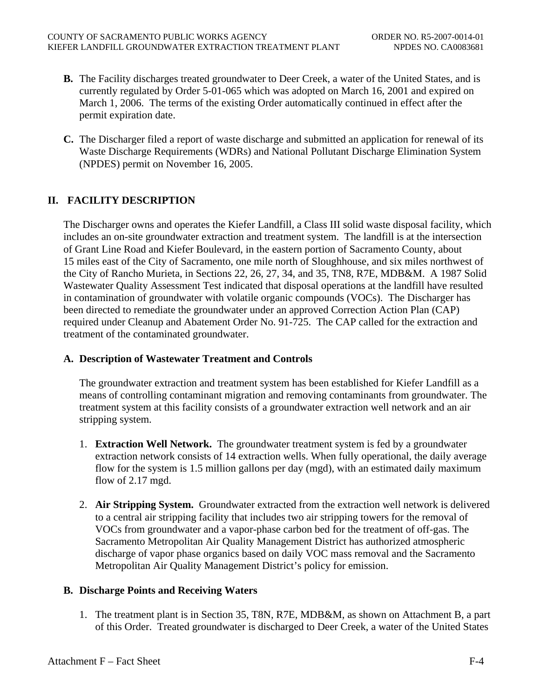- **B.** The Facility discharges treated groundwater to Deer Creek, a water of the United States, and is currently regulated by Order 5-01-065 which was adopted on March 16, 2001 and expired on March 1, 2006. The terms of the existing Order automatically continued in effect after the permit expiration date.
- **C.** The Discharger filed a report of waste discharge and submitted an application for renewal of its Waste Discharge Requirements (WDRs) and National Pollutant Discharge Elimination System (NPDES) permit on November 16, 2005.

# **II. FACILITY DESCRIPTION**

The Discharger owns and operates the Kiefer Landfill, a Class III solid waste disposal facility, which includes an on-site groundwater extraction and treatment system. The landfill is at the intersection of Grant Line Road and Kiefer Boulevard, in the eastern portion of Sacramento County, about 15 miles east of the City of Sacramento, one mile north of Sloughhouse, and six miles northwest of the City of Rancho Murieta, in Sections 22, 26, 27, 34, and 35, TN8, R7E, MDB&M. A 1987 Solid Wastewater Quality Assessment Test indicated that disposal operations at the landfill have resulted in contamination of groundwater with volatile organic compounds (VOCs). The Discharger has been directed to remediate the groundwater under an approved Correction Action Plan (CAP) required under Cleanup and Abatement Order No. 91-725. The CAP called for the extraction and treatment of the contaminated groundwater.

## **A. Description of Wastewater Treatment and Controls**

The groundwater extraction and treatment system has been established for Kiefer Landfill as a means of controlling contaminant migration and removing contaminants from groundwater. The treatment system at this facility consists of a groundwater extraction well network and an air stripping system.

- 1. **Extraction Well Network.** The groundwater treatment system is fed by a groundwater extraction network consists of 14 extraction wells. When fully operational, the daily average flow for the system is 1.5 million gallons per day (mgd), with an estimated daily maximum flow of 2.17 mgd.
- 2. **Air Stripping System.** Groundwater extracted from the extraction well network is delivered to a central air stripping facility that includes two air stripping towers for the removal of VOCs from groundwater and a vapor-phase carbon bed for the treatment of off-gas. The Sacramento Metropolitan Air Quality Management District has authorized atmospheric discharge of vapor phase organics based on daily VOC mass removal and the Sacramento Metropolitan Air Quality Management District's policy for emission.

# **B. Discharge Points and Receiving Waters**

1. The treatment plant is in Section 35, T8N, R7E, MDB&M, as shown on Attachment B, a part of this Order. Treated groundwater is discharged to Deer Creek, a water of the United States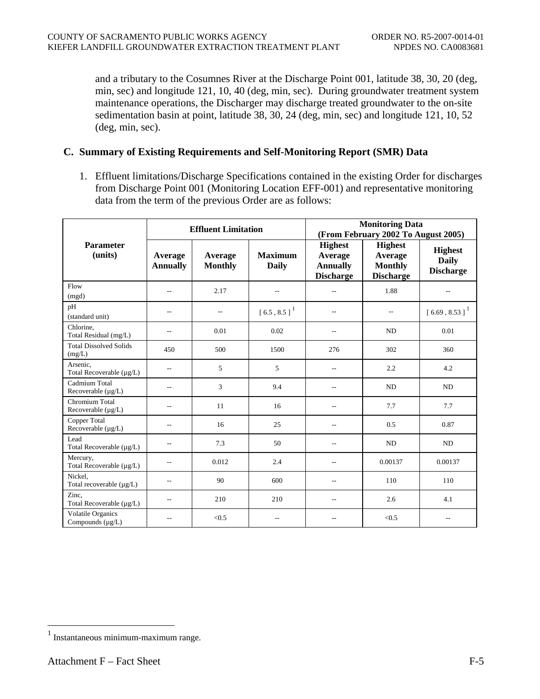and a tributary to the Cosumnes River at the Discharge Point 001, latitude 38, 30, 20 (deg, min, sec) and longitude 121, 10, 40 (deg, min, sec). During groundwater treatment system maintenance operations, the Discharger may discharge treated groundwater to the on-site sedimentation basin at point, latitude 38, 30, 24 (deg, min, sec) and longitude 121, 10, 52 (deg, min, sec).

## **C. Summary of Existing Requirements and Self-Monitoring Report (SMR) Data**

1. Effluent limitations/Discharge Specifications contained in the existing Order for discharges from Discharge Point 001 (Monitoring Location EFF-001) and representative monitoring data from the term of the previous Order are as follows:

|                                            | <b>Effluent Limitation</b> |                           |                                | <b>Monitoring Data</b><br>(From February 2002 To August 2005)    |                                                                 |                                                    |
|--------------------------------------------|----------------------------|---------------------------|--------------------------------|------------------------------------------------------------------|-----------------------------------------------------------------|----------------------------------------------------|
| <b>Parameter</b><br>(units)                | Average<br><b>Annually</b> | Average<br><b>Monthly</b> | <b>Maximum</b><br><b>Daily</b> | <b>Highest</b><br>Average<br><b>Annually</b><br><b>Discharge</b> | <b>Highest</b><br>Average<br><b>Monthly</b><br><b>Discharge</b> | <b>Highest</b><br><b>Daily</b><br><b>Discharge</b> |
| Flow<br>(mgd)                              | $\qquad \qquad -$          | 2.17                      | --                             | $\overline{a}$                                                   | 1.88                                                            | $-$                                                |
| pH<br>(standard unit)                      | $- -$                      | $\overline{a}$            | $[6.5, 8.5]$ <sup>1</sup>      | $\overline{a}$                                                   | $- -$                                                           | $[6.69, 8.53]$ <sup>1</sup>                        |
| Chlorine,<br>Total Residual (mg/L)         | $\overline{a}$             | 0.01                      | 0.02                           | $-$                                                              | ND                                                              | 0.01                                               |
| <b>Total Dissolved Solids</b><br>$(mg/L)$  | 450                        | 500                       | 1500                           | 276                                                              | 302                                                             | 360                                                |
| Arsenic,<br>Total Recoverable (µg/L)       | $\qquad \qquad -$          | 5                         | 5                              | $-$                                                              | 2.2                                                             | 4.2                                                |
| Cadmium Total<br>Recoverable (µg/L)        | $\overline{a}$             | 3                         | 9.4                            |                                                                  | N <sub>D</sub>                                                  | <b>ND</b>                                          |
| Chromium Total<br>Recoverable $(\mu g/L)$  | $\frac{1}{2}$              | 11                        | 16                             | $-$                                                              | 7.7                                                             | 7.7                                                |
| Copper Total<br>Recoverable (µg/L)         | $\qquad \qquad -$          | 16                        | 25                             | $-$                                                              | 0.5                                                             | 0.87                                               |
| Lead<br>Total Recoverable (µg/L)           | $- -$                      | 7.3                       | 50                             | --                                                               | N <sub>D</sub>                                                  | ND                                                 |
| Mercury,<br>Total Recoverable (µg/L)       | $\overline{a}$             | 0.012                     | 2.4                            |                                                                  | 0.00137                                                         | 0.00137                                            |
| Nickel.<br>Total recoverable (µg/L)        | $-$                        | 90                        | 600                            | $\overline{a}$                                                   | 110                                                             | 110                                                |
| Zinc.<br>Total Recoverable (µg/L)          | $-$                        | 210                       | 210                            | $\overline{a}$                                                   | 2.6                                                             | 4.1                                                |
| Volatile Organics<br>Compounds $(\mu g/L)$ | --                         | < 0.5                     | ٠.                             |                                                                  | < 0.5                                                           | $-$                                                |

 $\overline{a}$ 

<sup>1</sup> Instantaneous minimum-maximum range.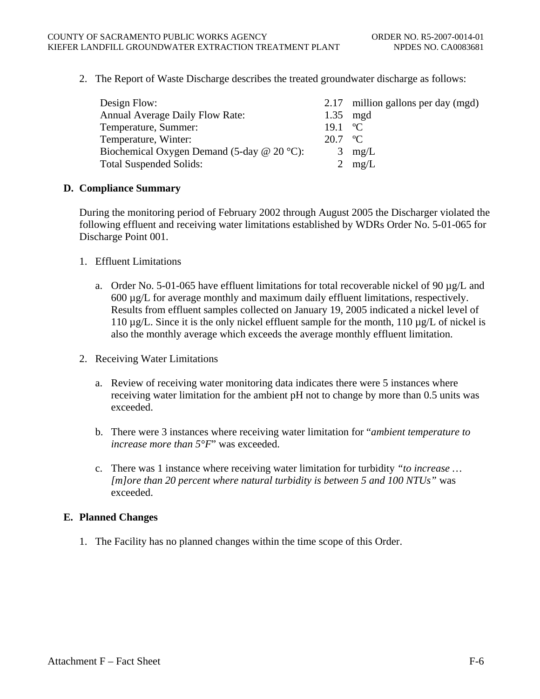2. The Report of Waste Discharge describes the treated groundwater discharge as follows:

| Design Flow:                                 |                             | 2.17 million gallons per day (mgd) |
|----------------------------------------------|-----------------------------|------------------------------------|
| <b>Annual Average Daily Flow Rate:</b>       | $1.35$ mgd                  |                                    |
| Temperature, Summer:                         | 19.1 $\,^{\circ}\mathrm{C}$ |                                    |
| Temperature, Winter:                         | $20.7 \text{ °C}$           |                                    |
| Biochemical Oxygen Demand (5-day $@$ 20 °C): |                             | $3 \text{ mg/L}$                   |
| <b>Total Suspended Solids:</b>               |                             | 2 $mg/L$                           |

#### **D. Compliance Summary**

During the monitoring period of February 2002 through August 2005 the Discharger violated the following effluent and receiving water limitations established by WDRs Order No. 5-01-065 for Discharge Point 001.

- 1. Effluent Limitations
	- a. Order No. 5-01-065 have effluent limitations for total recoverable nickel of 90  $\mu$ g/L and 600 µg/L for average monthly and maximum daily effluent limitations, respectively. Results from effluent samples collected on January 19, 2005 indicated a nickel level of 110  $\mu$ g/L. Since it is the only nickel effluent sample for the month, 110  $\mu$ g/L of nickel is also the monthly average which exceeds the average monthly effluent limitation.
- 2. Receiving Water Limitations
	- a. Review of receiving water monitoring data indicates there were 5 instances where receiving water limitation for the ambient pH not to change by more than 0.5 units was exceeded.
	- b. There were 3 instances where receiving water limitation for "*ambient temperature to increase more than 5°F*" was exceeded.
	- c. There was 1 instance where receiving water limitation for turbidity *"to increase … [m]ore than 20 percent where natural turbidity is between 5 and 100 NTUs"* was exceeded.

## **E. Planned Changes**

1. The Facility has no planned changes within the time scope of this Order.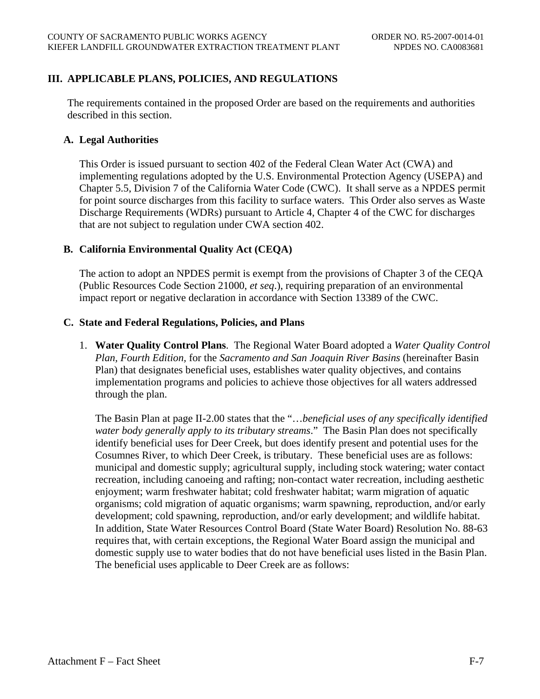# **III. APPLICABLE PLANS, POLICIES, AND REGULATIONS**

The requirements contained in the proposed Order are based on the requirements and authorities described in this section.

#### **A. Legal Authorities**

This Order is issued pursuant to section 402 of the Federal Clean Water Act (CWA) and implementing regulations adopted by the U.S. Environmental Protection Agency (USEPA) and Chapter 5.5, Division 7 of the California Water Code (CWC). It shall serve as a NPDES permit for point source discharges from this facility to surface waters. This Order also serves as Waste Discharge Requirements (WDRs) pursuant to Article 4, Chapter 4 of the CWC for discharges that are not subject to regulation under CWA section 402.

#### **B. California Environmental Quality Act (CEQA)**

The action to adopt an NPDES permit is exempt from the provisions of Chapter 3 of the CEQA (Public Resources Code Section 21000, *et seq*.), requiring preparation of an environmental impact report or negative declaration in accordance with Section 13389 of the CWC.

#### **C. State and Federal Regulations, Policies, and Plans**

1. **Water Quality Control Plans**. The Regional Water Board adopted a *Water Quality Control Plan, Fourth Edition,* for the *Sacramento and San Joaquin River Basins* (hereinafter Basin Plan) that designates beneficial uses, establishes water quality objectives, and contains implementation programs and policies to achieve those objectives for all waters addressed through the plan.

The Basin Plan at page II-2.00 states that the "…*beneficial uses of any specifically identified water body generally apply to its tributary streams*." The Basin Plan does not specifically identify beneficial uses for Deer Creek, but does identify present and potential uses for the Cosumnes River, to which Deer Creek, is tributary. These beneficial uses are as follows: municipal and domestic supply; agricultural supply, including stock watering; water contact recreation, including canoeing and rafting; non-contact water recreation, including aesthetic enjoyment; warm freshwater habitat; cold freshwater habitat; warm migration of aquatic organisms; cold migration of aquatic organisms; warm spawning, reproduction, and/or early development; cold spawning, reproduction, and/or early development; and wildlife habitat. In addition, State Water Resources Control Board (State Water Board) Resolution No. 88-63 requires that, with certain exceptions, the Regional Water Board assign the municipal and domestic supply use to water bodies that do not have beneficial uses listed in the Basin Plan. The beneficial uses applicable to Deer Creek are as follows: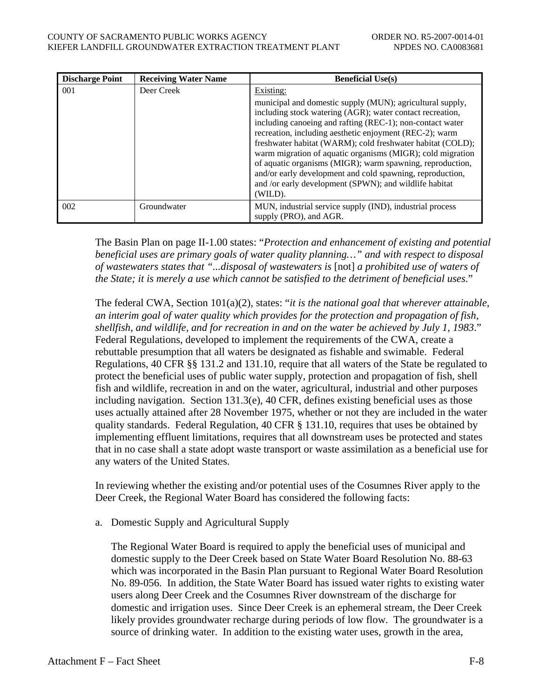| COUNTY OF SACRAMENTO PUBLIC WORKS AGENCY               |  |
|--------------------------------------------------------|--|
| KIEFER LANDFILL GROUNDWATER EXTRACTION TREATMENT PLANT |  |
|                                                        |  |

| <b>Discharge Point</b> | <b>Receiving Water Name</b> | <b>Beneficial Use(s)</b>                                                                                                                                                                                                                                                                                                                                                                                                                                                                                                                                                  |
|------------------------|-----------------------------|---------------------------------------------------------------------------------------------------------------------------------------------------------------------------------------------------------------------------------------------------------------------------------------------------------------------------------------------------------------------------------------------------------------------------------------------------------------------------------------------------------------------------------------------------------------------------|
| 001                    | Deer Creek                  | Existing:                                                                                                                                                                                                                                                                                                                                                                                                                                                                                                                                                                 |
|                        |                             | municipal and domestic supply (MUN); agricultural supply,<br>including stock watering (AGR); water contact recreation,<br>including canoeing and rafting (REC-1); non-contact water<br>recreation, including aesthetic enjoyment (REC-2); warm<br>freshwater habitat (WARM); cold freshwater habitat (COLD);<br>warm migration of aquatic organisms (MIGR); cold migration<br>of aquatic organisms (MIGR); warm spawning, reproduction,<br>and/or early development and cold spawning, reproduction,<br>and /or early development (SPWN); and wildlife habitat<br>(WILD). |
| 002                    | Groundwater                 | MUN, industrial service supply (IND), industrial process<br>supply (PRO), and AGR.                                                                                                                                                                                                                                                                                                                                                                                                                                                                                        |

The Basin Plan on page II-1.00 states: "*Protection and enhancement of existing and potential beneficial uses are primary goals of water quality planning…" and with respect to disposal of wastewaters states that "...disposal of wastewaters is* [not] *a prohibited use of waters of the State; it is merely a use which cannot be satisfied to the detriment of beneficial uses*."

The federal CWA, Section 101(a)(2), states: "*it is the national goal that wherever attainable, an interim goal of water quality which provides for the protection and propagation of fish, shellfish, and wildlife, and for recreation in and on the water be achieved by July 1, 1983*." Federal Regulations, developed to implement the requirements of the CWA, create a rebuttable presumption that all waters be designated as fishable and swimable. Federal Regulations, 40 CFR §§ 131.2 and 131.10, require that all waters of the State be regulated to protect the beneficial uses of public water supply, protection and propagation of fish, shell fish and wildlife, recreation in and on the water, agricultural, industrial and other purposes including navigation. Section 131.3(e), 40 CFR, defines existing beneficial uses as those uses actually attained after 28 November 1975, whether or not they are included in the water quality standards. Federal Regulation, 40 CFR § 131.10, requires that uses be obtained by implementing effluent limitations, requires that all downstream uses be protected and states that in no case shall a state adopt waste transport or waste assimilation as a beneficial use for any waters of the United States.

In reviewing whether the existing and/or potential uses of the Cosumnes River apply to the Deer Creek, the Regional Water Board has considered the following facts:

a. Domestic Supply and Agricultural Supply

The Regional Water Board is required to apply the beneficial uses of municipal and domestic supply to the Deer Creek based on State Water Board Resolution No. 88-63 which was incorporated in the Basin Plan pursuant to Regional Water Board Resolution No. 89-056. In addition, the State Water Board has issued water rights to existing water users along Deer Creek and the Cosumnes River downstream of the discharge for domestic and irrigation uses. Since Deer Creek is an ephemeral stream, the Deer Creek likely provides groundwater recharge during periods of low flow. The groundwater is a source of drinking water. In addition to the existing water uses, growth in the area,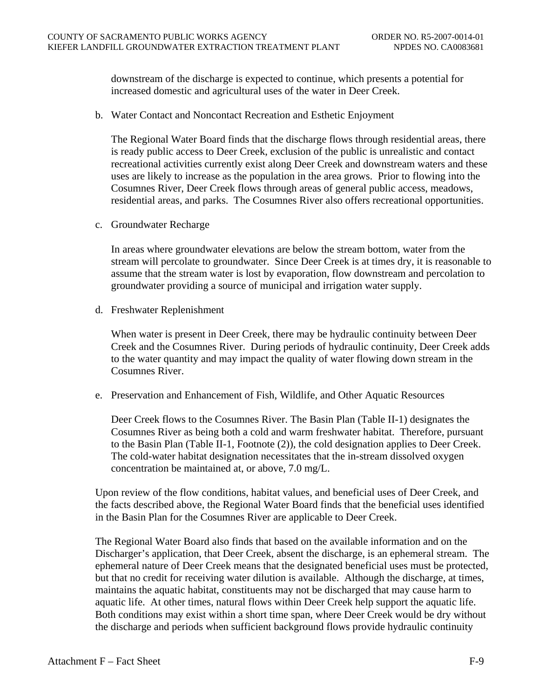downstream of the discharge is expected to continue, which presents a potential for increased domestic and agricultural uses of the water in Deer Creek.

b. Water Contact and Noncontact Recreation and Esthetic Enjoyment

The Regional Water Board finds that the discharge flows through residential areas, there is ready public access to Deer Creek, exclusion of the public is unrealistic and contact recreational activities currently exist along Deer Creek and downstream waters and these uses are likely to increase as the population in the area grows. Prior to flowing into the Cosumnes River, Deer Creek flows through areas of general public access, meadows, residential areas, and parks. The Cosumnes River also offers recreational opportunities.

c. Groundwater Recharge

In areas where groundwater elevations are below the stream bottom, water from the stream will percolate to groundwater. Since Deer Creek is at times dry, it is reasonable to assume that the stream water is lost by evaporation, flow downstream and percolation to groundwater providing a source of municipal and irrigation water supply.

d. Freshwater Replenishment

When water is present in Deer Creek, there may be hydraulic continuity between Deer Creek and the Cosumnes River. During periods of hydraulic continuity, Deer Creek adds to the water quantity and may impact the quality of water flowing down stream in the Cosumnes River.

e. Preservation and Enhancement of Fish, Wildlife, and Other Aquatic Resources

Deer Creek flows to the Cosumnes River. The Basin Plan (Table II-1) designates the Cosumnes River as being both a cold and warm freshwater habitat. Therefore, pursuant to the Basin Plan (Table II-1, Footnote (2)), the cold designation applies to Deer Creek. The cold-water habitat designation necessitates that the in-stream dissolved oxygen concentration be maintained at, or above, 7.0 mg/L.

Upon review of the flow conditions, habitat values, and beneficial uses of Deer Creek, and the facts described above, the Regional Water Board finds that the beneficial uses identified in the Basin Plan for the Cosumnes River are applicable to Deer Creek.

The Regional Water Board also finds that based on the available information and on the Discharger's application, that Deer Creek, absent the discharge, is an ephemeral stream. The ephemeral nature of Deer Creek means that the designated beneficial uses must be protected, but that no credit for receiving water dilution is available. Although the discharge, at times, maintains the aquatic habitat, constituents may not be discharged that may cause harm to aquatic life. At other times, natural flows within Deer Creek help support the aquatic life. Both conditions may exist within a short time span, where Deer Creek would be dry without the discharge and periods when sufficient background flows provide hydraulic continuity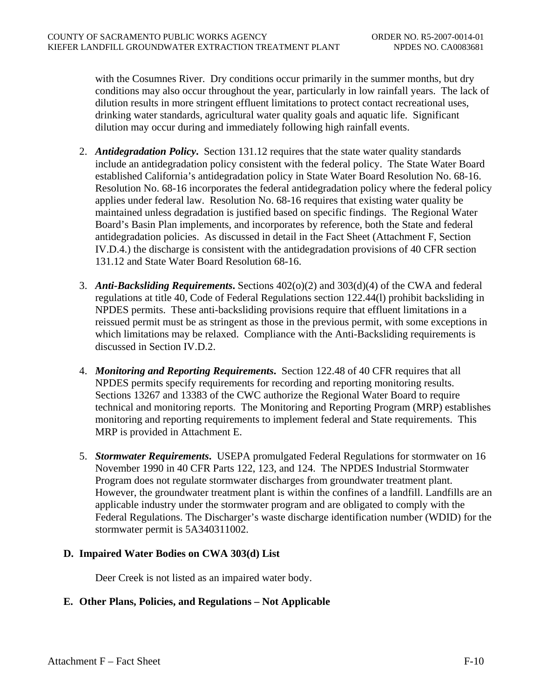with the Cosumnes River. Dry conditions occur primarily in the summer months, but dry conditions may also occur throughout the year, particularly in low rainfall years. The lack of dilution results in more stringent effluent limitations to protect contact recreational uses, drinking water standards, agricultural water quality goals and aquatic life. Significant dilution may occur during and immediately following high rainfall events.

- 2. *Antidegradation Policy***.** Section 131.12 requires that the state water quality standards include an antidegradation policy consistent with the federal policy. The State Water Board established California's antidegradation policy in State Water Board Resolution No. 68-16. Resolution No. 68-16 incorporates the federal antidegradation policy where the federal policy applies under federal law. Resolution No. 68-16 requires that existing water quality be maintained unless degradation is justified based on specific findings. The Regional Water Board's Basin Plan implements, and incorporates by reference, both the State and federal antidegradation policies. As discussed in detail in the Fact Sheet (Attachment F, Section IV.D.4.) the discharge is consistent with the antidegradation provisions of 40 CFR section 131.12 and State Water Board Resolution 68-16.
- 3. *Anti-Backsliding Requirements***.** Sections 402(o)(2) and 303(d)(4) of the CWA and federal regulations at title 40, Code of Federal Regulations section 122.44(l) prohibit backsliding in NPDES permits. These anti-backsliding provisions require that effluent limitations in a reissued permit must be as stringent as those in the previous permit, with some exceptions in which limitations may be relaxed. Compliance with the Anti-Backsliding requirements is discussed in Section IV.D.2.
- 4. *Monitoring and Reporting Requirements***.** Section 122.48 of 40 CFR requires that all NPDES permits specify requirements for recording and reporting monitoring results. Sections 13267 and 13383 of the CWC authorize the Regional Water Board to require technical and monitoring reports. The Monitoring and Reporting Program (MRP) establishes monitoring and reporting requirements to implement federal and State requirements. This MRP is provided in Attachment E.
- 5. *Stormwater Requirements***.** USEPA promulgated Federal Regulations for stormwater on 16 November 1990 in 40 CFR Parts 122, 123, and 124. The NPDES Industrial Stormwater Program does not regulate stormwater discharges from groundwater treatment plant. However, the groundwater treatment plant is within the confines of a landfill. Landfills are an applicable industry under the stormwater program and are obligated to comply with the Federal Regulations. The Discharger's waste discharge identification number (WDID) for the stormwater permit is 5A340311002.

## **D. Impaired Water Bodies on CWA 303(d) List**

Deer Creek is not listed as an impaired water body.

# **E. Other Plans, Policies, and Regulations – Not Applicable**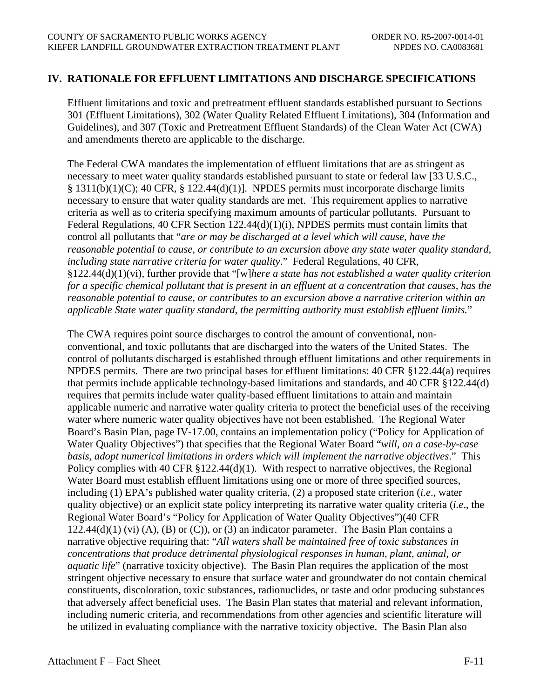## **IV. RATIONALE FOR EFFLUENT LIMITATIONS AND DISCHARGE SPECIFICATIONS**

Effluent limitations and toxic and pretreatment effluent standards established pursuant to Sections 301 (Effluent Limitations), 302 (Water Quality Related Effluent Limitations), 304 (Information and Guidelines), and 307 (Toxic and Pretreatment Effluent Standards) of the Clean Water Act (CWA) and amendments thereto are applicable to the discharge.

The Federal CWA mandates the implementation of effluent limitations that are as stringent as necessary to meet water quality standards established pursuant to state or federal law [33 U.S.C., § 1311(b)(1)(C); 40 CFR, § 122.44(d)(1)]. NPDES permits must incorporate discharge limits necessary to ensure that water quality standards are met. This requirement applies to narrative criteria as well as to criteria specifying maximum amounts of particular pollutants. Pursuant to Federal Regulations, 40 CFR Section 122.44(d)(1)(i), NPDES permits must contain limits that control all pollutants that "*are or may be discharged at a level which will cause, have the reasonable potential to cause, or contribute to an excursion above any state water quality standard, including state narrative criteria for water quality*." Federal Regulations, 40 CFR, §122.44(d)(1)(vi), further provide that "[w]*here a state has not established a water quality criterion for a specific chemical pollutant that is present in an effluent at a concentration that causes, has the reasonable potential to cause, or contributes to an excursion above a narrative criterion within an applicable State water quality standard, the permitting authority must establish effluent limits.*"

The CWA requires point source discharges to control the amount of conventional, nonconventional, and toxic pollutants that are discharged into the waters of the United States. The control of pollutants discharged is established through effluent limitations and other requirements in NPDES permits. There are two principal bases for effluent limitations: 40 CFR §122.44(a) requires that permits include applicable technology-based limitations and standards, and 40 CFR §122.44(d) requires that permits include water quality-based effluent limitations to attain and maintain applicable numeric and narrative water quality criteria to protect the beneficial uses of the receiving water where numeric water quality objectives have not been established. The Regional Water Board's Basin Plan, page IV-17.00, contains an implementation policy ("Policy for Application of Water Quality Objectives") that specifies that the Regional Water Board "*will, on a case-by-case basis, adopt numerical limitations in orders which will implement the narrative objectives*." This Policy complies with 40 CFR §122.44(d)(1). With respect to narrative objectives, the Regional Water Board must establish effluent limitations using one or more of three specified sources, including (1) EPA's published water quality criteria, (2) a proposed state criterion (*i.e*., water quality objective) or an explicit state policy interpreting its narrative water quality criteria (*i.e*., the Regional Water Board's "Policy for Application of Water Quality Objectives")(40 CFR  $122.44(d)(1)$  (vi) (A), (B) or (C)), or (3) an indicator parameter. The Basin Plan contains a narrative objective requiring that: "*All waters shall be maintained free of toxic substances in concentrations that produce detrimental physiological responses in human, plant, animal, or aquatic life*" (narrative toxicity objective). The Basin Plan requires the application of the most stringent objective necessary to ensure that surface water and groundwater do not contain chemical constituents, discoloration, toxic substances, radionuclides, or taste and odor producing substances that adversely affect beneficial uses. The Basin Plan states that material and relevant information, including numeric criteria, and recommendations from other agencies and scientific literature will be utilized in evaluating compliance with the narrative toxicity objective. The Basin Plan also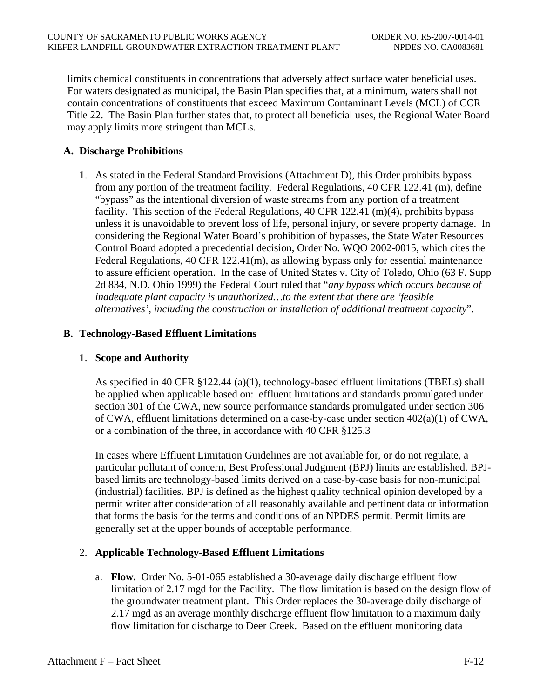limits chemical constituents in concentrations that adversely affect surface water beneficial uses. For waters designated as municipal, the Basin Plan specifies that, at a minimum, waters shall not contain concentrations of constituents that exceed Maximum Contaminant Levels (MCL) of CCR Title 22. The Basin Plan further states that, to protect all beneficial uses, the Regional Water Board may apply limits more stringent than MCLs.

# **A. Discharge Prohibitions**

1. As stated in the Federal Standard Provisions (Attachment D), this Order prohibits bypass from any portion of the treatment facility*.* Federal Regulations, 40 CFR 122.41 (m), define "bypass" as the intentional diversion of waste streams from any portion of a treatment facility. This section of the Federal Regulations, 40 CFR 122.41 (m)(4), prohibits bypass unless it is unavoidable to prevent loss of life, personal injury, or severe property damage. In considering the Regional Water Board's prohibition of bypasses, the State Water Resources Control Board adopted a precedential decision, Order No. WQO 2002-0015, which cites the Federal Regulations, 40 CFR 122.41(m), as allowing bypass only for essential maintenance to assure efficient operation. In the case of United States v. City of Toledo, Ohio (63 F. Supp 2d 834, N.D. Ohio 1999) the Federal Court ruled that "*any bypass which occurs because of inadequate plant capacity is unauthorized…to the extent that there are 'feasible alternatives', including the construction or installation of additional treatment capacity*".

## **B. Technology-Based Effluent Limitations**

## 1. **Scope and Authority**

As specified in 40 CFR §122.44 (a)(1), technology-based effluent limitations (TBELs) shall be applied when applicable based on: effluent limitations and standards promulgated under section 301 of the CWA, new source performance standards promulgated under section 306 of CWA, effluent limitations determined on a case-by-case under section 402(a)(1) of CWA, or a combination of the three, in accordance with 40 CFR §125.3

In cases where Effluent Limitation Guidelines are not available for, or do not regulate, a particular pollutant of concern, Best Professional Judgment (BPJ) limits are established. BPJbased limits are technology-based limits derived on a case-by-case basis for non-municipal (industrial) facilities. BPJ is defined as the highest quality technical opinion developed by a permit writer after consideration of all reasonably available and pertinent data or information that forms the basis for the terms and conditions of an NPDES permit. Permit limits are generally set at the upper bounds of acceptable performance.

## 2. **Applicable Technology-Based Effluent Limitations**

a. **Flow.** Order No. 5-01-065 established a 30-average daily discharge effluent flow limitation of 2.17 mgd for the Facility. The flow limitation is based on the design flow of the groundwater treatment plant. This Order replaces the 30-average daily discharge of 2.17 mgd as an average monthly discharge effluent flow limitation to a maximum daily flow limitation for discharge to Deer Creek. Based on the effluent monitoring data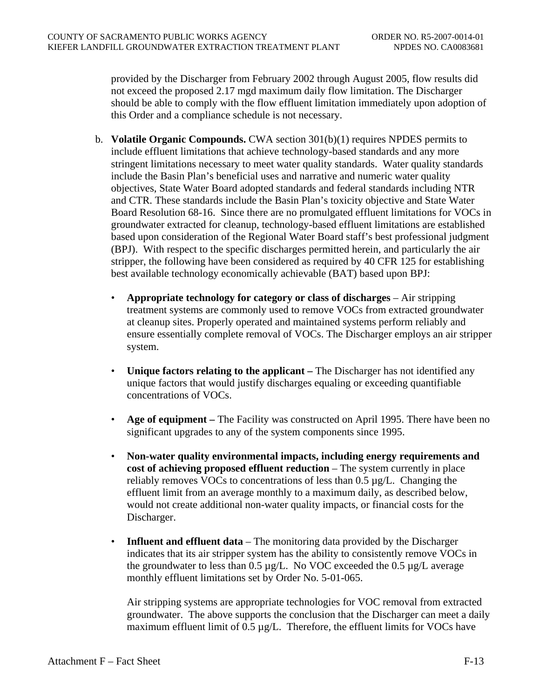provided by the Discharger from February 2002 through August 2005, flow results did not exceed the proposed 2.17 mgd maximum daily flow limitation. The Discharger should be able to comply with the flow effluent limitation immediately upon adoption of this Order and a compliance schedule is not necessary.

- b. **Volatile Organic Compounds.** CWA section 301(b)(1) requires NPDES permits to include effluent limitations that achieve technology-based standards and any more stringent limitations necessary to meet water quality standards. Water quality standards include the Basin Plan's beneficial uses and narrative and numeric water quality objectives, State Water Board adopted standards and federal standards including NTR and CTR. These standards include the Basin Plan's toxicity objective and State Water Board Resolution 68-16. Since there are no promulgated effluent limitations for VOCs in groundwater extracted for cleanup, technology-based effluent limitations are established based upon consideration of the Regional Water Board staff's best professional judgment (BPJ). With respect to the specific discharges permitted herein, and particularly the air stripper, the following have been considered as required by 40 CFR 125 for establishing best available technology economically achievable (BAT) based upon BPJ:
	- **Appropriate technology for category or class of discharges** Air stripping treatment systems are commonly used to remove VOCs from extracted groundwater at cleanup sites. Properly operated and maintained systems perform reliably and ensure essentially complete removal of VOCs. The Discharger employs an air stripper system.
	- **Unique factors relating to the applicant** The Discharger has not identified any unique factors that would justify discharges equaling or exceeding quantifiable concentrations of VOCs.
	- **Age of equipment** The Facility was constructed on April 1995. There have been no significant upgrades to any of the system components since 1995.
	- **Non-water quality environmental impacts, including energy requirements and cost of achieving proposed effluent reduction** – The system currently in place reliably removes VOCs to concentrations of less than 0.5 µg/L. Changing the effluent limit from an average monthly to a maximum daily, as described below, would not create additional non-water quality impacts, or financial costs for the Discharger.
	- **Influent and effluent data** The monitoring data provided by the Discharger indicates that its air stripper system has the ability to consistently remove VOCs in the groundwater to less than  $0.5 \mu g/L$ . No VOC exceeded the  $0.5 \mu g/L$  average monthly effluent limitations set by Order No. 5-01-065.

Air stripping systems are appropriate technologies for VOC removal from extracted groundwater. The above supports the conclusion that the Discharger can meet a daily maximum effluent limit of 0.5 µg/L. Therefore, the effluent limits for VOCs have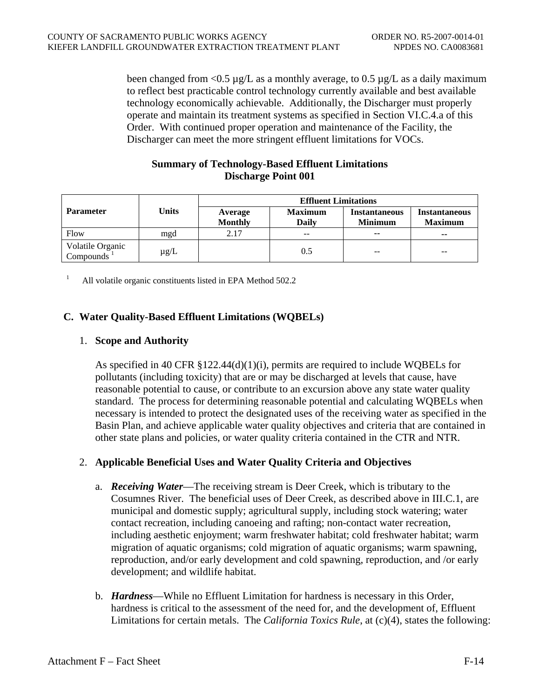been changed from  $\langle 0.5 \mu g/L \rangle$  as a monthly average, to 0.5  $\mu g/L$  as a daily maximum to reflect best practicable control technology currently available and best available technology economically achievable. Additionally, the Discharger must properly operate and maintain its treatment systems as specified in Section VI.C.4.a of this Order. With continued proper operation and maintenance of the Facility, the Discharger can meet the more stringent effluent limitations for VOCs.

## **Summary of Technology-Based Effluent Limitations Discharge Point 001**

|                                            | Units     | <b>Effluent Limitations</b> |                                |                                        |                                        |
|--------------------------------------------|-----------|-----------------------------|--------------------------------|----------------------------------------|----------------------------------------|
| <b>Parameter</b>                           |           | Average<br><b>Monthly</b>   | <b>Maximum</b><br><b>Daily</b> | <b>Instantaneous</b><br><b>Minimum</b> | <b>Instantaneous</b><br><b>Maximum</b> |
| Flow                                       | mgd       | 2.17                        | $\overline{\phantom{m}}$       | $\sim$                                 | $\sim$                                 |
| Volatile Organic<br>Compounds <sup>1</sup> | $\mu$ g/L |                             | 0.5                            | $- -$                                  | $- -$                                  |

<sup>1</sup> All volatile organic constituents listed in EPA Method 502.2

# **C. Water Quality-Based Effluent Limitations (WQBELs)**

## 1. **Scope and Authority**

As specified in 40 CFR  $\S 122.44(d)(1)(i)$ , permits are required to include WQBELs for pollutants (including toxicity) that are or may be discharged at levels that cause, have reasonable potential to cause, or contribute to an excursion above any state water quality standard. The process for determining reasonable potential and calculating WQBELs when necessary is intended to protect the designated uses of the receiving water as specified in the Basin Plan, and achieve applicable water quality objectives and criteria that are contained in other state plans and policies, or water quality criteria contained in the CTR and NTR.

## 2. **Applicable Beneficial Uses and Water Quality Criteria and Objectives**

- a. *Receiving Water*—The receiving stream is Deer Creek, which is tributary to the Cosumnes River. The beneficial uses of Deer Creek, as described above in III.C.1, are municipal and domestic supply; agricultural supply, including stock watering; water contact recreation, including canoeing and rafting; non-contact water recreation, including aesthetic enjoyment; warm freshwater habitat; cold freshwater habitat; warm migration of aquatic organisms; cold migration of aquatic organisms; warm spawning, reproduction, and/or early development and cold spawning, reproduction, and /or early development; and wildlife habitat.
- b. *Hardness*—While no Effluent Limitation for hardness is necessary in this Order, hardness is critical to the assessment of the need for, and the development of, Effluent Limitations for certain metals. The *California Toxics Rule*, at (c)(4), states the following: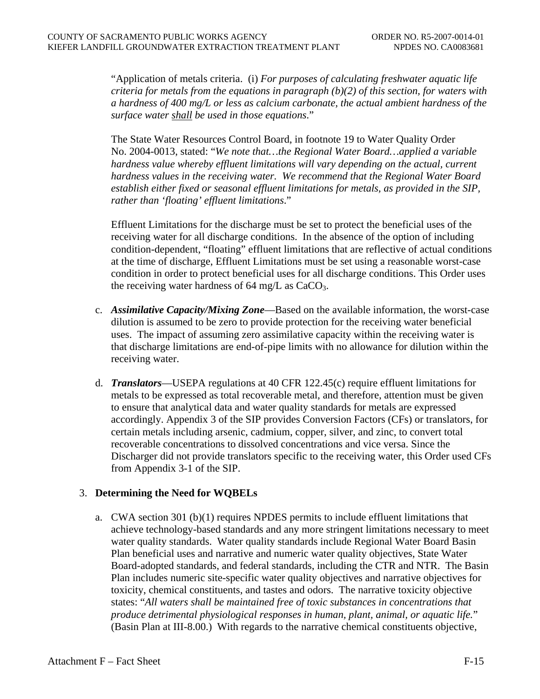"Application of metals criteria. (i) *For purposes of calculating freshwater aquatic life criteria for metals from the equations in paragraph (b)(2) of this section, for waters with a hardness of 400 mg/L or less as calcium carbonate, the actual ambient hardness of the surface water shall be used in those equations*."

The State Water Resources Control Board, in footnote 19 to Water Quality Order No. 2004-0013, stated: "*We note that…the Regional Water Board…applied a variable*  hardness value whereby effluent limitations will vary depending on the actual, current *hardness values in the receiving water. We recommend that the Regional Water Board establish either fixed or seasonal effluent limitations for metals, as provided in the SIP, rather than 'floating' effluent limitations*."

Effluent Limitations for the discharge must be set to protect the beneficial uses of the receiving water for all discharge conditions. In the absence of the option of including condition-dependent, "floating" effluent limitations that are reflective of actual conditions at the time of discharge, Effluent Limitations must be set using a reasonable worst-case condition in order to protect beneficial uses for all discharge conditions. This Order uses the receiving water hardness of  $64 \text{ mg/L}$  as  $CaCO<sub>3</sub>$ .

- c. *Assimilative Capacity/Mixing Zone*—Based on the available information, the worst-case dilution is assumed to be zero to provide protection for the receiving water beneficial uses. The impact of assuming zero assimilative capacity within the receiving water is that discharge limitations are end-of-pipe limits with no allowance for dilution within the receiving water.
- d. *Translators*—USEPA regulations at 40 CFR 122.45(c) require effluent limitations for metals to be expressed as total recoverable metal, and therefore, attention must be given to ensure that analytical data and water quality standards for metals are expressed accordingly. Appendix 3 of the SIP provides Conversion Factors (CFs) or translators, for certain metals including arsenic, cadmium, copper, silver, and zinc, to convert total recoverable concentrations to dissolved concentrations and vice versa. Since the Discharger did not provide translators specific to the receiving water, this Order used CFs from Appendix 3-1 of the SIP.

## 3. **Determining the Need for WQBELs**

a. CWA section 301 (b)(1) requires NPDES permits to include effluent limitations that achieve technology-based standards and any more stringent limitations necessary to meet water quality standards. Water quality standards include Regional Water Board Basin Plan beneficial uses and narrative and numeric water quality objectives, State Water Board-adopted standards, and federal standards, including the CTR and NTR. The Basin Plan includes numeric site-specific water quality objectives and narrative objectives for toxicity, chemical constituents, and tastes and odors. The narrative toxicity objective states: "*All waters shall be maintained free of toxic substances in concentrations that produce detrimental physiological responses in human, plant, animal, or aquatic life.*" (Basin Plan at III-8.00.) With regards to the narrative chemical constituents objective,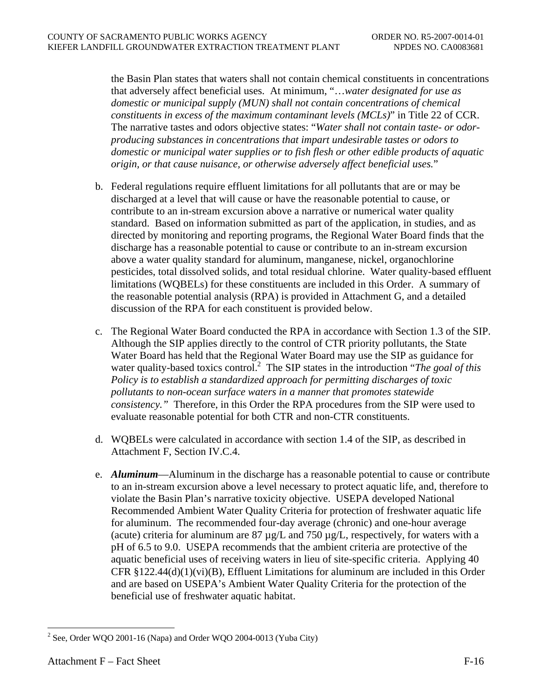the Basin Plan states that waters shall not contain chemical constituents in concentrations that adversely affect beneficial uses. At minimum, "…*water designated for use as domestic or municipal supply (MUN) shall not contain concentrations of chemical constituents in excess of the maximum contaminant levels (MCLs)*" in Title 22 of CCR. The narrative tastes and odors objective states: "*Water shall not contain taste- or odorproducing substances in concentrations that impart undesirable tastes or odors to domestic or municipal water supplies or to fish flesh or other edible products of aquatic origin, or that cause nuisance, or otherwise adversely affect beneficial uses.*"

- b. Federal regulations require effluent limitations for all pollutants that are or may be discharged at a level that will cause or have the reasonable potential to cause, or contribute to an in-stream excursion above a narrative or numerical water quality standard. Based on information submitted as part of the application, in studies, and as directed by monitoring and reporting programs, the Regional Water Board finds that the discharge has a reasonable potential to cause or contribute to an in-stream excursion above a water quality standard for aluminum, manganese, nickel, organochlorine pesticides, total dissolved solids, and total residual chlorine. Water quality-based effluent limitations (WQBELs) for these constituents are included in this Order. A summary of the reasonable potential analysis (RPA) is provided in Attachment G, and a detailed discussion of the RPA for each constituent is provided below.
- c. The Regional Water Board conducted the RPA in accordance with Section 1.3 of the SIP. Although the SIP applies directly to the control of CTR priority pollutants, the State Water Board has held that the Regional Water Board may use the SIP as guidance for water quality-based toxics control.<sup>2</sup> The SIP states in the introduction "*The goal of this Policy is to establish a standardized approach for permitting discharges of toxic pollutants to non-ocean surface waters in a manner that promotes statewide consistency."* Therefore, in this Order the RPA procedures from the SIP were used to evaluate reasonable potential for both CTR and non-CTR constituents.
- d. WQBELs were calculated in accordance with section 1.4 of the SIP, as described in Attachment F, Section IV.C.4.
- e. *Aluminum*—Aluminum in the discharge has a reasonable potential to cause or contribute to an in-stream excursion above a level necessary to protect aquatic life, and, therefore to violate the Basin Plan's narrative toxicity objective. USEPA developed National Recommended Ambient Water Quality Criteria for protection of freshwater aquatic life for aluminum. The recommended four-day average (chronic) and one-hour average (acute) criteria for aluminum are  $87 \mu g/L$  and  $750 \mu g/L$ , respectively, for waters with a pH of 6.5 to 9.0. USEPA recommends that the ambient criteria are protective of the aquatic beneficial uses of receiving waters in lieu of site-specific criteria.Applying 40 CFR  $\S 122.44(d)(1)(vi)(B)$ , Effluent Limitations for aluminum are included in this Order and are based on USEPA's Ambient Water Quality Criteria for the protection of the beneficial use of freshwater aquatic habitat.

<sup>&</sup>lt;sup>2</sup> See, Order WQO 2001-16 (Napa) and Order WQO 2004-0013 (Yuba City)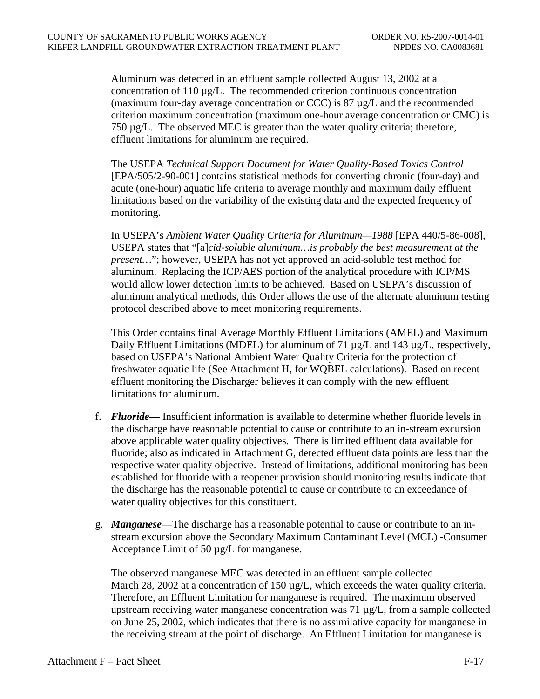Aluminum was detected in an effluent sample collected August 13, 2002 at a concentration of 110 µg/L. The recommended criterion continuous concentration (maximum four-day average concentration or CCC) is 87  $\mu$ g/L and the recommended criterion maximum concentration (maximum one-hour average concentration or CMC) is 750 µg/L. The observed MEC is greater than the water quality criteria; therefore, effluent limitations for aluminum are required.

The USEPA *Technical Support Document for Water Quality-Based Toxics Control* [EPA/505/2-90-001] contains statistical methods for converting chronic (four-day) and acute (one-hour) aquatic life criteria to average monthly and maximum daily effluent limitations based on the variability of the existing data and the expected frequency of monitoring.

In USEPA's *Ambient Water Quality Criteria for Aluminum—1988* [EPA 440/5-86-008], USEPA states that "[a]*cid-soluble aluminum…is probably the best measurement at the present…*"; however, USEPA has not yet approved an acid-soluble test method for aluminum. Replacing the ICP/AES portion of the analytical procedure with ICP/MS would allow lower detection limits to be achieved. Based on USEPA's discussion of aluminum analytical methods, this Order allows the use of the alternate aluminum testing protocol described above to meet monitoring requirements.

This Order contains final Average Monthly Effluent Limitations (AMEL) and Maximum Daily Effluent Limitations (MDEL) for aluminum of 71 µg/L and 143 µg/L, respectively, based on USEPA's National Ambient Water Quality Criteria for the protection of freshwater aquatic life (See Attachment H, for WQBEL calculations). Based on recent effluent monitoring the Discharger believes it can comply with the new effluent limitations for aluminum.

- f. *Fluoride—* Insufficient information is available to determine whether fluoride levels in the discharge have reasonable potential to cause or contribute to an in-stream excursion above applicable water quality objectives. There is limited effluent data available for fluoride; also as indicated in Attachment G, detected effluent data points are less than the respective water quality objective. Instead of limitations, additional monitoring has been established for fluoride with a reopener provision should monitoring results indicate that the discharge has the reasonable potential to cause or contribute to an exceedance of water quality objectives for this constituent.
- g. *Manganese*—The discharge has a reasonable potential to cause or contribute to an instream excursion above the Secondary Maximum Contaminant Level (MCL) -Consumer Acceptance Limit of 50 µg/L for manganese.

The observed manganese MEC was detected in an effluent sample collected March 28, 2002 at a concentration of 150  $\mu$ g/L, which exceeds the water quality criteria. Therefore, an Effluent Limitation for manganese is required. The maximum observed upstream receiving water manganese concentration was 71 µg/L, from a sample collected on June 25, 2002, which indicates that there is no assimilative capacity for manganese in the receiving stream at the point of discharge. An Effluent Limitation for manganese is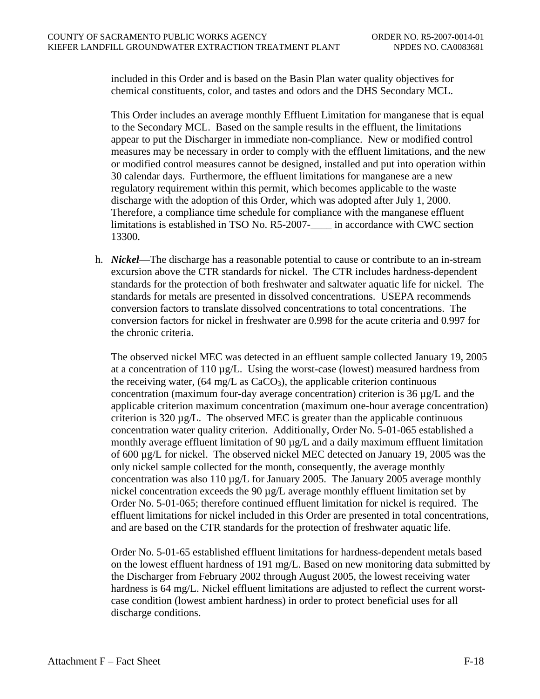included in this Order and is based on the Basin Plan water quality objectives for chemical constituents, color, and tastes and odors and the DHS Secondary MCL.

This Order includes an average monthly Effluent Limitation for manganese that is equal to the Secondary MCL. Based on the sample results in the effluent, the limitations appear to put the Discharger in immediate non-compliance. New or modified control measures may be necessary in order to comply with the effluent limitations, and the new or modified control measures cannot be designed, installed and put into operation within 30 calendar days. Furthermore, the effluent limitations for manganese are a new regulatory requirement within this permit, which becomes applicable to the waste discharge with the adoption of this Order, which was adopted after July 1, 2000. Therefore, a compliance time schedule for compliance with the manganese effluent limitations is established in TSO No. R5-2007- in accordance with CWC section 13300.

h. *Nickel*—The discharge has a reasonable potential to cause or contribute to an in-stream excursion above the CTR standards for nickel. The CTR includes hardness-dependent standards for the protection of both freshwater and saltwater aquatic life for nickel. The standards for metals are presented in dissolved concentrations. USEPA recommends conversion factors to translate dissolved concentrations to total concentrations. The conversion factors for nickel in freshwater are 0.998 for the acute criteria and 0.997 for the chronic criteria.

The observed nickel MEC was detected in an effluent sample collected January 19, 2005 at a concentration of  $110 \mu g/L$ . Using the worst-case (lowest) measured hardness from the receiving water,  $(64 \text{ mg/L as } CaCO<sub>3</sub>)$ , the applicable criterion continuous concentration (maximum four-day average concentration) criterion is 36 µg/L and the applicable criterion maximum concentration (maximum one-hour average concentration) criterion is  $320 \mu g/L$ . The observed MEC is greater than the applicable continuous concentration water quality criterion. Additionally, Order No. 5-01-065 established a monthly average effluent limitation of 90  $\mu$ g/L and a daily maximum effluent limitation of 600 µg/L for nickel. The observed nickel MEC detected on January 19, 2005 was the only nickel sample collected for the month, consequently, the average monthly concentration was also 110  $\mu$ g/L for January 2005. The January 2005 average monthly nickel concentration exceeds the 90 µg/L average monthly effluent limitation set by Order No. 5-01-065; therefore continued effluent limitation for nickel is required. The effluent limitations for nickel included in this Order are presented in total concentrations, and are based on the CTR standards for the protection of freshwater aquatic life.

Order No. 5-01-65 established effluent limitations for hardness-dependent metals based on the lowest effluent hardness of 191 mg/L. Based on new monitoring data submitted by the Discharger from February 2002 through August 2005, the lowest receiving water hardness is 64 mg/L. Nickel effluent limitations are adjusted to reflect the current worstcase condition (lowest ambient hardness) in order to protect beneficial uses for all discharge conditions.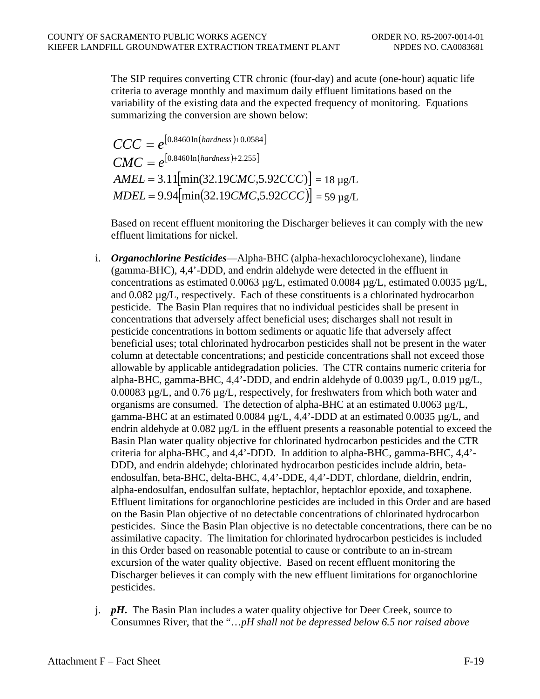The SIP requires converting CTR chronic (four-day) and acute (one-hour) aquatic life criteria to average monthly and maximum daily effluent limitations based on the variability of the existing data and the expected frequency of monitoring. Equations summarizing the conversion are shown below:

$$
CCC = e^{[0.8460 \ln(hardness) + 0.0584]}
$$
  
\n
$$
CMC = e^{[0.8460 \ln(hardness) + 2.255]}
$$
  
\n
$$
AMEL = 3.11[\min(32.19CMC, 5.92CCC)] = 18 \mu g/L
$$
  
\n
$$
MDEL = 9.94[\min(32.19CMC, 5.92CCC)] = 59 \mu g/L
$$

Based on recent effluent monitoring the Discharger believes it can comply with the new effluent limitations for nickel.

- i. *Organochlorine Pesticides*—Alpha-BHC (alpha-hexachlorocyclohexane), lindane (gamma-BHC), 4,4'-DDD, and endrin aldehyde were detected in the effluent in concentrations as estimated 0.0063  $\mu$ g/L, estimated 0.0084  $\mu$ g/L, estimated 0.0035  $\mu$ g/L, and  $0.082 \mu g/L$ , respectively. Each of these constituents is a chlorinated hydrocarbon pesticide. The Basin Plan requires that no individual pesticides shall be present in concentrations that adversely affect beneficial uses; discharges shall not result in pesticide concentrations in bottom sediments or aquatic life that adversely affect beneficial uses; total chlorinated hydrocarbon pesticides shall not be present in the water column at detectable concentrations; and pesticide concentrations shall not exceed those allowable by applicable antidegradation policies. The CTR contains numeric criteria for alpha-BHC, gamma-BHC, 4,4'-DDD, and endrin aldehyde of 0.0039 µg/L, 0.019 µg/L, 0.00083 µg/L, and 0.76 µg/L, respectively, for freshwaters from which both water and organisms are consumed. The detection of alpha-BHC at an estimated  $0.0063 \mu g/L$ , gamma-BHC at an estimated 0.0084  $\mu$ g/L, 4,4'-DDD at an estimated 0.0035  $\mu$ g/L, and endrin aldehyde at  $0.082 \mu g/L$  in the effluent presents a reasonable potential to exceed the Basin Plan water quality objective for chlorinated hydrocarbon pesticides and the CTR criteria for alpha-BHC, and 4,4'-DDD. In addition to alpha-BHC, gamma-BHC, 4,4'- DDD, and endrin aldehyde; chlorinated hydrocarbon pesticides include aldrin, betaendosulfan, beta-BHC, delta-BHC, 4,4'-DDE, 4,4'-DDT, chlordane, dieldrin, endrin, alpha-endosulfan, endosulfan sulfate, heptachlor, heptachlor epoxide, and toxaphene. Effluent limitations for organochlorine pesticides are included in this Order and are based on the Basin Plan objective of no detectable concentrations of chlorinated hydrocarbon pesticides. Since the Basin Plan objective is no detectable concentrations, there can be no assimilative capacity. The limitation for chlorinated hydrocarbon pesticides is included in this Order based on reasonable potential to cause or contribute to an in-stream excursion of the water quality objective. Based on recent effluent monitoring the Discharger believes it can comply with the new effluent limitations for organochlorine pesticides.
- j. *pH***.** The Basin Plan includes a water quality objective for Deer Creek, source to Consumnes River, that the "…*pH shall not be depressed below 6.5 nor raised above*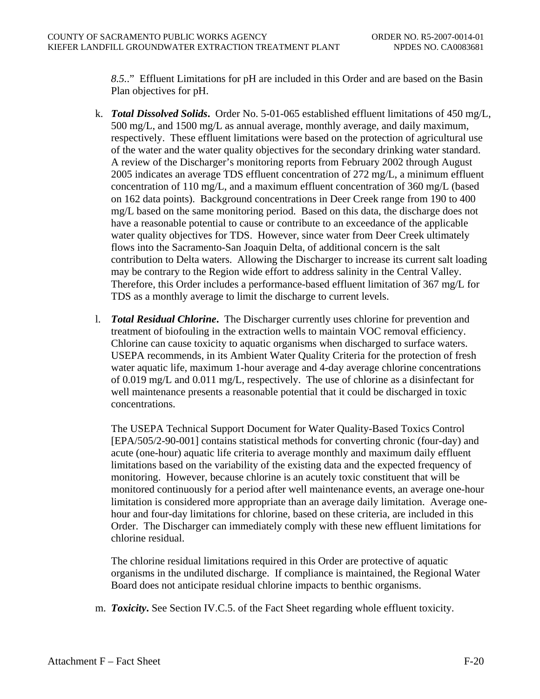*8.5.*." Effluent Limitations for pH are included in this Order and are based on the Basin Plan objectives for pH.

- k. *Total Dissolved Solids***.** Order No. 5-01-065 established effluent limitations of 450 mg/L, 500 mg/L, and 1500 mg/L as annual average, monthly average, and daily maximum, respectively. These effluent limitations were based on the protection of agricultural use of the water and the water quality objectives for the secondary drinking water standard. A review of the Discharger's monitoring reports from February 2002 through August 2005 indicates an average TDS effluent concentration of 272 mg/L, a minimum effluent concentration of 110 mg/L, and a maximum effluent concentration of 360 mg/L (based on 162 data points). Background concentrations in Deer Creek range from 190 to 400 mg/L based on the same monitoring period. Based on this data, the discharge does not have a reasonable potential to cause or contribute to an exceedance of the applicable water quality objectives for TDS. However, since water from Deer Creek ultimately flows into the Sacramento-San Joaquin Delta, of additional concern is the salt contribution to Delta waters. Allowing the Discharger to increase its current salt loading may be contrary to the Region wide effort to address salinity in the Central Valley. Therefore, this Order includes a performance-based effluent limitation of 367 mg/L for TDS as a monthly average to limit the discharge to current levels.
- l. *Total Residual Chlorine***.** The Discharger currently uses chlorine for prevention and treatment of biofouling in the extraction wells to maintain VOC removal efficiency. Chlorine can cause toxicity to aquatic organisms when discharged to surface waters. USEPA recommends, in its Ambient Water Quality Criteria for the protection of fresh water aquatic life, maximum 1-hour average and 4-day average chlorine concentrations of 0.019 mg/L and 0.011 mg/L, respectively. The use of chlorine as a disinfectant for well maintenance presents a reasonable potential that it could be discharged in toxic concentrations.

The USEPA Technical Support Document for Water Quality-Based Toxics Control [EPA/505/2-90-001] contains statistical methods for converting chronic (four-day) and acute (one-hour) aquatic life criteria to average monthly and maximum daily effluent limitations based on the variability of the existing data and the expected frequency of monitoring. However, because chlorine is an acutely toxic constituent that will be monitored continuously for a period after well maintenance events, an average one-hour limitation is considered more appropriate than an average daily limitation. Average onehour and four-day limitations for chlorine, based on these criteria, are included in this Order. The Discharger can immediately comply with these new effluent limitations for chlorine residual.

The chlorine residual limitations required in this Order are protective of aquatic organisms in the undiluted discharge. If compliance is maintained, the Regional Water Board does not anticipate residual chlorine impacts to benthic organisms.

m. *Toxicity***.** See Section IV.C.5. of the Fact Sheet regarding whole effluent toxicity.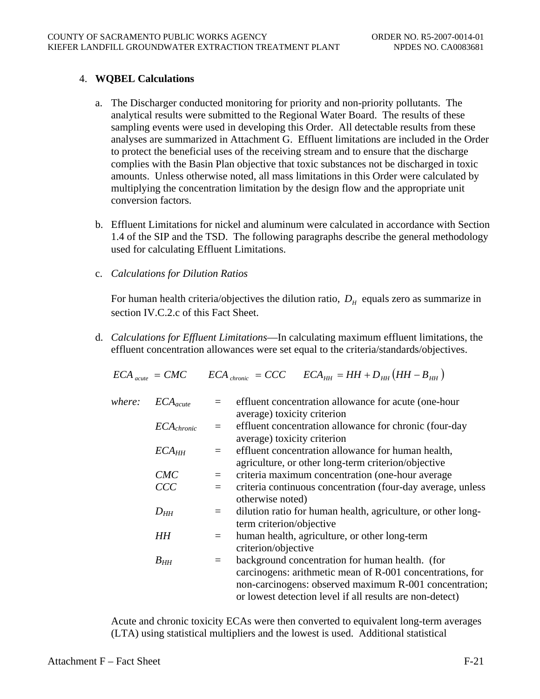# 4. **WQBEL Calculations**

- a. The Discharger conducted monitoring for priority and non-priority pollutants. The analytical results were submitted to the Regional Water Board. The results of these sampling events were used in developing this Order. All detectable results from these analyses are summarized in Attachment G. Effluent limitations are included in the Order to protect the beneficial uses of the receiving stream and to ensure that the discharge complies with the Basin Plan objective that toxic substances not be discharged in toxic amounts. Unless otherwise noted, all mass limitations in this Order were calculated by multiplying the concentration limitation by the design flow and the appropriate unit conversion factors.
- b. Effluent Limitations for nickel and aluminum were calculated in accordance with Section 1.4 of the SIP and the TSD. The following paragraphs describe the general methodology used for calculating Effluent Limitations.
- c. *Calculations for Dilution Ratios*

For human health criteria/objectives the dilution ratio,  $D<sub>H</sub>$  equals zero as summarize in section IV.C.2.c of this Fact Sheet.

d. *Calculations for Effluent Limitations*—In calculating maximum effluent limitations, the effluent concentration allowances were set equal to the criteria/standards/objectives.

$$
ECA_{\text{acute}} = CMC \qquad ECA_{\text{chromic}} = CCC \qquad ECA_{HH} = HH + D_{HH} (HH - B_{HH})
$$

| where: | $ECA_{acute}$     |     | effluent concentration allowance for acute (one-hour         |
|--------|-------------------|-----|--------------------------------------------------------------|
|        |                   |     | average) toxicity criterion                                  |
|        | $ECA_{chronic}$   |     | effluent concentration allowance for chronic (four-day       |
|        |                   |     | average) toxicity criterion                                  |
|        | ECA <sub>HH</sub> |     | effluent concentration allowance for human health,           |
|        |                   |     | agriculture, or other long-term criterion/objective          |
|        | CMC               | $=$ | criteria maximum concentration (one-hour average             |
|        | CCC               |     | criteria continuous concentration (four-day average, unless  |
|        |                   |     | otherwise noted)                                             |
|        | $D_{HH}$          | $=$ | dilution ratio for human health, agriculture, or other long- |
|        |                   |     | term criterion/objective                                     |
|        | HH                |     | human health, agriculture, or other long-term                |
|        |                   |     | criterion/objective                                          |
|        | $B_{HH}$          | $=$ | background concentration for human health. (for              |
|        |                   |     | carcinogens: arithmetic mean of R-001 concentrations, for    |
|        |                   |     | non-carcinogens: observed maximum R-001 concentration;       |
|        |                   |     | or lowest detection level if all results are non-detect)     |

Acute and chronic toxicity ECAs were then converted to equivalent long-term averages (LTA) using statistical multipliers and the lowest is used. Additional statistical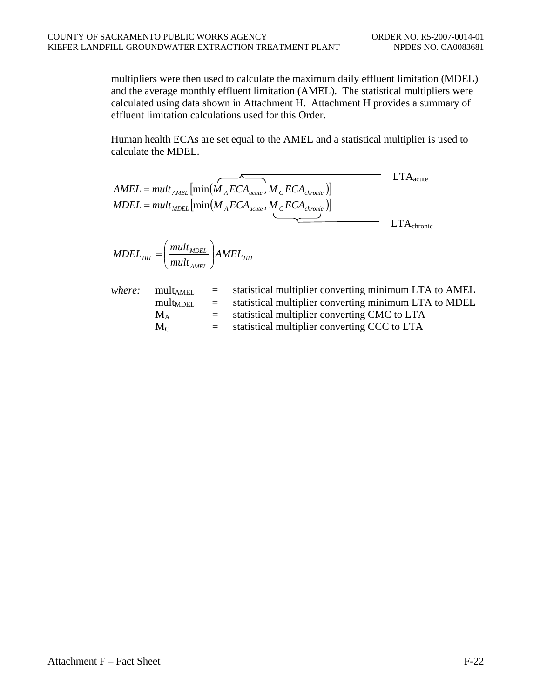multipliers were then used to calculate the maximum daily effluent limitation (MDEL) and the average monthly effluent limitation (AMEL). The statistical multipliers were calculated using data shown in Attachment H. Attachment H provides a summary of effluent limitation calculations used for this Order.

Human health ECAs are set equal to the AMEL and a statistical multiplier is used to calculate the MDEL.

|        |                                                                                                                                             |     | $AMEL = mult_{AMEL}[\min(\stackrel{\frown}{M_AECA_{acute}},\stackrel{\frown}{M_CECA_{chronic}})]$<br>$MDEL = mult_{MDEL}$ [min( $M_A ECA_{acute}, M_C ECA_{chronic}$ )] | $\rm LTA_{acute}$      |
|--------|---------------------------------------------------------------------------------------------------------------------------------------------|-----|-------------------------------------------------------------------------------------------------------------------------------------------------------------------------|------------------------|
|        |                                                                                                                                             |     |                                                                                                                                                                         | $LTA_{\text{chronic}}$ |
|        | $\textit{MDEL}_{\textit{HH}} = \left(\frac{\textit{mult}_{\textit{MDEL}}}{\textit{mult}_{\textit{MUL}}}\right) \textit{AMEL}_{\textit{HH}}$ |     |                                                                                                                                                                         |                        |
| where: | $mult_{AMEL}$<br>$\text{mult}_{\text{MDEL}}$ =                                                                                              | $=$ | statistical multiplier converting minimum LTA to AMEL<br>statistical multiplier converting minimum LTA to MDEL                                                          |                        |

|  | $\rm M_A$ |  | statistical multiplier converting CMC to LTA |  |
|--|-----------|--|----------------------------------------------|--|
|--|-----------|--|----------------------------------------------|--|

 $M_C$  = statistical multiplier converting CCC to LTA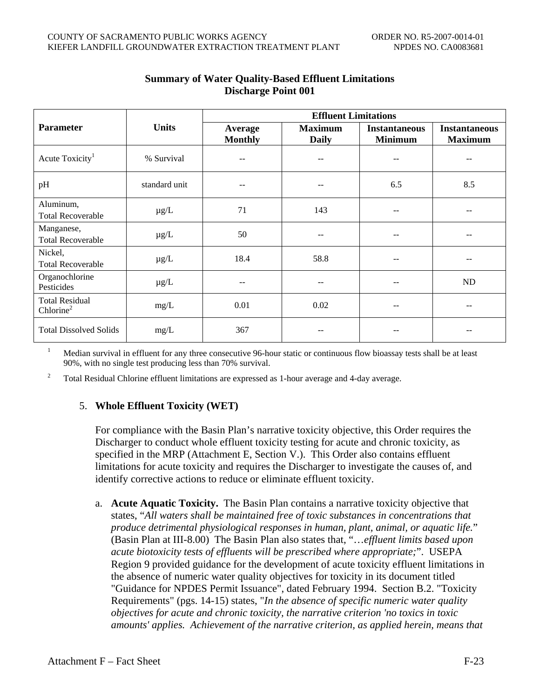|                                                |               | <b>Effluent Limitations</b> |                                |                                        |                                        |  |  |
|------------------------------------------------|---------------|-----------------------------|--------------------------------|----------------------------------------|----------------------------------------|--|--|
| <b>Parameter</b>                               | <b>Units</b>  | Average<br><b>Monthly</b>   | <b>Maximum</b><br><b>Daily</b> | <b>Instantaneous</b><br><b>Minimum</b> | <b>Instantaneous</b><br><b>Maximum</b> |  |  |
| Acute Toxicity <sup>1</sup>                    | % Survival    | --                          |                                | --                                     |                                        |  |  |
| pH                                             | standard unit | --                          | --                             | 6.5                                    | 8.5                                    |  |  |
| Aluminum,<br><b>Total Recoverable</b>          | $\mu$ g/L     | 71                          | 143                            | --                                     |                                        |  |  |
| Manganese,<br><b>Total Recoverable</b>         | $\mu$ g/L     | 50                          | --                             | --                                     | --                                     |  |  |
| Nickel,<br><b>Total Recoverable</b>            | $\mu$ g/L     | 18.4                        | 58.8                           | --                                     |                                        |  |  |
| Organochlorine<br>Pesticides                   | $\mu g/L$     |                             |                                |                                        | ND                                     |  |  |
| <b>Total Residual</b><br>Chlorine <sup>2</sup> | mg/L          | 0.01                        | 0.02                           |                                        |                                        |  |  |
| <b>Total Dissolved Solids</b>                  | mg/L          | 367                         |                                |                                        |                                        |  |  |

# **Summary of Water Quality-Based Effluent Limitations Discharge Point 001**

 $1$  Median survival in effluent for any three consecutive 96-hour static or continuous flow bioassay tests shall be at least 90%, with no single test producing less than 70% survival.

<sup>2</sup> Total Residual Chlorine effluent limitations are expressed as 1-hour average and 4-day average.

# 5. **Whole Effluent Toxicity (WET)**

For compliance with the Basin Plan's narrative toxicity objective, this Order requires the Discharger to conduct whole effluent toxicity testing for acute and chronic toxicity, as specified in the MRP (Attachment E, Section V.). This Order also contains effluent limitations for acute toxicity and requires the Discharger to investigate the causes of, and identify corrective actions to reduce or eliminate effluent toxicity.

a. **Acute Aquatic Toxicity.** The Basin Plan contains a narrative toxicity objective that states, "*All waters shall be maintained free of toxic substances in concentrations that produce detrimental physiological responses in human, plant, animal, or aquatic life.*" (Basin Plan at III-8.00) The Basin Plan also states that, "…*effluent limits based upon acute biotoxicity tests of effluents will be prescribed where appropriate;*". USEPA Region 9 provided guidance for the development of acute toxicity effluent limitations in the absence of numeric water quality objectives for toxicity in its document titled "Guidance for NPDES Permit Issuance", dated February 1994. Section B.2. "Toxicity Requirements" (pgs. 14-15) states, "*In the absence of specific numeric water quality objectives for acute and chronic toxicity, the narrative criterion 'no toxics in toxic amounts' applies. Achievement of the narrative criterion, as applied herein, means that*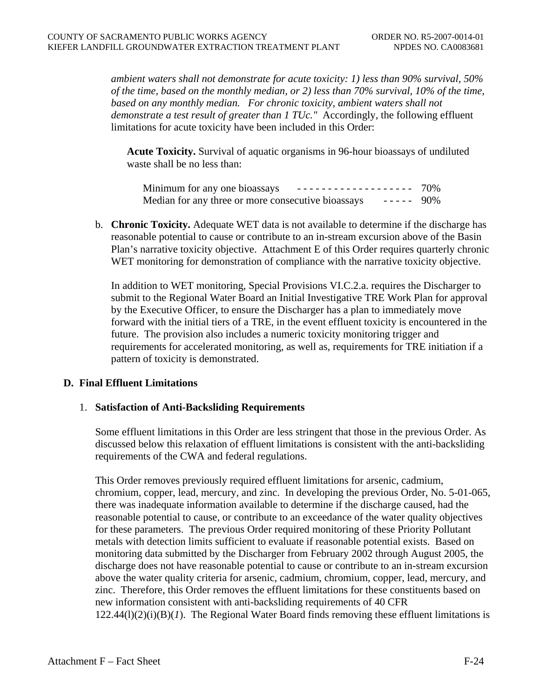*ambient waters shall not demonstrate for acute toxicity: 1) less than 90% survival, 50% of the time, based on the monthly median, or 2) less than 70% survival, 10% of the time, based on any monthly median. For chronic toxicity, ambient waters shall not demonstrate a test result of greater than 1 TUc."* Accordingly, the following effluent limitations for acute toxicity have been included in this Order:

**Acute Toxicity.** Survival of aquatic organisms in 96-hour bioassays of undiluted waste shall be no less than:

| Minimum for any one bioassays                      | ------------------- 70% |  |
|----------------------------------------------------|-------------------------|--|
| Median for any three or more consecutive bioassays | $--- 90\%$              |  |

b. **Chronic Toxicity.** Adequate WET data is not available to determine if the discharge has reasonable potential to cause or contribute to an in-stream excursion above of the Basin Plan's narrative toxicity objective. Attachment E of this Order requires quarterly chronic WET monitoring for demonstration of compliance with the narrative toxicity objective.

In addition to WET monitoring, Special Provisions VI.C.2.a. requires the Discharger to submit to the Regional Water Board an Initial Investigative TRE Work Plan for approval by the Executive Officer, to ensure the Discharger has a plan to immediately move forward with the initial tiers of a TRE, in the event effluent toxicity is encountered in the future. The provision also includes a numeric toxicity monitoring trigger and requirements for accelerated monitoring, as well as, requirements for TRE initiation if a pattern of toxicity is demonstrated.

# **D. Final Effluent Limitations**

#### 1. **Satisfaction of Anti-Backsliding Requirements**

Some effluent limitations in this Order are less stringent that those in the previous Order. As discussed below this relaxation of effluent limitations is consistent with the anti-backsliding requirements of the CWA and federal regulations.

This Order removes previously required effluent limitations for arsenic, cadmium, chromium, copper, lead, mercury, and zinc. In developing the previous Order, No. 5-01-065, there was inadequate information available to determine if the discharge caused, had the reasonable potential to cause, or contribute to an exceedance of the water quality objectives for these parameters. The previous Order required monitoring of these Priority Pollutant metals with detection limits sufficient to evaluate if reasonable potential exists. Based on monitoring data submitted by the Discharger from February 2002 through August 2005, the discharge does not have reasonable potential to cause or contribute to an in-stream excursion above the water quality criteria for arsenic, cadmium, chromium, copper, lead, mercury, and zinc. Therefore, this Order removes the effluent limitations for these constituents based on new information consistent with anti-backsliding requirements of 40 CFR  $122.44(l)(2)(i)(B)(I)$ . The Regional Water Board finds removing these effluent limitations is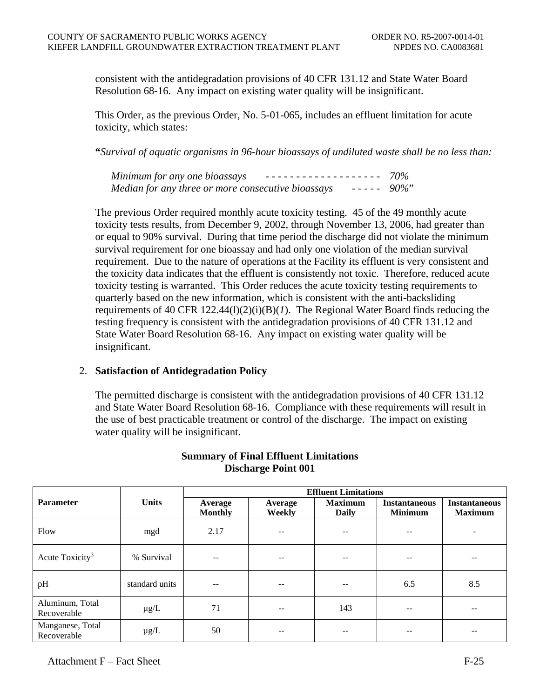consistent with the antidegradation provisions of 40 CFR 131.12 and State Water Board Resolution 68-16. Any impact on existing water quality will be insignificant.

This Order, as the previous Order, No. 5-01-065, includes an effluent limitation for acute toxicity, which states:

**"***Survival of aquatic organisms in 96-hour bioassays of undiluted waste shall be no less than:* 

| Minimum for any one bioassays                                          |  |
|------------------------------------------------------------------------|--|
| $- - - - - 90\%$<br>Median for any three or more consecutive bioassays |  |

The previous Order required monthly acute toxicity testing. 45 of the 49 monthly acute toxicity tests results, from December 9, 2002, through November 13, 2006, had greater than or equal to 90% survival. During that time period the discharge did not violate the minimum survival requirement for one bioassay and had only one violation of the median survival requirement. Due to the nature of operations at the Facility its effluent is very consistent and the toxicity data indicates that the effluent is consistently not toxic. Therefore, reduced acute toxicity testing is warranted. This Order reduces the acute toxicity testing requirements to quarterly based on the new information, which is consistent with the anti-backsliding requirements of 40 CFR  $122.44(1)(2)(i)(B)(I)$ . The Regional Water Board finds reducing the testing frequency is consistent with the antidegradation provisions of 40 CFR 131.12 and State Water Board Resolution 68-16. Any impact on existing water quality will be insignificant.

# 2. **Satisfaction of Antidegradation Policy**

The permitted discharge is consistent with the antidegradation provisions of 40 CFR 131.12 and State Water Board Resolution 68-16. Compliance with these requirements will result in the use of best practicable treatment or control of the discharge. The impact on existing water quality will be insignificant.

|                                 |                |                           | <b>Effluent Limitations</b> |                                |                                        |                                        |  |
|---------------------------------|----------------|---------------------------|-----------------------------|--------------------------------|----------------------------------------|----------------------------------------|--|
| <b>Parameter</b>                | <b>Units</b>   | Average<br><b>Monthly</b> | Average<br>Weekly           | <b>Maximum</b><br><b>Daily</b> | <b>Instantaneous</b><br><b>Minimum</b> | <b>Instantaneous</b><br><b>Maximum</b> |  |
| Flow                            | mgd            | 2.17                      | --                          | --                             | --                                     |                                        |  |
| Acute Toxicity <sup>3</sup>     | % Survival     |                           |                             |                                |                                        |                                        |  |
| pH                              | standard units | $- -$                     | --                          | --                             | 6.5                                    | 8.5                                    |  |
| Aluminum, Total<br>Recoverable  | $\mu$ g/L      | 71                        | --                          | 143                            | $- -$                                  | --                                     |  |
| Manganese, Total<br>Recoverable | $\mu$ g/L      | 50                        |                             |                                |                                        | --                                     |  |

# **Summary of Final Effluent Limitations Discharge Point 001**

Attachment  $F -$  Fact Sheet F-25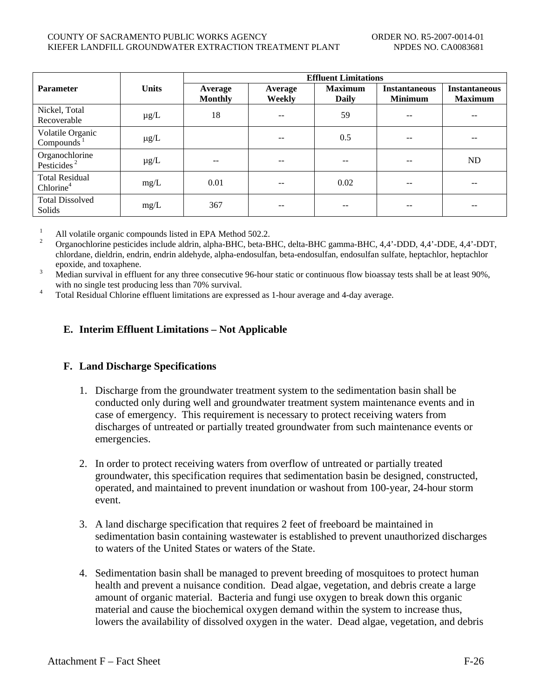#### COUNTY OF SACRAMENTO PUBLIC WORKS AGENCY THE COUNTY OF SACRAMENTO PUBLIC WORKS AGENCY KIEFER LANDFILL GROUNDWATER EXTRACTION TREATMENT PLANT NPDES NO. CA0083681

|                                                        |              |                           | <b>Effluent Limitations</b> |                                |                                        |                                        |  |
|--------------------------------------------------------|--------------|---------------------------|-----------------------------|--------------------------------|----------------------------------------|----------------------------------------|--|
| <b>Parameter</b>                                       | <b>Units</b> | Average<br><b>Monthly</b> | Average<br>Weekly           | <b>Maximum</b><br><b>Daily</b> | <b>Instantaneous</b><br><b>Minimum</b> | <b>Instantaneous</b><br><b>Maximum</b> |  |
| Nickel, Total<br>Recoverable                           | $\mu$ g/L    | 18                        | --                          | 59                             | --                                     | $- -$                                  |  |
| Volatile Organic<br>Compounds $1$                      | $\mu$ g/L    |                           |                             | 0.5                            | --                                     | --                                     |  |
| Organochlorine<br>Pesticides <sup><math>2</math></sup> | $\mu$ g/L    | $- -$                     | --                          | $- -$                          | --                                     | ND                                     |  |
| <b>Total Residual</b><br>Chlorine <sup>4</sup>         | mg/L         | 0.01                      | $- -$                       | 0.02                           | --                                     | $- -$                                  |  |
| <b>Total Dissolved</b><br><b>Solids</b>                | mg/L         | 367                       | --                          | --                             |                                        |                                        |  |

<sup>1</sup> All volatile organic compounds listed in EPA Method 502.2.<br><sup>2</sup> Organochlorine pesticides include aldrin, alpha-BHC, beta-BHC, delta-BHC gamma-BHC, 4,4'-DDD, 4,4'-DDE, 4,4'-DDT, chlordane, dieldrin, endrin, endrin aldehyde, alpha-endosulfan, beta-endosulfan, endosulfan sulfate, heptachlor, heptachlor epoxide, and toxaphene.<br>3 Median survival in effluent for any three consecutive 96-hour static or continuous flow bioassay tests shall be at least 90%,

with no single test producing less than 70% survival.<br><sup>4</sup> Total Residual Chlorine effluent limitations are expressed as 1-hour average and 4-day average.

# **E. Interim Effluent Limitations – Not Applicable**

# **F. Land Discharge Specifications**

- 1. Discharge from the groundwater treatment system to the sedimentation basin shall be conducted only during well and groundwater treatment system maintenance events and in case of emergency. This requirement is necessary to protect receiving waters from discharges of untreated or partially treated groundwater from such maintenance events or emergencies.
- 2. In order to protect receiving waters from overflow of untreated or partially treated groundwater, this specification requires that sedimentation basin be designed, constructed, operated, and maintained to prevent inundation or washout from 100-year, 24-hour storm event.
- 3. A land discharge specification that requires 2 feet of freeboard be maintained in sedimentation basin containing wastewater is established to prevent unauthorized discharges to waters of the United States or waters of the State.
- 4. Sedimentation basin shall be managed to prevent breeding of mosquitoes to protect human health and prevent a nuisance condition. Dead algae, vegetation, and debris create a large amount of organic material. Bacteria and fungi use oxygen to break down this organic material and cause the biochemical oxygen demand within the system to increase thus, lowers the availability of dissolved oxygen in the water. Dead algae, vegetation, and debris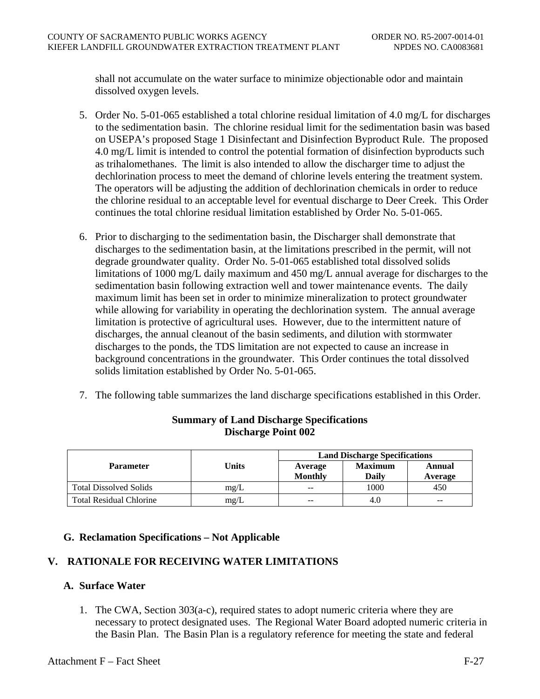shall not accumulate on the water surface to minimize objectionable odor and maintain dissolved oxygen levels.

- 5. Order No. 5-01-065 established a total chlorine residual limitation of 4.0 mg/L for discharges to the sedimentation basin. The chlorine residual limit for the sedimentation basin was based on USEPA's proposed Stage 1 Disinfectant and Disinfection Byproduct Rule. The proposed 4.0 mg/L limit is intended to control the potential formation of disinfection byproducts such as trihalomethanes. The limit is also intended to allow the discharger time to adjust the dechlorination process to meet the demand of chlorine levels entering the treatment system. The operators will be adjusting the addition of dechlorination chemicals in order to reduce the chlorine residual to an acceptable level for eventual discharge to Deer Creek. This Order continues the total chlorine residual limitation established by Order No. 5-01-065.
- 6. Prior to discharging to the sedimentation basin, the Discharger shall demonstrate that discharges to the sedimentation basin, at the limitations prescribed in the permit, will not degrade groundwater quality. Order No. 5-01-065 established total dissolved solids limitations of 1000 mg/L daily maximum and 450 mg/L annual average for discharges to the sedimentation basin following extraction well and tower maintenance events. The daily maximum limit has been set in order to minimize mineralization to protect groundwater while allowing for variability in operating the dechlorination system. The annual average limitation is protective of agricultural uses. However, due to the intermittent nature of discharges, the annual cleanout of the basin sediments, and dilution with stormwater discharges to the ponds, the TDS limitation are not expected to cause an increase in background concentrations in the groundwater. This Order continues the total dissolved solids limitation established by Order No. 5-01-065.
- 7. The following table summarizes the land discharge specifications established in this Order.

|                                |       | <b>Land Discharge Specifications</b> |                   |       |  |  |
|--------------------------------|-------|--------------------------------------|-------------------|-------|--|--|
| <b>Parameter</b>               | Units | Average<br><b>Monthly</b>            | Annual<br>Average |       |  |  |
| <b>Total Dissolved Solids</b>  | mg/L  | $- -$                                | 1000              | 450   |  |  |
| <b>Total Residual Chlorine</b> | mg/L  | $-$                                  | 4.0               | $- -$ |  |  |

# **Summary of Land Discharge Specifications Discharge Point 002**

# **G. Reclamation Specifications – Not Applicable**

# **V. RATIONALE FOR RECEIVING WATER LIMITATIONS**

# **A. Surface Water**

1. The CWA, Section 303(a-c), required states to adopt numeric criteria where they are necessary to protect designated uses. The Regional Water Board adopted numeric criteria in the Basin Plan. The Basin Plan is a regulatory reference for meeting the state and federal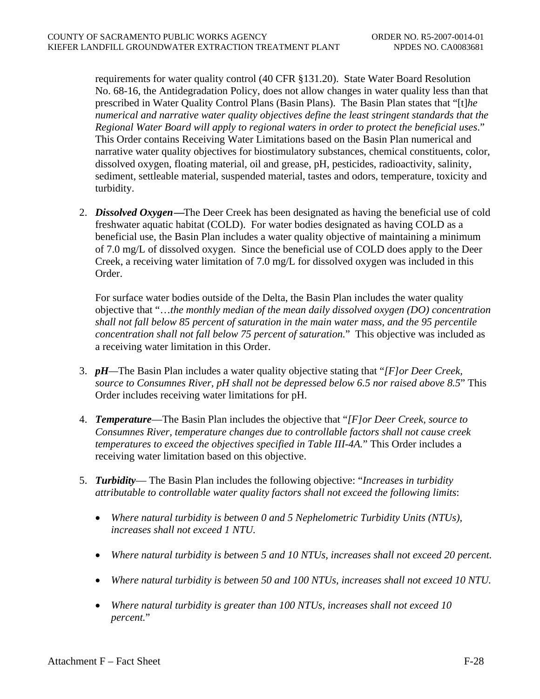requirements for water quality control (40 CFR §131.20). State Water Board Resolution No. 68-16, the Antidegradation Policy, does not allow changes in water quality less than that prescribed in Water Quality Control Plans (Basin Plans). The Basin Plan states that "[t]*he numerical and narrative water quality objectives define the least stringent standards that the Regional Water Board will apply to regional waters in order to protect the beneficial uses*." This Order contains Receiving Water Limitations based on the Basin Plan numerical and narrative water quality objectives for biostimulatory substances, chemical constituents, color, dissolved oxygen, floating material, oil and grease, pH, pesticides, radioactivity, salinity, sediment, settleable material, suspended material, tastes and odors, temperature, toxicity and turbidity.

2. *Dissolved Oxygen***—**The Deer Creek has been designated as having the beneficial use of cold freshwater aquatic habitat (COLD). For water bodies designated as having COLD as a beneficial use, the Basin Plan includes a water quality objective of maintaining a minimum of 7.0 mg/L of dissolved oxygen. Since the beneficial use of COLD does apply to the Deer Creek, a receiving water limitation of 7.0 mg/L for dissolved oxygen was included in this Order.

For surface water bodies outside of the Delta, the Basin Plan includes the water quality objective that "…*the monthly median of the mean daily dissolved oxygen (DO) concentration shall not fall below 85 percent of saturation in the main water mass, and the 95 percentile concentration shall not fall below 75 percent of saturation.*" This objective was included as a receiving water limitation in this Order.

- 3. *pH—*The Basin Plan includes a water quality objective stating that "*[F]or Deer Creek, source to Consumnes River, pH shall not be depressed below 6.5 nor raised above 8.5*" This Order includes receiving water limitations for pH.
- 4. *Temperature*—The Basin Plan includes the objective that "*[F]or Deer Creek, source to Consumnes River, temperature changes due to controllable factors shall not cause creek temperatures to exceed the objectives specified in Table III-4A.*" This Order includes a receiving water limitation based on this objective.
- 5. *Turbidity* The Basin Plan includes the following objective: "*Increases in turbidity attributable to controllable water quality factors shall not exceed the following limits*:
	- *Where natural turbidity is between 0 and 5 Nephelometric Turbidity Units (NTUs), increases shall not exceed 1 NTU.*
	- *Where natural turbidity is between 5 and 10 NTUs, increases shall not exceed 20 percent.*
	- *Where natural turbidity is between 50 and 100 NTUs, increases shall not exceed 10 NTU.*
	- *Where natural turbidity is greater than 100 NTUs, increases shall not exceed 10 percent.*"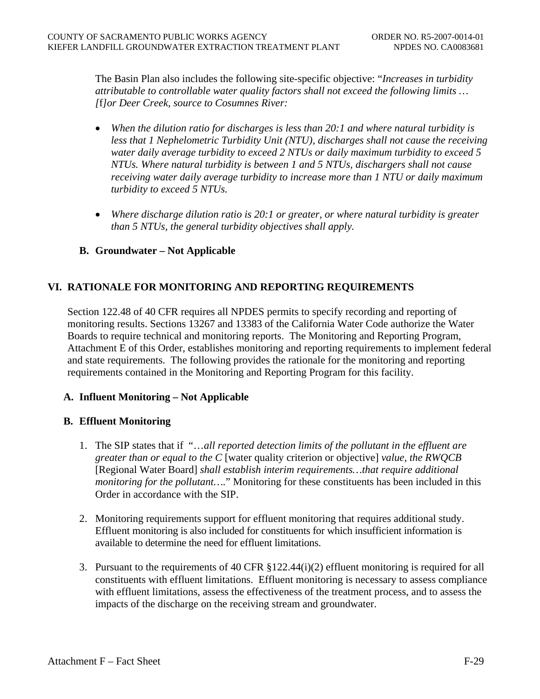The Basin Plan also includes the following site-specific objective: "*Increases in turbidity attributable to controllable water quality factors shall not exceed the following limits … [*f*]or Deer Creek, source to Cosumnes River:*

- *When the dilution ratio for discharges is less than 20:1 and where natural turbidity is less that 1 Nephelometric Turbidity Unit (NTU), discharges shall not cause the receiving water daily average turbidity to exceed 2 NTUs or daily maximum turbidity to exceed 5 NTUs. Where natural turbidity is between 1 and 5 NTUs, dischargers shall not cause receiving water daily average turbidity to increase more than 1 NTU or daily maximum turbidity to exceed 5 NTUs.*
- *Where discharge dilution ratio is 20:1 or greater, or where natural turbidity is greater than 5 NTUs, the general turbidity objectives shall apply.*

# **B. Groundwater – Not Applicable**

# **VI. RATIONALE FOR MONITORING AND REPORTING REQUIREMENTS**

Section 122.48 of 40 CFR requires all NPDES permits to specify recording and reporting of monitoring results. Sections 13267 and 13383 of the California Water Code authorize the Water Boards to require technical and monitoring reports. The Monitoring and Reporting Program, Attachment E of this Order, establishes monitoring and reporting requirements to implement federal and state requirements. The following provides the rationale for the monitoring and reporting requirements contained in the Monitoring and Reporting Program for this facility.

# **A. Influent Monitoring – Not Applicable**

# **B. Effluent Monitoring**

- 1. The SIP states that if "…*all reported detection limits of the pollutant in the effluent are greater than or equal to the C* [water quality criterion or objective] *value, the RWQCB* [Regional Water Board] *shall establish interim requirements…that require additional monitoring for the pollutant….*" Monitoring for these constituents has been included in this Order in accordance with the SIP.
- 2. Monitoring requirements support for effluent monitoring that requires additional study. Effluent monitoring is also included for constituents for which insufficient information is available to determine the need for effluent limitations.
- 3. Pursuant to the requirements of 40 CFR §122.44(i)(2) effluent monitoring is required for all constituents with effluent limitations. Effluent monitoring is necessary to assess compliance with effluent limitations, assess the effectiveness of the treatment process, and to assess the impacts of the discharge on the receiving stream and groundwater.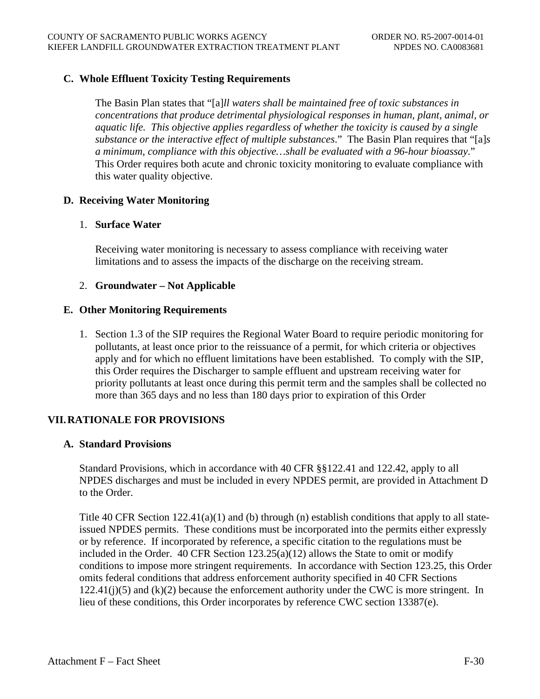# **C. Whole Effluent Toxicity Testing Requirements**

The Basin Plan states that "[a]*ll waters shall be maintained free of toxic substances in concentrations that produce detrimental physiological responses in human, plant, animal, or aquatic life. This objective applies regardless of whether the toxicity is caused by a single substance or the interactive effect of multiple substances*." The Basin Plan requires that "[a]*s a minimum, compliance with this objective…shall be evaluated with a 96-hour bioassay*." This Order requires both acute and chronic toxicity monitoring to evaluate compliance with this water quality objective.

# **D. Receiving Water Monitoring**

### 1. **Surface Water**

Receiving water monitoring is necessary to assess compliance with receiving water limitations and to assess the impacts of the discharge on the receiving stream.

# 2. **Groundwater – Not Applicable**

### **E. Other Monitoring Requirements**

1. Section 1.3 of the SIP requires the Regional Water Board to require periodic monitoring for pollutants, at least once prior to the reissuance of a permit, for which criteria or objectives apply and for which no effluent limitations have been established. To comply with the SIP, this Order requires the Discharger to sample effluent and upstream receiving water for priority pollutants at least once during this permit term and the samples shall be collected no more than 365 days and no less than 180 days prior to expiration of this Order

# **VII.RATIONALE FOR PROVISIONS**

#### **A. Standard Provisions**

Standard Provisions, which in accordance with 40 CFR §§122.41 and 122.42, apply to all NPDES discharges and must be included in every NPDES permit, are provided in Attachment D to the Order.

Title 40 CFR Section  $122.41(a)(1)$  and (b) through (n) establish conditions that apply to all stateissued NPDES permits. These conditions must be incorporated into the permits either expressly or by reference. If incorporated by reference, a specific citation to the regulations must be included in the Order. 40 CFR Section 123.25(a)(12) allows the State to omit or modify conditions to impose more stringent requirements. In accordance with Section 123.25, this Order omits federal conditions that address enforcement authority specified in 40 CFR Sections  $122.41(j)(5)$  and  $(k)(2)$  because the enforcement authority under the CWC is more stringent. In lieu of these conditions, this Order incorporates by reference CWC section 13387(e).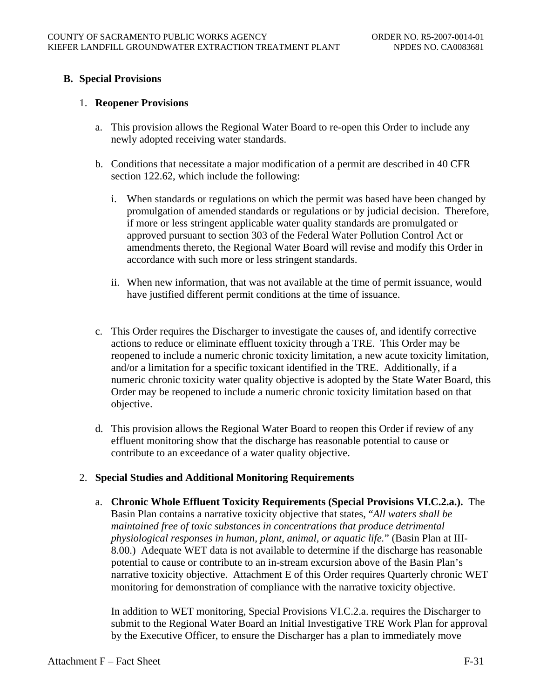# **B. Special Provisions**

### 1. **Reopener Provisions**

- a. This provision allows the Regional Water Board to re-open this Order to include any newly adopted receiving water standards.
- b. Conditions that necessitate a major modification of a permit are described in 40 CFR section 122.62, which include the following:
	- i. When standards or regulations on which the permit was based have been changed by promulgation of amended standards or regulations or by judicial decision. Therefore, if more or less stringent applicable water quality standards are promulgated or approved pursuant to section 303 of the Federal Water Pollution Control Act or amendments thereto, the Regional Water Board will revise and modify this Order in accordance with such more or less stringent standards.
	- ii. When new information, that was not available at the time of permit issuance, would have justified different permit conditions at the time of issuance.
- c. This Order requires the Discharger to investigate the causes of, and identify corrective actions to reduce or eliminate effluent toxicity through a TRE. This Order may be reopened to include a numeric chronic toxicity limitation, a new acute toxicity limitation, and/or a limitation for a specific toxicant identified in the TRE. Additionally, if a numeric chronic toxicity water quality objective is adopted by the State Water Board, this Order may be reopened to include a numeric chronic toxicity limitation based on that objective.
- d. This provision allows the Regional Water Board to reopen this Order if review of any effluent monitoring show that the discharge has reasonable potential to cause or contribute to an exceedance of a water quality objective.

# 2. **Special Studies and Additional Monitoring Requirements**

a. **Chronic Whole Effluent Toxicity Requirements (Special Provisions VI.C.2.a.).** The Basin Plan contains a narrative toxicity objective that states, "*All waters shall be maintained free of toxic substances in concentrations that produce detrimental physiological responses in human, plant, animal, or aquatic life.*" (Basin Plan at III-8.00.) Adequate WET data is not available to determine if the discharge has reasonable potential to cause or contribute to an in-stream excursion above of the Basin Plan's narrative toxicity objective. Attachment E of this Order requires Quarterly chronic WET monitoring for demonstration of compliance with the narrative toxicity objective.

In addition to WET monitoring, Special Provisions VI.C.2.a. requires the Discharger to submit to the Regional Water Board an Initial Investigative TRE Work Plan for approval by the Executive Officer, to ensure the Discharger has a plan to immediately move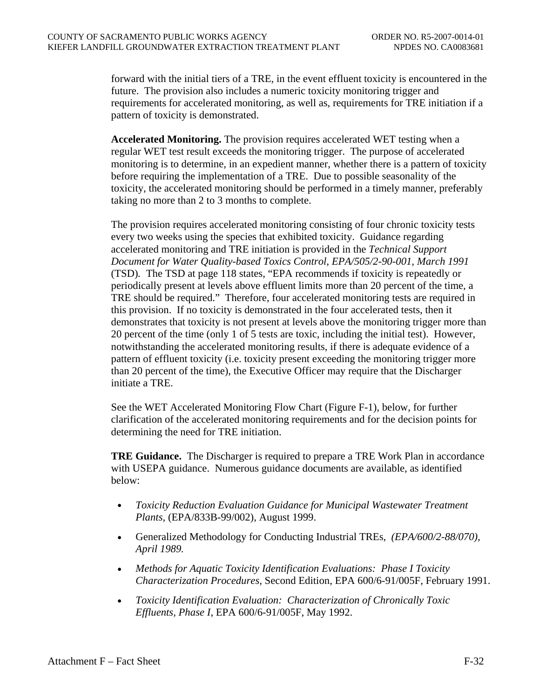forward with the initial tiers of a TRE, in the event effluent toxicity is encountered in the future. The provision also includes a numeric toxicity monitoring trigger and requirements for accelerated monitoring, as well as, requirements for TRE initiation if a pattern of toxicity is demonstrated.

**Accelerated Monitoring.** The provision requires accelerated WET testing when a regular WET test result exceeds the monitoring trigger. The purpose of accelerated monitoring is to determine, in an expedient manner, whether there is a pattern of toxicity before requiring the implementation of a TRE. Due to possible seasonality of the toxicity, the accelerated monitoring should be performed in a timely manner, preferably taking no more than 2 to 3 months to complete.

The provision requires accelerated monitoring consisting of four chronic toxicity tests every two weeks using the species that exhibited toxicity. Guidance regarding accelerated monitoring and TRE initiation is provided in the *Technical Support Document for Water Quality-based Toxics Control, EPA/505/2-90-001, March 1991*  (TSD)*.* The TSD at page 118 states, "EPA recommends if toxicity is repeatedly or periodically present at levels above effluent limits more than 20 percent of the time, a TRE should be required." Therefore, four accelerated monitoring tests are required in this provision. If no toxicity is demonstrated in the four accelerated tests, then it demonstrates that toxicity is not present at levels above the monitoring trigger more than 20 percent of the time (only 1 of 5 tests are toxic, including the initial test). However, notwithstanding the accelerated monitoring results, if there is adequate evidence of a pattern of effluent toxicity (i.e. toxicity present exceeding the monitoring trigger more than 20 percent of the time), the Executive Officer may require that the Discharger initiate a TRE.

See the WET Accelerated Monitoring Flow Chart (Figure F-1), below, for further clarification of the accelerated monitoring requirements and for the decision points for determining the need for TRE initiation.

**TRE Guidance.** The Discharger is required to prepare a TRE Work Plan in accordance with USEPA guidance. Numerous guidance documents are available, as identified below:

- *Toxicity Reduction Evaluation Guidance for Municipal Wastewater Treatment Plants,* (EPA/833B-99/002), August 1999.
- Generalized Methodology for Conducting Industrial TREs*, (EPA/600/2-88/070), April 1989.*
- *Methods for Aquatic Toxicity Identification Evaluations: Phase I Toxicity Characterization Procedures,* Second Edition, EPA 600/6-91/005F, February 1991.
- *Toxicity Identification Evaluation: Characterization of Chronically Toxic Effluents, Phase I*, EPA 600/6-91/005F, May 1992.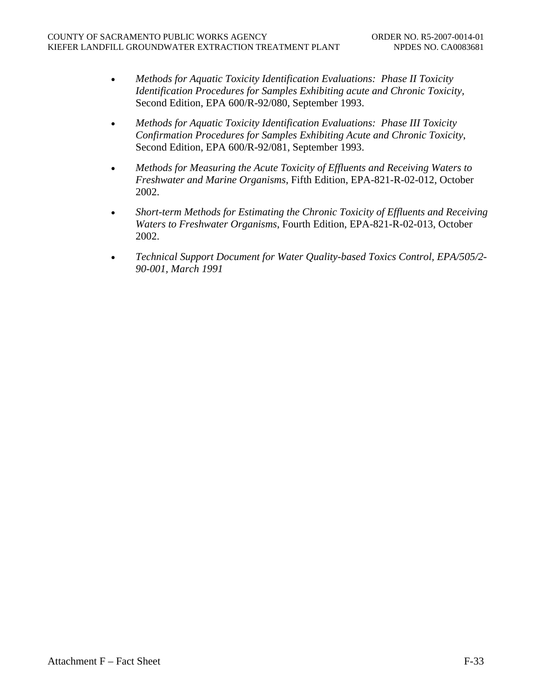- *Methods for Aquatic Toxicity Identification Evaluations: Phase II Toxicity Identification Procedures for Samples Exhibiting acute and Chronic Toxicity,*  Second Edition, EPA 600/R-92/080, September 1993.
- *Methods for Aquatic Toxicity Identification Evaluations: Phase III Toxicity Confirmation Procedures for Samples Exhibiting Acute and Chronic Toxicity*, Second Edition, EPA 600/R-92/081, September 1993.
- *Methods for Measuring the Acute Toxicity of Effluents and Receiving Waters to Freshwater and Marine Organisms*, Fifth Edition, EPA-821-R-02-012, October 2002.
- *Short-term Methods for Estimating the Chronic Toxicity of Effluents and Receiving Waters to Freshwater Organisms*, Fourth Edition, EPA-821-R-02-013, October 2002.
- *Technical Support Document for Water Quality-based Toxics Control, EPA/505/2- 90-001, March 1991*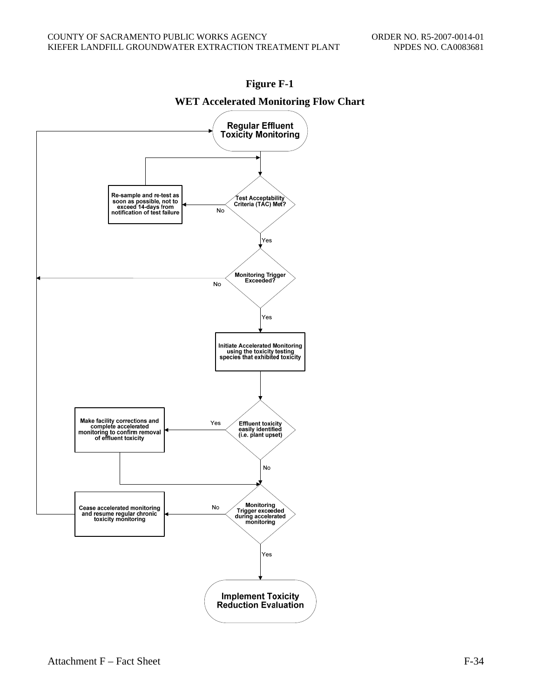



**WET Accelerated Monitoring Flow Chart**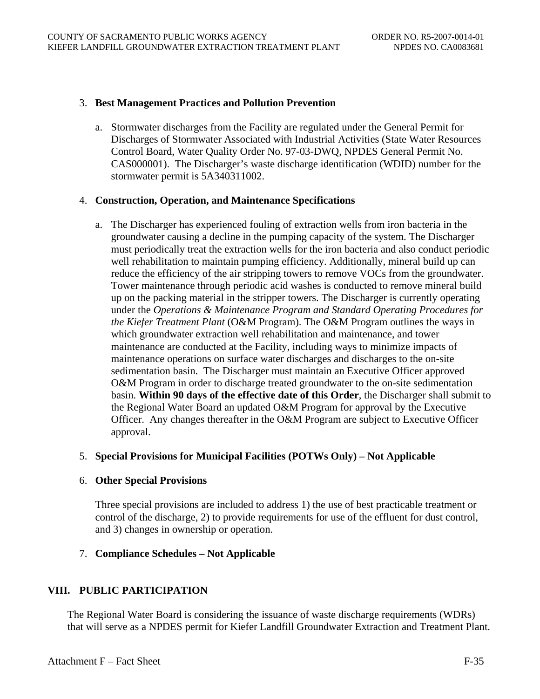### 3. **Best Management Practices and Pollution Prevention**

a. Stormwater discharges from the Facility are regulated under the General Permit for Discharges of Stormwater Associated with Industrial Activities (State Water Resources Control Board, Water Quality Order No. 97-03-DWQ, NPDES General Permit No. CAS000001). The Discharger's waste discharge identification (WDID) number for the stormwater permit is 5A340311002.

### 4. **Construction, Operation, and Maintenance Specifications**

a. The Discharger has experienced fouling of extraction wells from iron bacteria in the groundwater causing a decline in the pumping capacity of the system. The Discharger must periodically treat the extraction wells for the iron bacteria and also conduct periodic well rehabilitation to maintain pumping efficiency. Additionally, mineral build up can reduce the efficiency of the air stripping towers to remove VOCs from the groundwater. Tower maintenance through periodic acid washes is conducted to remove mineral build up on the packing material in the stripper towers. The Discharger is currently operating under the *Operations & Maintenance Program and Standard Operating Procedures for the Kiefer Treatment Plant* (O&M Program). The O&M Program outlines the ways in which groundwater extraction well rehabilitation and maintenance, and tower maintenance are conducted at the Facility, including ways to minimize impacts of maintenance operations on surface water discharges and discharges to the on-site sedimentation basin. The Discharger must maintain an Executive Officer approved O&M Program in order to discharge treated groundwater to the on-site sedimentation basin. **Within 90 days of the effective date of this Order**, the Discharger shall submit to the Regional Water Board an updated O&M Program for approval by the Executive Officer. Any changes thereafter in the O&M Program are subject to Executive Officer approval.

# 5. **Special Provisions for Municipal Facilities (POTWs Only) – Not Applicable**

# 6. **Other Special Provisions**

Three special provisions are included to address 1) the use of best practicable treatment or control of the discharge, 2) to provide requirements for use of the effluent for dust control, and 3) changes in ownership or operation.

# 7. **Compliance Schedules – Not Applicable**

# **VIII. PUBLIC PARTICIPATION**

The Regional Water Board is considering the issuance of waste discharge requirements (WDRs) that will serve as a NPDES permit for Kiefer Landfill Groundwater Extraction and Treatment Plant.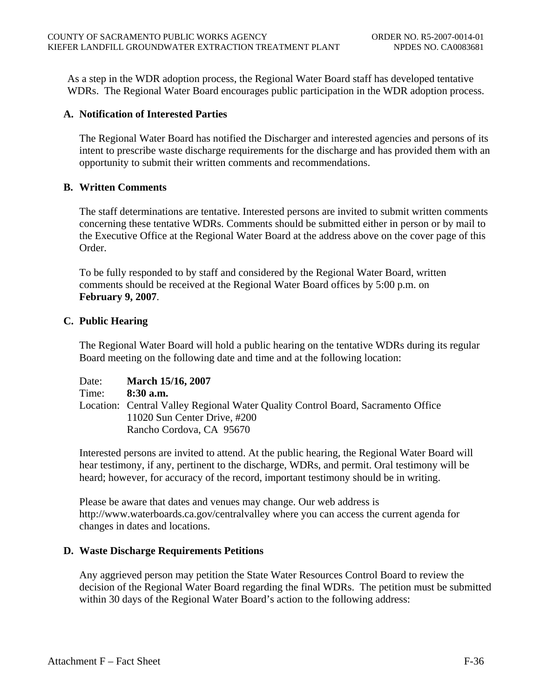As a step in the WDR adoption process, the Regional Water Board staff has developed tentative WDRs. The Regional Water Board encourages public participation in the WDR adoption process.

# **A. Notification of Interested Parties**

The Regional Water Board has notified the Discharger and interested agencies and persons of its intent to prescribe waste discharge requirements for the discharge and has provided them with an opportunity to submit their written comments and recommendations.

# **B. Written Comments**

The staff determinations are tentative. Interested persons are invited to submit written comments concerning these tentative WDRs. Comments should be submitted either in person or by mail to the Executive Office at the Regional Water Board at the address above on the cover page of this Order.

To be fully responded to by staff and considered by the Regional Water Board, written comments should be received at the Regional Water Board offices by 5:00 p.m. on **February 9, 2007**.

# **C. Public Hearing**

The Regional Water Board will hold a public hearing on the tentative WDRs during its regular Board meeting on the following date and time and at the following location:

| Date: | <b>March 15/16, 2007</b>                                                         |
|-------|----------------------------------------------------------------------------------|
| Time: | $8:30$ a.m.                                                                      |
|       | Location: Central Valley Regional Water Quality Control Board, Sacramento Office |
|       | 11020 Sun Center Drive, #200                                                     |
|       | Rancho Cordova, CA 95670                                                         |

Interested persons are invited to attend. At the public hearing, the Regional Water Board will hear testimony, if any, pertinent to the discharge, WDRs, and permit. Oral testimony will be heard; however, for accuracy of the record, important testimony should be in writing.

Please be aware that dates and venues may change. Our web address is http://www.waterboards.ca.gov/centralvalley where you can access the current agenda for changes in dates and locations.

# **D. Waste Discharge Requirements Petitions**

Any aggrieved person may petition the State Water Resources Control Board to review the decision of the Regional Water Board regarding the final WDRs. The petition must be submitted within 30 days of the Regional Water Board's action to the following address: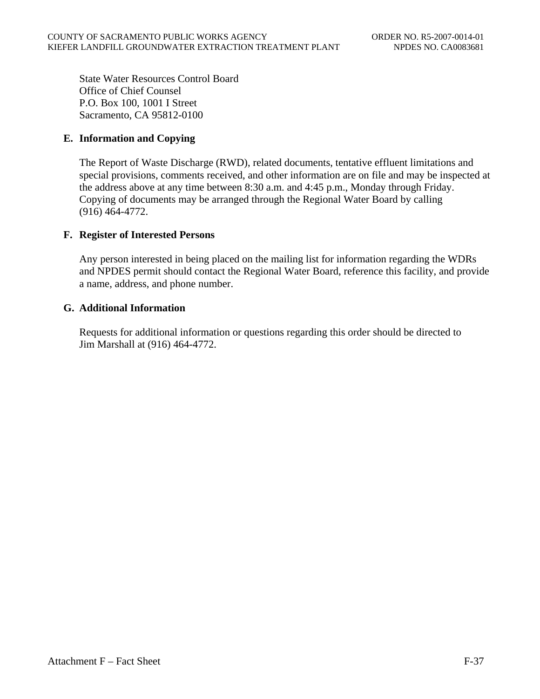State Water Resources Control Board Office of Chief Counsel P.O. Box 100, 1001 I Street Sacramento, CA 95812-0100

# **E. Information and Copying**

The Report of Waste Discharge (RWD), related documents, tentative effluent limitations and special provisions, comments received, and other information are on file and may be inspected at the address above at any time between 8:30 a.m. and 4:45 p.m., Monday through Friday. Copying of documents may be arranged through the Regional Water Board by calling (916) 464-4772.

# **F. Register of Interested Persons**

Any person interested in being placed on the mailing list for information regarding the WDRs and NPDES permit should contact the Regional Water Board, reference this facility, and provide a name, address, and phone number.

# **G. Additional Information**

Requests for additional information or questions regarding this order should be directed to Jim Marshall at (916) 464-4772.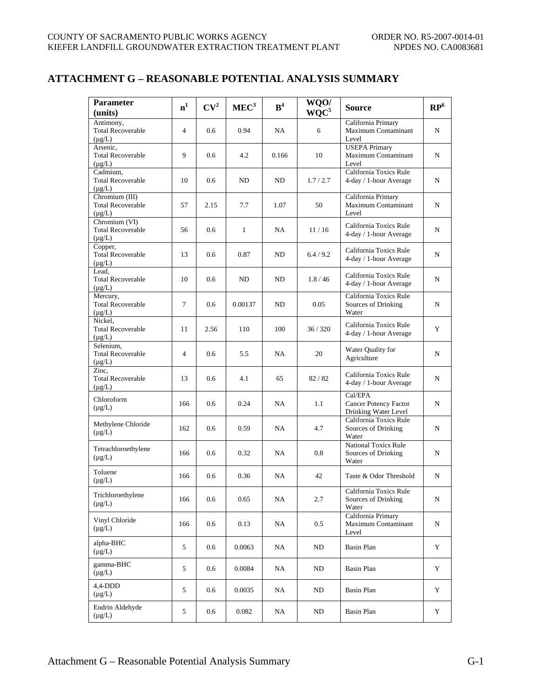# **ATTACHMENT G – REASONABLE POTENTIAL ANALYSIS SUMMARY**

| <b>Parameter</b><br>(units)                               | n <sup>1</sup> | CV <sup>2</sup> | MEC <sup>3</sup> | B <sup>4</sup> | WQO/<br>$WQC^5$ | Source                                                      | $\mathbb{RP}^6$ |
|-----------------------------------------------------------|----------------|-----------------|------------------|----------------|-----------------|-------------------------------------------------------------|-----------------|
| Antimony,<br><b>Total Recoverable</b><br>$(\mu g/L)$      | $\overline{4}$ | 0.6             | 0.94             | NA             | 6               | California Primary<br>Maximum Contaminant<br>Level          | N               |
| Arsenic,<br><b>Total Recoverable</b><br>$(\mu g/L)$       | 9              | 0.6             | 4.2              | 0.166          | 10              | <b>USEPA</b> Primary<br>Maximum Contaminant<br>Level        | N               |
| Cadmium,<br><b>Total Recoverable</b><br>$(\mu g/L)$       | 10             | 0.6             | ND               | ND             | 1.7/2.7         | California Toxics Rule<br>4-day / 1-hour Average            | N               |
| Chromium (III)<br><b>Total Recoverable</b><br>$(\mu g/L)$ | 57             | 2.15            | 7.7              | 1.07           | 50              | California Primary<br>Maximum Contaminant<br>Level          | N               |
| Chromium (VI)<br><b>Total Recoverable</b><br>$(\mu g/L)$  | 56             | 0.6             | $\mathbf{1}$     | NA             | 11/16           | California Toxics Rule<br>4-day / 1-hour Average            | N               |
| Copper,<br><b>Total Recoverable</b><br>$(\mu g/L)$        | 13             | 0.6             | 0.87             | ND             | 6.4/9.2         | California Toxics Rule<br>4-day / 1-hour Average            | N               |
| Lead,<br><b>Total Recoverable</b><br>$(\mu g/L)$          | 10             | 0.6             | ND               | ND             | 1.8/46          | California Toxics Rule<br>4-day / 1-hour Average            | N               |
| Mercury,<br><b>Total Recoverable</b><br>$(\mu g/L)$       | $\tau$         | 0.6             | 0.00137          | ND             | 0.05            | California Toxics Rule<br>Sources of Drinking<br>Water      | N               |
| Nickel,<br><b>Total Recoverable</b><br>$(\mu g/L)$        | 11             | 2.56            | 110              | 100            | 36/320          | California Toxics Rule<br>4-day / 1-hour Average            | Y               |
| Selenium.<br><b>Total Recoverable</b><br>$(\mu g/L)$      | $\overline{4}$ | 0.6             | 5.5              | NA             | 20              | Water Quality for<br>Agriculture                            | N               |
| Zinc,<br><b>Total Recoverable</b><br>$(\mu g/L)$          | 13             | 0.6             | 4.1              | 65             | 82/82           | California Toxics Rule<br>4-day / 1-hour Average            | N               |
| Chloroform<br>$(\mu g/L)$                                 | 166            | 0.6             | 0.24             | NA             | 1.1             | Cal/EPA<br>Cancer Potency Factor<br>Drinking Water Level    | N               |
| Methylene Chloride<br>$(\mu g/L)$                         | 162            | 0.6             | 0.59             | NA             | 4.7             | California Toxics Rule<br>Sources of Drinking<br>Water      | N               |
| Tetrachloroethylene<br>$(\mu g/L)$                        | 166            | 0.6             | 0.32             | NA             | 0.8             | <b>National Toxics Rule</b><br>Sources of Drinking<br>Water | N               |
| Toluene<br>$(\mu g/L)$                                    | 166            | 0.6             | 0.36             | NA             | 42              | Taste & Odor Threshold                                      | N               |
| Trichloroethylene<br>$(\mu g/L)$                          | 166            | 0.6             | 0.65             | NA             | 2.7             | California Toxics Rule<br>Sources of Drinking<br>Water      | N               |
| Vinyl Chloride<br>$(\mu g/L)$                             | 166            | 0.6             | 0.13             | NA             | 0.5             | California Primary<br>Maximum Contaminant<br>Level          | N               |
| alpha-BHC<br>$(\mu g/L)$                                  | 5              | 0.6             | 0.0063           | NA             | ND              | <b>Basin Plan</b>                                           | Y               |
| gamma-BHC<br>$(\mu g/L)$                                  | 5              | 0.6             | 0.0084           | NA             | ND              | Basin Plan                                                  | Y               |
| 4,4-DDD<br>$(\mu g/L)$                                    | 5              | 0.6             | 0.0035           | NA             | ND              | Basin Plan                                                  | Y               |
| Endrin Aldehyde<br>$(\mu g/L)$                            | 5              | 0.6             | 0.082            | NA             | ND              | <b>Basin Plan</b>                                           | Y               |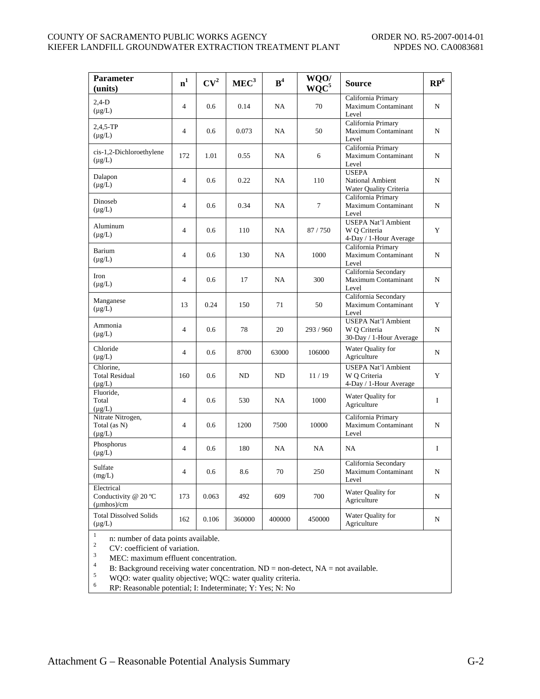#### COUNTY OF SACRAMENTO PUBLIC WORKS AGENCY ORDER NO. R5-2007-0014-01 KIEFER LANDFILL GROUNDWATER EXTRACTION TREATMENT PLANT NPDES NO. CA0083681

| 0.6<br>0.6<br>172<br>1.01                                                                                                                                                             | 0.14<br>0.073                                                            | NA<br>NA                                           | 70      | California Primary<br>Maximum Contaminant<br>Level                   | N                                                                                             |
|---------------------------------------------------------------------------------------------------------------------------------------------------------------------------------------|--------------------------------------------------------------------------|----------------------------------------------------|---------|----------------------------------------------------------------------|-----------------------------------------------------------------------------------------------|
|                                                                                                                                                                                       |                                                                          |                                                    |         |                                                                      |                                                                                               |
|                                                                                                                                                                                       |                                                                          |                                                    | 50      | California Primary<br>Maximum Contaminant<br>Level                   | N                                                                                             |
|                                                                                                                                                                                       | 0.55                                                                     | NA.                                                | 6       | California Primary<br>Maximum Contaminant<br>Level                   | N                                                                                             |
| 0.6                                                                                                                                                                                   | 0.22                                                                     | NA                                                 | 110     | <b>USEPA</b><br>National Ambient                                     | N                                                                                             |
|                                                                                                                                                                                       | 0.34                                                                     | NA                                                 | $\tau$  | California Primary<br>Maximum Contaminant<br>Level                   | N                                                                                             |
|                                                                                                                                                                                       | 110                                                                      | NA.                                                | 87/750  | <b>USEPA Nat'l Ambient</b><br>W Q Criteria                           | Y                                                                                             |
|                                                                                                                                                                                       | 130                                                                      | NA                                                 | 1000    | California Primary<br>Maximum Contaminant                            | N                                                                                             |
|                                                                                                                                                                                       | 17                                                                       | NA                                                 | 300     | California Secondary<br>Maximum Contaminant<br>Level                 | N                                                                                             |
|                                                                                                                                                                                       | 150                                                                      | 71                                                 | 50      | California Secondary<br>Maximum Contaminant                          | Y                                                                                             |
|                                                                                                                                                                                       | 78                                                                       | 20                                                 | 293/960 | <b>USEPA Nat'l Ambient</b><br>W O Criteria                           | N                                                                                             |
|                                                                                                                                                                                       | 8700                                                                     | 63000                                              | 106000  | Water Quality for<br>Agriculture                                     | N                                                                                             |
|                                                                                                                                                                                       | ND                                                                       | ND                                                 | 11/19   | <b>USEPA Nat'l Ambient</b><br>W O Criteria<br>4-Day / 1-Hour Average | Y                                                                                             |
|                                                                                                                                                                                       | 530                                                                      | NA                                                 | 1000    | Water Quality for<br>Agriculture                                     | $\mathbf I$                                                                                   |
|                                                                                                                                                                                       | 1200                                                                     | 7500                                               | 10000   | California Primary<br>Maximum Contaminant<br>Level                   | N                                                                                             |
|                                                                                                                                                                                       | 180                                                                      | NA                                                 | NA      | NA                                                                   | $\mathbf I$                                                                                   |
|                                                                                                                                                                                       | 8.6                                                                      | 70                                                 | 250     | California Secondary<br>Maximum Contaminant<br>Level                 | N                                                                                             |
|                                                                                                                                                                                       | 492                                                                      | 609                                                | 700     | Water Quality for<br>Agriculture                                     | N                                                                                             |
|                                                                                                                                                                                       | 360000                                                                   | 400000                                             | 450000  | Water Quality for<br>Agriculture                                     | N                                                                                             |
| $\overline{4}$<br>$\overline{4}$<br>$\overline{4}$<br>$\overline{4}$<br>$\overline{4}$<br>$\overline{4}$<br>$\overline{4}$<br>$\overline{4}$<br>$\overline{4}$<br>$\overline{4}$<br>4 | 0.6<br>0.6<br>0.6<br>13<br>0.6<br>0.6<br>160<br>0.6<br>0.6<br>173<br>162 | 0.6<br>0.24<br>0.6<br>0.6<br>0.6<br>0.063<br>0.106 |         |                                                                      | Water Quality Criteria<br>4-Day / 1-Hour Average<br>Level<br>Level<br>30-Day / 1-Hour Average |

2<br>
2<br>
CV: coefficient of variation.<br>
3<br>
MEC: maximum effluent concentration.<br>
B: Background receiving water concentration. ND = non-detect, NA = not available.<br>
5<br>
WQO: water quality objective; WQC: water quality criteria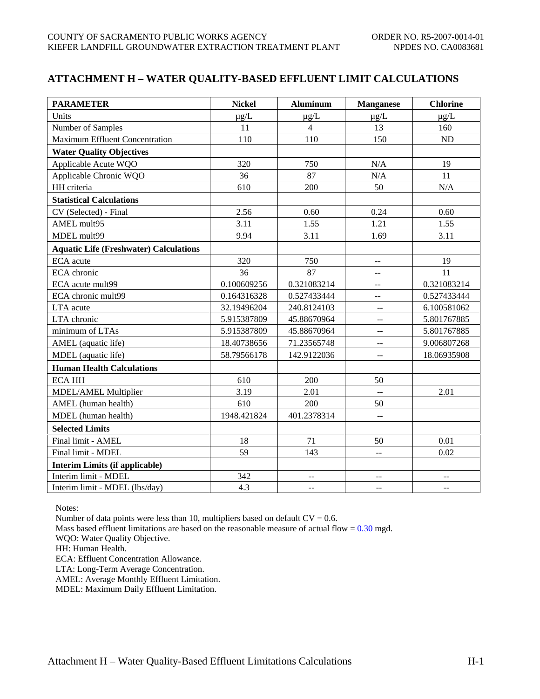# **ATTACHMENT H – WATER QUALITY-BASED EFFLUENT LIMIT CALCULATIONS**

| <b>PARAMETER</b>                              | <b>Nickel</b> | <b>Aluminum</b> | <b>Manganese</b>                              | <b>Chlorine</b> |
|-----------------------------------------------|---------------|-----------------|-----------------------------------------------|-----------------|
| Units                                         | $\mu$ g/L     | $\mu g/L$       | $\mu$ g/L                                     | $\mu$ g/L       |
| Number of Samples                             | 11            | $\overline{4}$  | 13                                            | 160             |
| <b>Maximum Effluent Concentration</b>         | 110           | 110             | 150                                           | ND              |
| <b>Water Quality Objectives</b>               |               |                 |                                               |                 |
| Applicable Acute WQO                          | 320           | 750             | N/A                                           | 19              |
| Applicable Chronic WQO                        | 36            | 87              | $\rm N/A$                                     | 11              |
| HH criteria                                   | 610           | 200             | 50                                            | N/A             |
| <b>Statistical Calculations</b>               |               |                 |                                               |                 |
| CV (Selected) - Final                         | 2.56          | 0.60            | 0.24                                          | 0.60            |
| AMEL mult95                                   | 3.11          | 1.55            | 1.21                                          | 1.55            |
| MDEL mult99                                   | 9.94          | 3.11            | 1.69                                          | 3.11            |
| <b>Aquatic Life (Freshwater) Calculations</b> |               |                 |                                               |                 |
| ECA acute                                     | 320           | 750             | --                                            | 19              |
| ECA chronic                                   | 36            | 87              | --                                            | 11              |
| ECA acute mult99                              | 0.100609256   | 0.321083214     | $-$                                           | 0.321083214     |
| ECA chronic mult99                            | 0.164316328   | 0.527433444     | $-$                                           | 0.527433444     |
| LTA acute                                     | 32.19496204   | 240.8124103     | $\mathbb{L} \mathbb{L}$                       | 6.100581062     |
| LTA chronic                                   | 5.915387809   | 45.88670964     | $\overline{a}$                                | 5.801767885     |
| minimum of LTAs                               | 5.915387809   | 45.88670964     | 44                                            | 5.801767885     |
| AMEL (aquatic life)                           | 18.40738656   | 71.23565748     | $\mathord{\hspace{1pt}\text{--}\hspace{1pt}}$ | 9.006807268     |
| MDEL (aquatic life)                           | 58.79566178   | 142.9122036     | $\pm$ $\pm$                                   | 18.06935908     |
| <b>Human Health Calculations</b>              |               |                 |                                               |                 |
| <b>ECA HH</b>                                 | 610           | 200             | 50                                            |                 |
| MDEL/AMEL Multiplier                          | 3.19          | 2.01            | $\overline{a}$                                | 2.01            |
| AMEL (human health)                           | 610           | 200             | 50                                            |                 |
| MDEL (human health)                           | 1948.421824   | 401.2378314     | $\overline{a}$                                |                 |
| <b>Selected Limits</b>                        |               |                 |                                               |                 |
| Final limit - AMEL                            | 18            | 71              | 50                                            | 0.01            |
| Final limit - MDEL                            | 59            | 143             | --                                            | 0.02            |
| <b>Interim Limits (if applicable)</b>         |               |                 |                                               |                 |
| Interim limit - MDEL                          | 342           | $-$             |                                               |                 |
| Interim limit - MDEL (lbs/day)                | 4.3           | $\mathbf{u}$    | $\mathbf{u}$                                  | $\overline{a}$  |

Notes:

Number of data points were less than 10, multipliers based on default  $CV = 0.6$ .

Mass based effluent limitations are based on the reasonable measure of actual flow =  $0.30$  mgd.

WQO: Water Quality Objective.

HH: Human Health.

ECA: Effluent Concentration Allowance.

LTA: Long-Term Average Concentration.

AMEL: Average Monthly Effluent Limitation.

MDEL: Maximum Daily Effluent Limitation.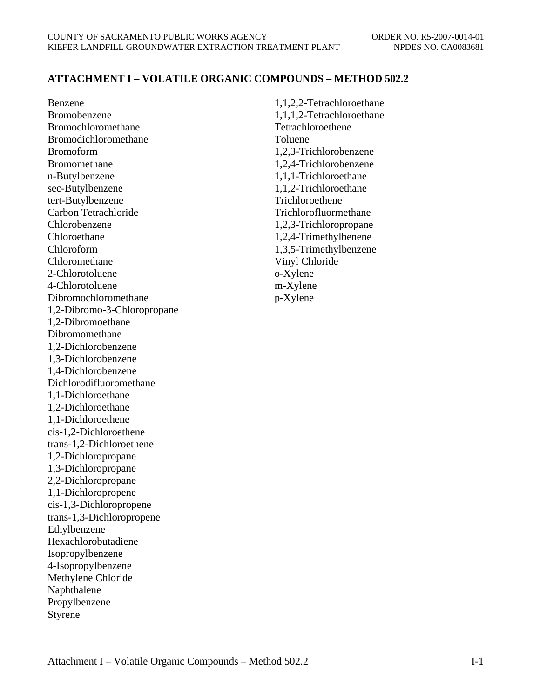# **ATTACHMENT I – VOLATILE ORGANIC COMPOUNDS – METHOD 502.2**

Benzene Bromobenzene Bromochloromethane Bromodichloromethane Bromoform Bromomethane n-Butylbenzene sec-Butylbenzene tert-Butylbenzene Carbon Tetrachloride Chlorobenzene Chloroethane Chloroform Chloromethane 2-Chlorotoluene 4-Chlorotoluene Dibromochloromethane 1,2-Dibromo-3-Chloropropane 1,2-Dibromoethane Dibromomethane 1,2-Dichlorobenzene 1,3-Dichlorobenzene 1,4-Dichlorobenzene Dichlorodifluoromethane 1,1-Dichloroethane 1,2-Dichloroethane 1,1-Dichloroethene cis-1,2-Dichloroethene trans-1,2-Dichloroethene 1,2-Dichloropropane 1,3-Dichloropropane 2,2-Dichloropropane 1,1-Dichloropropene cis-1,3-Dichloropropene trans-1,3-Dichloropropene Ethylbenzene Hexachlorobutadiene Isopropylbenzene 4-Isopropylbenzene Methylene Chloride Naphthalene Propylbenzene Styrene

1,1,2,2-Tetrachloroethane 1,1,1,2-Tetrachloroethane Tetrachloroethene Toluene 1,2,3-Trichlorobenzene 1,2,4-Trichlorobenzene 1,1,1-Trichloroethane 1,1,2-Trichloroethane Trichloroethene Trichlorofluormethane 1,2,3-Trichloropropane 1,2,4-Trimethylbenene 1,3,5-Trimethylbenzene Vinyl Chloride o-Xylene m-Xylene p-Xylene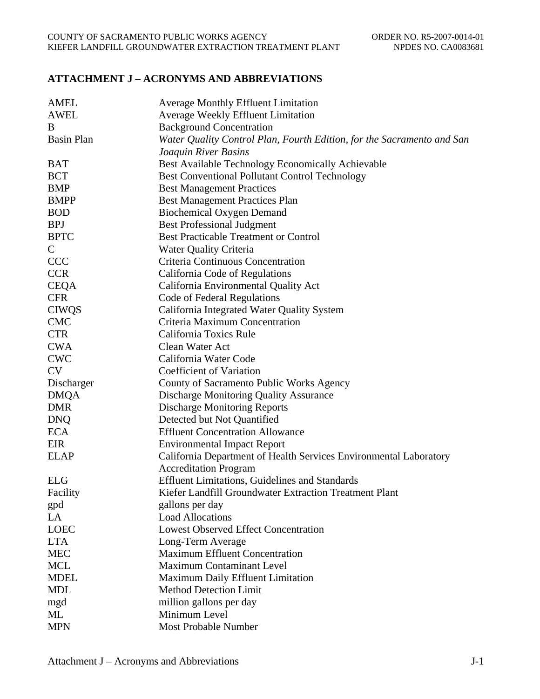# **ATTACHMENT J – ACRONYMS AND ABBREVIATIONS**

| <b>AMEL</b>       | <b>Average Monthly Effluent Limitation</b>                             |
|-------------------|------------------------------------------------------------------------|
| <b>AWEL</b>       | Average Weekly Effluent Limitation                                     |
| B                 | <b>Background Concentration</b>                                        |
| <b>Basin Plan</b> | Water Quality Control Plan, Fourth Edition, for the Sacramento and San |
|                   | Joaquin River Basins                                                   |
| <b>BAT</b>        | Best Available Technology Economically Achievable                      |
| <b>BCT</b>        | <b>Best Conventional Pollutant Control Technology</b>                  |
| <b>BMP</b>        | <b>Best Management Practices</b>                                       |
| <b>BMPP</b>       | <b>Best Management Practices Plan</b>                                  |
| <b>BOD</b>        | <b>Biochemical Oxygen Demand</b>                                       |
| <b>BPJ</b>        | <b>Best Professional Judgment</b>                                      |
| <b>BPTC</b>       | <b>Best Practicable Treatment or Control</b>                           |
| $\mathsf{C}$      | <b>Water Quality Criteria</b>                                          |
| <b>CCC</b>        | Criteria Continuous Concentration                                      |
| <b>CCR</b>        | California Code of Regulations                                         |
| <b>CEQA</b>       | California Environmental Quality Act                                   |
| <b>CFR</b>        | Code of Federal Regulations                                            |
| <b>CIWQS</b>      | California Integrated Water Quality System                             |
| <b>CMC</b>        | Criteria Maximum Concentration                                         |
| <b>CTR</b>        | California Toxics Rule                                                 |
| <b>CWA</b>        | Clean Water Act                                                        |
| <b>CWC</b>        | California Water Code                                                  |
| <b>CV</b>         | Coefficient of Variation                                               |
| Discharger        | County of Sacramento Public Works Agency                               |
| <b>DMQA</b>       | Discharge Monitoring Quality Assurance                                 |
| <b>DMR</b>        | <b>Discharge Monitoring Reports</b>                                    |
| <b>DNQ</b>        | Detected but Not Quantified                                            |
| <b>ECA</b>        | <b>Effluent Concentration Allowance</b>                                |
| EIR               | <b>Environmental Impact Report</b>                                     |
| <b>ELAP</b>       | California Department of Health Services Environmental Laboratory      |
|                   | <b>Accreditation Program</b>                                           |
| <b>ELG</b>        | <b>Effluent Limitations, Guidelines and Standards</b>                  |
| Facility          | Kiefer Landfill Groundwater Extraction Treatment Plant                 |
| gpd               | gallons per day                                                        |
| LA                | <b>Load Allocations</b>                                                |
| <b>LOEC</b>       | <b>Lowest Observed Effect Concentration</b>                            |
| <b>LTA</b>        | Long-Term Average                                                      |
| <b>MEC</b>        | <b>Maximum Effluent Concentration</b>                                  |
| <b>MCL</b>        | <b>Maximum Contaminant Level</b>                                       |
| <b>MDEL</b>       | Maximum Daily Effluent Limitation                                      |
| <b>MDL</b>        | <b>Method Detection Limit</b>                                          |
| mgd               | million gallons per day                                                |
| ML                | Minimum Level                                                          |
| <b>MPN</b>        | Most Probable Number                                                   |